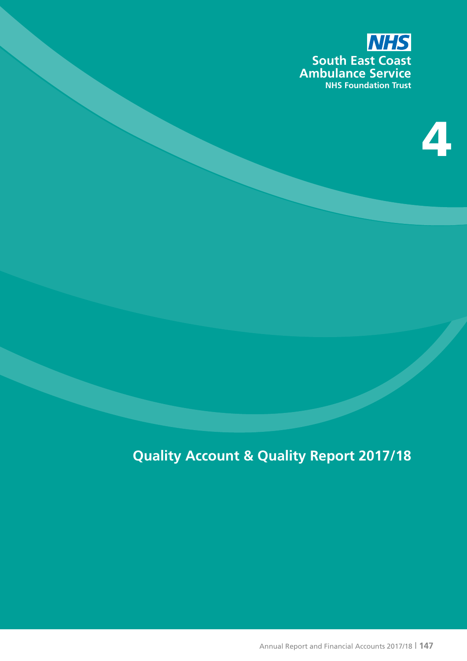

# 4

# **Quality Account & Quality Report 2017/18**

Annual Report and Financial Accounts 2017/18 | **147**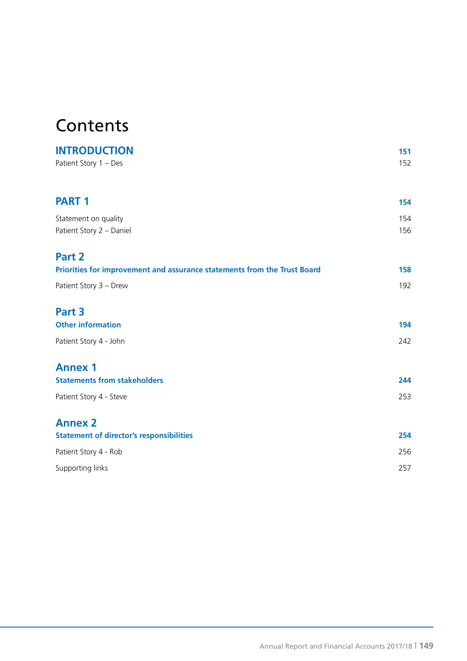# **Contents**

| <b>INTRODUCTION</b>                                                      | 151 |
|--------------------------------------------------------------------------|-----|
| Patient Story 1 - Des                                                    | 152 |
| <b>PART 1</b>                                                            | 154 |
| Statement on quality                                                     | 154 |
| Patient Story 2 - Daniel                                                 | 156 |
| Part 2                                                                   |     |
| Priorities for improvement and assurance statements from the Trust Board | 158 |
| Patient Story 3 - Drew                                                   | 192 |
| Part 3                                                                   |     |
| <b>Other information</b>                                                 | 194 |
| Patient Story 4 - John                                                   | 242 |
| <b>Annex 1</b>                                                           |     |
| <b>Statements from stakeholders</b>                                      | 244 |
| Patient Story 4 - Steve                                                  | 253 |
| <b>Annex 2</b>                                                           |     |
| <b>Statement of director's responsibilities</b>                          | 254 |
| Patient Story 4 - Rob                                                    | 256 |
| Supporting links                                                         | 257 |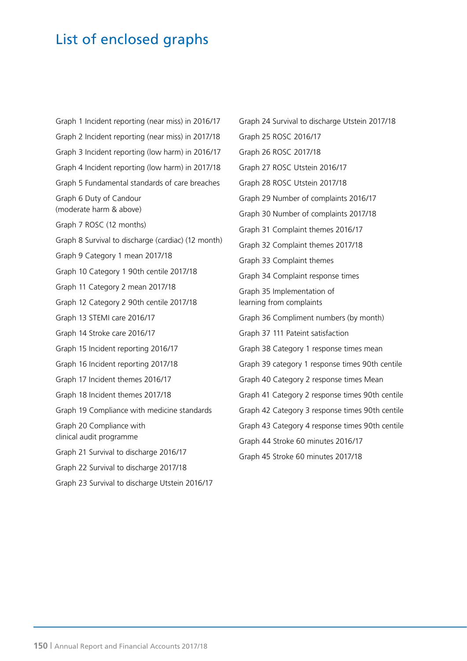# List of enclosed graphs

Graph 1 Incident reporting (near miss) in 2016/17 Graph 2 Incident reporting (near miss) in 2017/18 Graph 3 Incident reporting (low harm) in 2016/17 Graph 4 Incident reporting (low harm) in 2017/18 Graph 5 Fundamental standards of care breaches Graph 6 Duty of Candour (moderate harm & above) Graph 7 ROSC (12 months) Graph 8 Survival to discharge (cardiac) (12 month) Graph 9 Category 1 mean 2017/18 Graph 10 Category 1 90th centile 2017/18 Graph 11 Category 2 mean 2017/18 Graph 12 Category 2 90th centile 2017/18 Graph 13 STEMI care 2016/17 Graph 14 Stroke care 2016/17 Graph 15 Incident reporting 2016/17 Graph 16 Incident reporting 2017/18 Graph 17 Incident themes 2016/17 Graph 18 Incident themes 2017/18 Graph 19 Compliance with medicine standards Graph 20 Compliance with clinical audit programme Graph 21 Survival to discharge 2016/17 Graph 22 Survival to discharge 2017/18 Graph 23 Survival to discharge Utstein 2016/17

Graph 24 Survival to discharge Utstein 2017/18 Graph 25 ROSC 2016/17 Graph 26 ROSC 2017/18 Graph 27 ROSC Utstein 2016/17 Graph 28 ROSC Utstein 2017/18 Graph 29 Number of complaints 2016/17 Graph 30 Number of complaints 2017/18 Graph 31 Complaint themes 2016/17 Graph 32 Complaint themes 2017/18 Graph 33 Complaint themes Graph 34 Complaint response times Graph 35 Implementation of learning from complaints Graph 36 Compliment numbers (by month) Graph 37 111 Pateint satisfaction Graph 38 Category 1 response times mean Graph 39 category 1 response times 90th centile Graph 40 Category 2 response times Mean Graph 41 Category 2 response times 90th centile Graph 42 Category 3 response times 90th centile Graph 43 Category 4 response times 90th centile Graph 44 Stroke 60 minutes 2016/17 Graph 45 Stroke 60 minutes 2017/18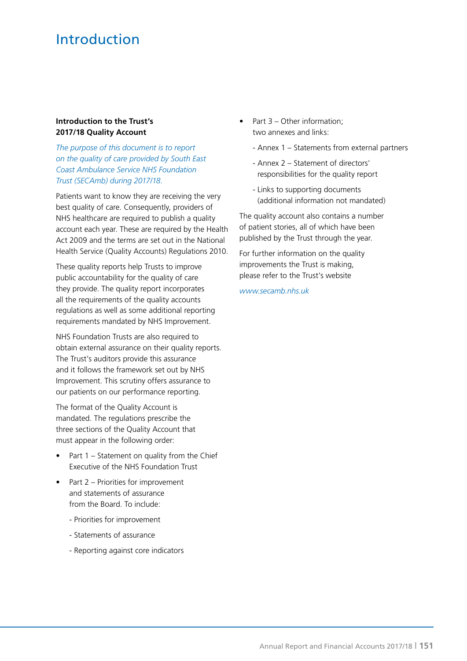# Introduction

#### **Introduction to the Trust's 2017/18 Quality Account**

*The purpose of this document is to report on the quality of care provided by South East Coast Ambulance Service NHS Foundation Trust (SECAmb) during 2017/18.*

Patients want to know they are receiving the very best quality of care. Consequently, providers of NHS healthcare are required to publish a quality account each year. These are required by the Health Act 2009 and the terms are set out in the National Health Service (Quality Accounts) Regulations 2010.

These quality reports help Trusts to improve public accountability for the quality of care they provide. The quality report incorporates all the requirements of the quality accounts regulations as well as some additional reporting requirements mandated by NHS Improvement.

NHS Foundation Trusts are also required to obtain external assurance on their quality reports. The Trust's auditors provide this assurance and it follows the framework set out by NHS Improvement. This scrutiny offers assurance to our patients on our performance reporting.

The format of the Quality Account is mandated. The regulations prescribe the three sections of the Quality Account that must appear in the following order:

- Part  $1$  Statement on quality from the Chief Executive of the NHS Foundation Trust
- Part 2 Priorities for improvement and statements of assurance from the Board. To include:
	- Priorities for improvement
	- Statements of assurance
	- Reporting against core indicators
- Part 3 Other information: two annexes and links:
	- Annex 1 Statements from external partners
	- Annex 2 Statement of directors' responsibilities for the quality report
	- Links to supporting documents (additional information not mandated)

The quality account also contains a number of patient stories, all of which have been published by the Trust through the year.

For further information on the quality improvements the Trust is making, please refer to the Trust's website

*www.secamb.nhs.uk*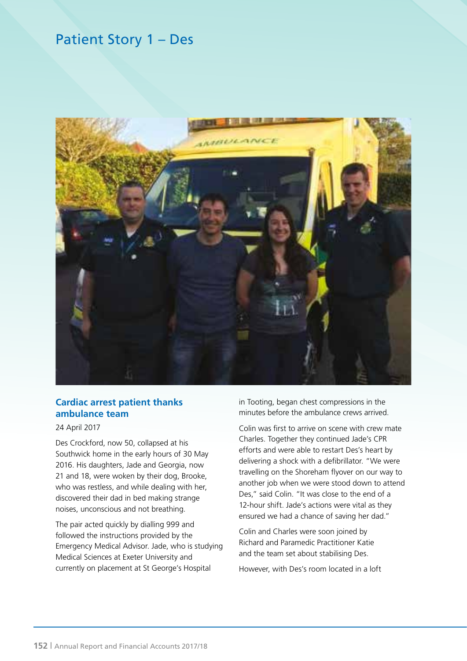# Patient Story 1 – Des



### **Cardiac arrest patient thanks ambulance team**

#### 24 April 2017

Des Crockford, now 50, collapsed at his Southwick home in the early hours of 30 May 2016. His daughters, Jade and Georgia, now 21 and 18, were woken by their dog, Brooke, who was restless, and while dealing with her, discovered their dad in bed making strange noises, unconscious and not breathing.

The pair acted quickly by dialling 999 and followed the instructions provided by the Emergency Medical Advisor. Jade, who is studying Medical Sciences at Exeter University and currently on placement at St George's Hospital

in Tooting, began chest compressions in the minutes before the ambulance crews arrived.

Colin was first to arrive on scene with crew mate Charles. Together they continued Jade's CPR efforts and were able to restart Des's heart by delivering a shock with a defibrillator. "We were travelling on the Shoreham flyover on our way to another job when we were stood down to attend Des," said Colin. "It was close to the end of a 12-hour shift. Jade's actions were vital as they ensured we had a chance of saving her dad."

Colin and Charles were soon joined by Richard and Paramedic Practitioner Katie and the team set about stabilising Des.

However, with Des's room located in a loft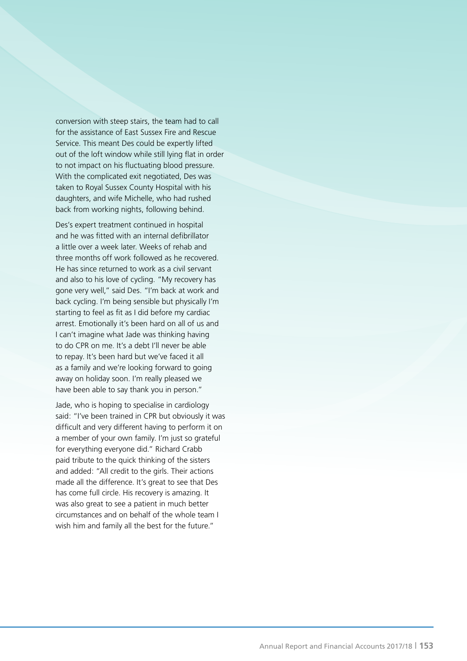conversion with steep stairs, the team had to call for the assistance of East Sussex Fire and Rescue Service. This meant Des could be expertly lifted out of the loft window while still lying flat in order to not impact on his fluctuating blood pressure. With the complicated exit negotiated, Des was taken to Royal Sussex County Hospital with his daughters, and wife Michelle, who had rushed back from working nights, following behind.

Des's expert treatment continued in hospital and he was fitted with an internal defibrillator a little over a week later. Weeks of rehab and three months off work followed as he recovered. He has since returned to work as a civil servant and also to his love of cycling. "My recovery has gone very well," said Des. "I'm back at work and back cycling. I'm being sensible but physically I'm starting to feel as fit as I did before my cardiac arrest. Emotionally it's been hard on all of us and I can't imagine what Jade was thinking having to do CPR on me. It's a debt I'll never be able to repay. It's been hard but we've faced it all as a family and we're looking forward to going away on holiday soon. I'm really pleased we have been able to say thank you in person."

Jade, who is hoping to specialise in cardiology said: "I've been trained in CPR but obviously it was difficult and very different having to perform it on a member of your own family. I'm just so grateful for everything everyone did." Richard Crabb paid tribute to the quick thinking of the sisters and added: "All credit to the girls. Their actions made all the difference. It's great to see that Des has come full circle. His recovery is amazing. It was also great to see a patient in much better circumstances and on behalf of the whole team I wish him and family all the best for the future."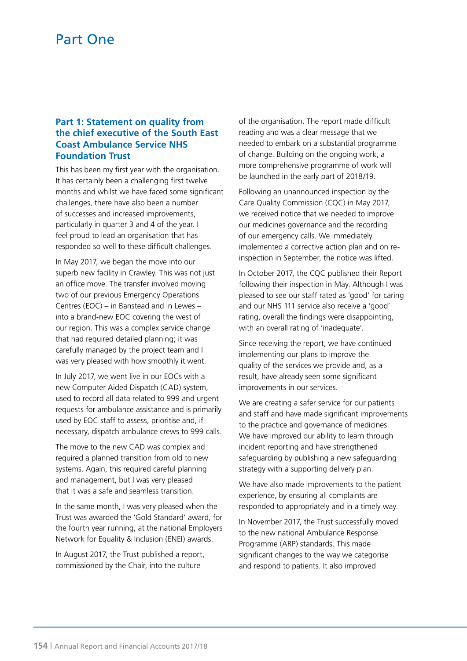# Part One

### **Part 1: Statement on quality from the chief executive of the South East Coast Ambulance Service NHS Foundation Trust**

This has been my first year with the organisation. It has certainly been a challenging first twelve months and whilst we have faced some significant challenges, there have also been a number of successes and increased improvements, particularly in quarter 3 and 4 of the year. I feel proud to lead an organisation that has responded so well to these difficult challenges.

In May 2017, we began the move into our superb new facility in Crawley. This was not just an office move. The transfer involved moving two of our previous Emergency Operations Centres (EOC) – in Banstead and in Lewes – into a brand-new EOC covering the west of our region. This was a complex service change that had required detailed planning; it was carefully managed by the project team and I was very pleased with how smoothly it went.

In July 2017, we went live in our EOCs with a new Computer Aided Dispatch (CAD) system, used to record all data related to 999 and urgent requests for ambulance assistance and is primarily used by EOC staff to assess, prioritise and, if necessary, dispatch ambulance crews to 999 calls.

The move to the new CAD was complex and required a planned transition from old to new systems. Again, this required careful planning and management, but I was very pleased that it was a safe and seamless transition.

In the same month, I was very pleased when the Trust was awarded the 'Gold Standard' award, for the fourth year running, at the national Employers Network for Equality & Inclusion (ENEI) awards.

In August 2017, the Trust published a report, commissioned by the Chair, into the culture

of the organisation. The report made difficult reading and was a clear message that we needed to embark on a substantial programme of change. Building on the ongoing work, a more comprehensive programme of work will be launched in the early part of 2018/19.

Following an unannounced inspection by the Care Quality Commission (CQC) in May 2017, we received notice that we needed to improve our medicines governance and the recording of our emergency calls. We immediately implemented a corrective action plan and on reinspection in September, the notice was lifted.

In October 2017, the CQC published their Report following their inspection in May. Although I was pleased to see our staff rated as 'good' for caring and our NHS 111 service also receive a 'good' rating, overall the findings were disappointing, with an overall rating of 'inadequate'.

Since receiving the report, we have continued implementing our plans to improve the quality of the services we provide and, as a result, have already seen some significant improvements in our services.

We are creating a safer service for our patients and staff and have made significant improvements to the practice and governance of medicines. We have improved our ability to learn through incident reporting and have strengthened safeguarding by publishing a new safeguarding strategy with a supporting delivery plan.

We have also made improvements to the patient experience, by ensuring all complaints are responded to appropriately and in a timely way.

In November 2017, the Trust successfully moved to the new national Ambulance Response Programme (ARP) standards. This made significant changes to the way we categorise and respond to patients. It also improved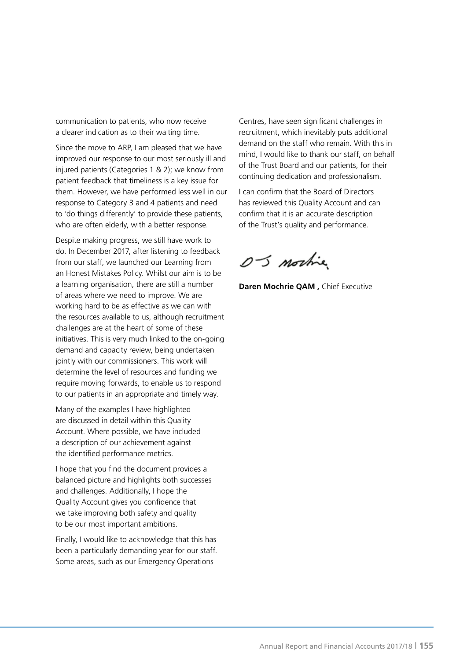communication to patients, who now receive a clearer indication as to their waiting time.

Since the move to ARP, I am pleased that we have improved our response to our most seriously ill and injured patients (Categories 1 & 2); we know from patient feedback that timeliness is a key issue for them. However, we have performed less well in our response to Category 3 and 4 patients and need to 'do things differently' to provide these patients, who are often elderly, with a better response.

Despite making progress, we still have work to do. In December 2017, after listening to feedback from our staff, we launched our Learning from an Honest Mistakes Policy. Whilst our aim is to be a learning organisation, there are still a number of areas where we need to improve. We are working hard to be as effective as we can with the resources available to us, although recruitment challenges are at the heart of some of these initiatives. This is very much linked to the on-going demand and capacity review, being undertaken jointly with our commissioners. This work will determine the level of resources and funding we require moving forwards, to enable us to respond to our patients in an appropriate and timely way.

Many of the examples I have highlighted are discussed in detail within this Quality Account. Where possible, we have included a description of our achievement against the identified performance metrics.

I hope that you find the document provides a balanced picture and highlights both successes and challenges. Additionally, I hope the Quality Account gives you confidence that we take improving both safety and quality to be our most important ambitions.

Finally, I would like to acknowledge that this has been a particularly demanding year for our staff. Some areas, such as our Emergency Operations

Centres, have seen significant challenges in recruitment, which inevitably puts additional demand on the staff who remain. With this in mind, I would like to thank our staff, on behalf of the Trust Board and our patients, for their continuing dedication and professionalism.

I can confirm that the Board of Directors has reviewed this Quality Account and can confirm that it is an accurate description of the Trust's quality and performance.

OS mortie

**Daren Mochrie QAM ,** Chief Executive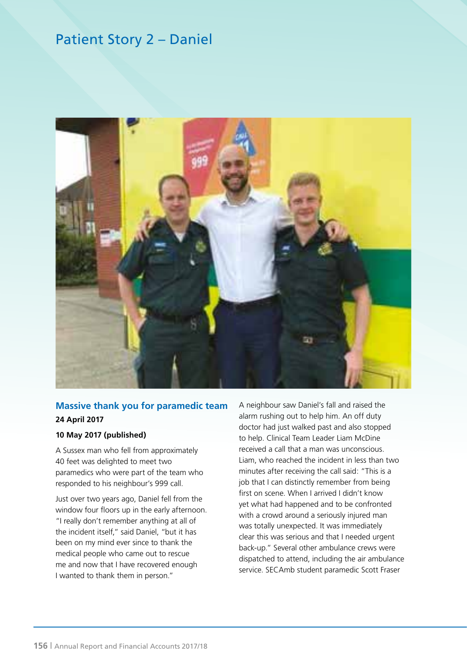# Patient Story 2 – Daniel



# **Massive thank you for paramedic team 24 April 2017**

#### **10 May 2017 (published)**

A Sussex man who fell from approximately 40 feet was delighted to meet two paramedics who were part of the team who responded to his neighbour's 999 call.

Just over two years ago, Daniel fell from the window four floors up in the early afternoon. "I really don't remember anything at all of the incident itself," said Daniel, "but it has been on my mind ever since to thank the medical people who came out to rescue me and now that I have recovered enough I wanted to thank them in person."

A neighbour saw Daniel's fall and raised the alarm rushing out to help him. An off duty doctor had just walked past and also stopped to help. Clinical Team Leader Liam McDine received a call that a man was unconscious. Liam, who reached the incident in less than two minutes after receiving the call said: "This is a job that I can distinctly remember from being first on scene. When I arrived I didn't know yet what had happened and to be confronted with a crowd around a seriously injured man was totally unexpected. It was immediately clear this was serious and that I needed urgent back-up." Several other ambulance crews were dispatched to attend, including the air ambulance service. SECAmb student paramedic Scott Fraser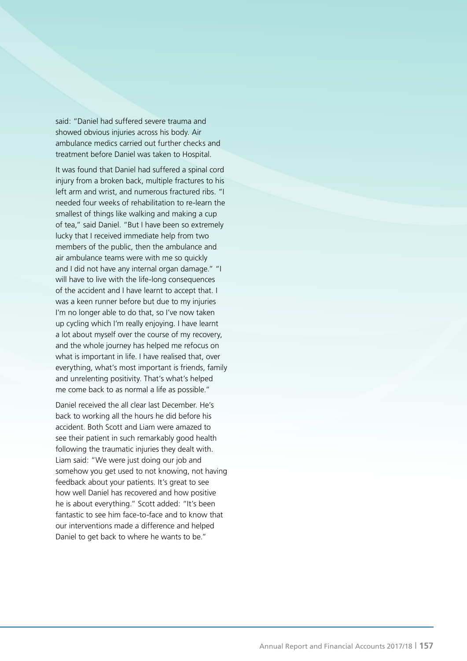said: "Daniel had suffered severe trauma and showed obvious injuries across his body. Air ambulance medics carried out further checks and treatment before Daniel was taken to Hospital.

It was found that Daniel had suffered a spinal cord injury from a broken back, multiple fractures to his left arm and wrist, and numerous fractured ribs. "I needed four weeks of rehabilitation to re-learn the smallest of things like walking and making a cup of tea," said Daniel. "But I have been so extremely lucky that I received immediate help from two members of the public, then the ambulance and air ambulance teams were with me so quickly and I did not have any internal organ damage." "I will have to live with the life-long consequences of the accident and I have learnt to accept that. I was a keen runner before but due to my injuries I'm no longer able to do that, so I've now taken up cycling which I'm really enjoying. I have learnt a lot about myself over the course of my recovery, and the whole journey has helped me refocus on what is important in life. I have realised that, over everything, what's most important is friends, family and unrelenting positivity. That's what's helped me come back to as normal a life as possible."

Daniel received the all clear last December. He's back to working all the hours he did before his accident. Both Scott and Liam were amazed to see their patient in such remarkably good health following the traumatic injuries they dealt with. Liam said: "We were just doing our job and somehow you get used to not knowing, not having feedback about your patients. It's great to see how well Daniel has recovered and how positive he is about everything." Scott added: "It's been fantastic to see him face-to-face and to know that our interventions made a difference and helped Daniel to get back to where he wants to be."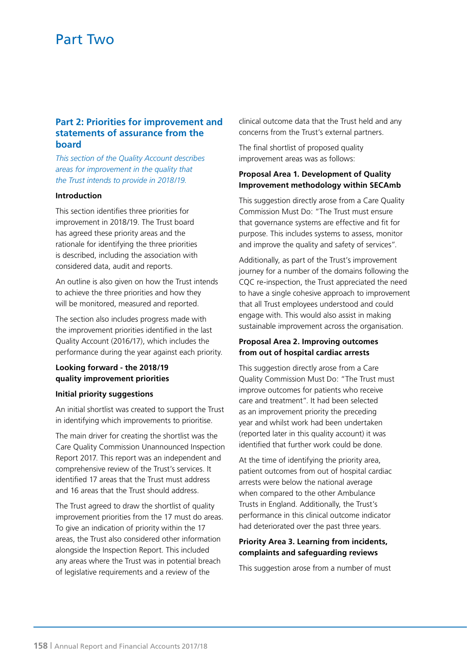### **Part 2: Priorities for improvement and statements of assurance from the board**

*This section of the Quality Account describes areas for improvement in the quality that the Trust intends to provide in 2018/19.*

#### **Introduction**

This section identifies three priorities for improvement in 2018/19. The Trust board has agreed these priority areas and the rationale for identifying the three priorities is described, including the association with considered data, audit and reports.

An outline is also given on how the Trust intends to achieve the three priorities and how they will be monitored, measured and reported.

The section also includes progress made with the improvement priorities identified in the last Quality Account (2016/17), which includes the performance during the year against each priority.

### **Looking forward - the 2018/19 quality improvement priorities**

#### **Initial priority suggestions**

An initial shortlist was created to support the Trust in identifying which improvements to prioritise.

The main driver for creating the shortlist was the Care Quality Commission Unannounced Inspection Report 2017. This report was an independent and comprehensive review of the Trust's services. It identified 17 areas that the Trust must address and 16 areas that the Trust should address.

The Trust agreed to draw the shortlist of quality improvement priorities from the 17 must do areas. To give an indication of priority within the 17 areas, the Trust also considered other information alongside the Inspection Report. This included any areas where the Trust was in potential breach of legislative requirements and a review of the

clinical outcome data that the Trust held and any concerns from the Trust's external partners.

The final shortlist of proposed quality improvement areas was as follows:

#### **Proposal Area 1. Development of Quality Improvement methodology within SECAmb**

This suggestion directly arose from a Care Quality Commission Must Do: "The Trust must ensure that governance systems are effective and fit for purpose. This includes systems to assess, monitor and improve the quality and safety of services".

Additionally, as part of the Trust's improvement journey for a number of the domains following the CQC re-inspection, the Trust appreciated the need to have a single cohesive approach to improvement that all Trust employees understood and could engage with. This would also assist in making sustainable improvement across the organisation.

#### **Proposal Area 2. Improving outcomes from out of hospital cardiac arrests**

This suggestion directly arose from a Care Quality Commission Must Do: "The Trust must improve outcomes for patients who receive care and treatment". It had been selected as an improvement priority the preceding year and whilst work had been undertaken (reported later in this quality account) it was identified that further work could be done.

At the time of identifying the priority area, patient outcomes from out of hospital cardiac arrests were below the national average when compared to the other Ambulance Trusts in England. Additionally, the Trust's performance in this clinical outcome indicator had deteriorated over the past three years.

### **Priority Area 3. Learning from incidents, complaints and safeguarding reviews**

This suggestion arose from a number of must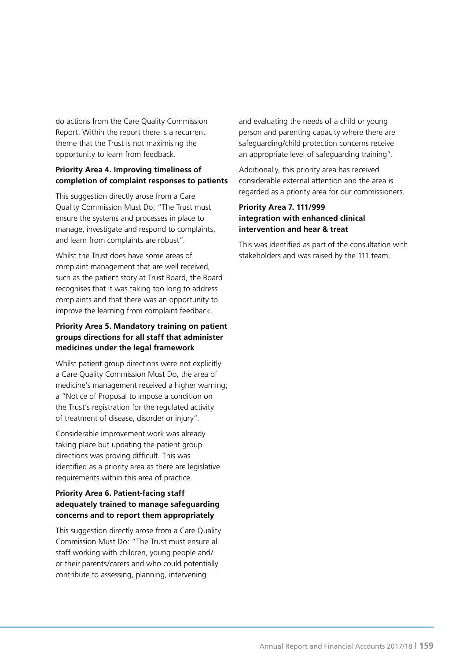do actions from the Care Quality Commission Report. Within the report there is a recurrent theme that the Trust is not maximising the opportunity to learn from feedback.

### **Priority Area 4. Improving timeliness of completion of complaint responses to patients**

This suggestion directly arose from a Care Quality Commission Must Do; "The Trust must ensure the systems and processes in place to manage, investigate and respond to complaints, and learn from complaints are robust".

Whilst the Trust does have some areas of complaint management that are well received, such as the patient story at Trust Board, the Board recognises that it was taking too long to address complaints and that there was an opportunity to improve the learning from complaint feedback.

# **Priority Area 5. Mandatory training on patient groups directions for all staff that administer medicines under the legal framework**

Whilst patient group directions were not explicitly a Care Quality Commission Must Do, the area of medicine's management received a higher warning; a "Notice of Proposal to impose a condition on the Trust's registration for the regulated activity of treatment of disease, disorder or injury".

Considerable improvement work was already taking place but updating the patient group directions was proving difficult. This was identified as a priority area as there are legislative requirements within this area of practice.

### **Priority Area 6. Patient-facing staff adequately trained to manage safeguarding concerns and to report them appropriately**

This suggestion directly arose from a Care Quality Commission Must Do: "The Trust must ensure all staff working with children, young people and/ or their parents/carers and who could potentially contribute to assessing, planning, intervening

and evaluating the needs of a child or young person and parenting capacity where there are safeguarding/child protection concerns receive an appropriate level of safeguarding training".

Additionally, this priority area has received considerable external attention and the area is regarded as a priority area for our commissioners.

#### **Priority Area 7. 111/999 integration with enhanced clinical intervention and hear & treat**

This was identified as part of the consultation with stakeholders and was raised by the 111 team.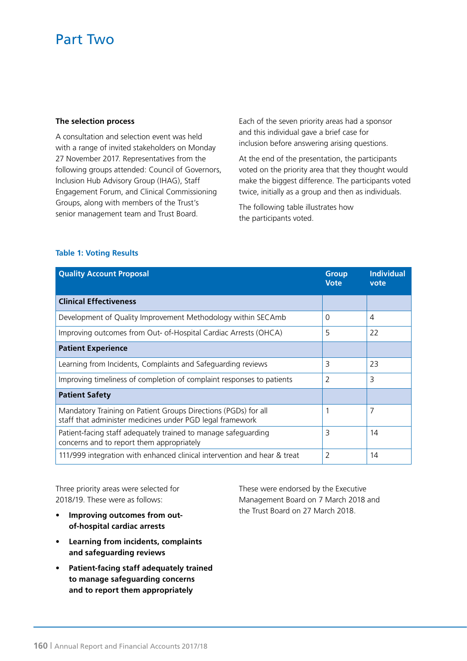#### **The selection process**

A consultation and selection event was held with a range of invited stakeholders on Monday 27 November 2017. Representatives from the following groups attended: Council of Governors, Inclusion Hub Advisory Group (IHAG), Staff Engagement Forum, and Clinical Commissioning Groups, along with members of the Trust's senior management team and Trust Board.

Each of the seven priority areas had a sponsor and this individual gave a brief case for inclusion before answering arising questions.

At the end of the presentation, the participants voted on the priority area that they thought would make the biggest difference. The participants voted twice, initially as a group and then as individuals.

The following table illustrates how the participants voted.

#### **Table 1: Voting Results**

| <b>Quality Account Proposal</b>                                                                                             | <b>Group</b><br><b>Vote</b> | <b>Individual</b><br>vote |
|-----------------------------------------------------------------------------------------------------------------------------|-----------------------------|---------------------------|
| <b>Clinical Effectiveness</b>                                                                                               |                             |                           |
| Development of Quality Improvement Methodology within SECAmb                                                                | $\Omega$                    | $\overline{4}$            |
| Improving outcomes from Out- of-Hospital Cardiac Arrests (OHCA)                                                             | 5                           | 22                        |
| <b>Patient Experience</b>                                                                                                   |                             |                           |
| Learning from Incidents, Complaints and Safeguarding reviews                                                                | 3                           | 23                        |
| Improving timeliness of completion of complaint responses to patients                                                       | 2                           | 3                         |
| <b>Patient Safety</b>                                                                                                       |                             |                           |
| Mandatory Training on Patient Groups Directions (PGDs) for all<br>staff that administer medicines under PGD legal framework | 1                           | 7                         |
| Patient-facing staff adequately trained to manage safeguarding<br>concerns and to report them appropriately                 | 3                           | 14                        |
| 111/999 integration with enhanced clinical intervention and hear & treat                                                    | 2                           | 14                        |

Three priority areas were selected for 2018/19. These were as follows:

- **Improving outcomes from outof-hospital cardiac arrests**
- **Learning from incidents, complaints and safeguarding reviews**
- **Patient-facing staff adequately trained to manage safeguarding concerns and to report them appropriately**

These were endorsed by the Executive Management Board on 7 March 2018 and the Trust Board on 27 March 2018.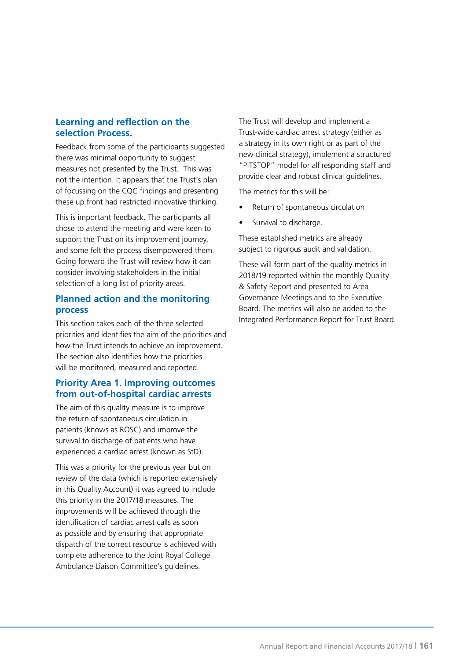# **Learning and reflection on the selection Process.**

Feedback from some of the participants suggested there was minimal opportunity to suggest measures not presented by the Trust. This was not the intention. It appears that the Trust's plan of focussing on the CQC findings and presenting these up front had restricted innovative thinking.

This is important feedback. The participants all chose to attend the meeting and were keen to support the Trust on its improvement journey, and some felt the process disempowered them. Going forward the Trust will review how it can consider involving stakeholders in the initial selection of a long list of priority areas.

# **Planned action and the monitoring process**

This section takes each of the three selected priorities and identifies the aim of the priorities and how the Trust intends to achieve an improvement. The section also identifies how the priorities will be monitored, measured and reported.

# **Priority Area 1. Improving outcomes from out-of-hospital cardiac arrests**

The aim of this quality measure is to improve the return of spontaneous circulation in patients (knows as ROSC) and improve the survival to discharge of patients who have experienced a cardiac arrest (known as StD).

This was a priority for the previous year but on review of the data (which is reported extensively in this Quality Account) it was agreed to include this priority in the 2017/18 measures. The improvements will be achieved through the identification of cardiac arrest calls as soon as possible and by ensuring that appropriate dispatch of the correct resource is achieved with complete adherence to the Joint Royal College Ambulance Liaison Committee's guidelines.

The Trust will develop and implement a Trust-wide cardiac arrest strategy (either as a strategy in its own right or as part of the new clinical strategy), implement a structured "PITSTOP" model for all responding staff and provide clear and robust clinical guidelines.

The metrics for this will be:

- Return of spontaneous circulation
- Survival to discharge.

These established metrics are already subject to rigorous audit and validation.

These will form part of the quality metrics in 2018/19 reported within the monthly Quality & Safety Report and presented to Area Governance Meetings and to the Executive Board. The metrics will also be added to the Integrated Performance Report for Trust Board.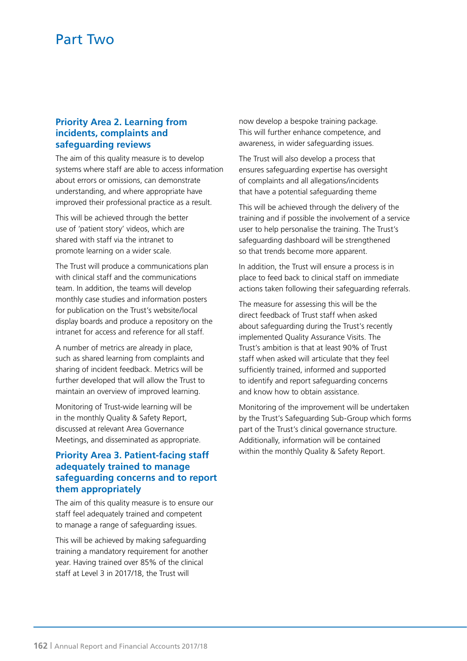### **Priority Area 2. Learning from incidents, complaints and safeguarding reviews**

The aim of this quality measure is to develop systems where staff are able to access information about errors or omissions, can demonstrate understanding, and where appropriate have improved their professional practice as a result.

This will be achieved through the better use of 'patient story' videos, which are shared with staff via the intranet to promote learning on a wider scale.

The Trust will produce a communications plan with clinical staff and the communications team. In addition, the teams will develop monthly case studies and information posters for publication on the Trust's website/local display boards and produce a repository on the intranet for access and reference for all staff.

A number of metrics are already in place, such as shared learning from complaints and sharing of incident feedback. Metrics will be further developed that will allow the Trust to maintain an overview of improved learning.

Monitoring of Trust-wide learning will be in the monthly Quality & Safety Report, discussed at relevant Area Governance Meetings, and disseminated as appropriate.

# **Priority Area 3. Patient-facing staff adequately trained to manage safeguarding concerns and to report them appropriately**

The aim of this quality measure is to ensure our staff feel adequately trained and competent to manage a range of safeguarding issues.

This will be achieved by making safeguarding training a mandatory requirement for another year. Having trained over 85% of the clinical staff at Level 3 in 2017/18, the Trust will

now develop a bespoke training package. This will further enhance competence, and awareness, in wider safeguarding issues.

The Trust will also develop a process that ensures safeguarding expertise has oversight of complaints and all allegations/incidents that have a potential safeguarding theme

This will be achieved through the delivery of the training and if possible the involvement of a service user to help personalise the training. The Trust's safeguarding dashboard will be strengthened so that trends become more apparent.

In addition, the Trust will ensure a process is in place to feed back to clinical staff on immediate actions taken following their safeguarding referrals.

The measure for assessing this will be the direct feedback of Trust staff when asked about safeguarding during the Trust's recently implemented Quality Assurance Visits. The Trust's ambition is that at least 90% of Trust staff when asked will articulate that they feel sufficiently trained, informed and supported to identify and report safeguarding concerns and know how to obtain assistance.

Monitoring of the improvement will be undertaken by the Trust's Safeguarding Sub-Group which forms part of the Trust's clinical governance structure. Additionally, information will be contained within the monthly Quality & Safety Report.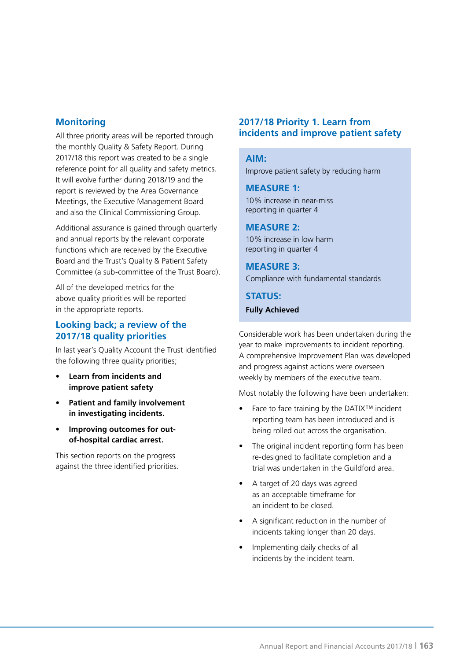# **Monitoring**

All three priority areas will be reported through the monthly Quality & Safety Report. During 2017/18 this report was created to be a single reference point for all quality and safety metrics. It will evolve further during 2018/19 and the report is reviewed by the Area Governance Meetings, the Executive Management Board and also the Clinical Commissioning Group.

Additional assurance is gained through quarterly and annual reports by the relevant corporate functions which are received by the Executive Board and the Trust's Quality & Patient Safety Committee (a sub-committee of the Trust Board).

All of the developed metrics for the above quality priorities will be reported in the appropriate reports.

# **Looking back; a review of the 2017/18 quality priorities**

In last year's Quality Account the Trust identified the following three quality priorities;

- **Learn from incidents and improve patient safety**
- **Patient and family involvement in investigating incidents.**
- **Improving outcomes for outof-hospital cardiac arrest.**

This section reports on the progress against the three identified priorities.

# **2017/18 Priority 1. Learn from incidents and improve patient safety**

#### **AIM:**

Improve patient safety by reducing harm

#### **MEASURE 1:**

10% increase in near-miss reporting in quarter 4

### **MEASURE 2:**

10% increase in low harm reporting in quarter 4

#### **MEASURE 3:** Compliance with fundamental standards

**STATUS:** 

**Fully Achieved**

Considerable work has been undertaken during the year to make improvements to incident reporting. A comprehensive Improvement Plan was developed and progress against actions were overseen weekly by members of the executive team.

Most notably the following have been undertaken:

- Face to face training by the DATIX™ incident reporting team has been introduced and is being rolled out across the organisation.
- The original incident reporting form has been re-designed to facilitate completion and a trial was undertaken in the Guildford area.
- A target of 20 days was agreed as an acceptable timeframe for an incident to be closed.
- A significant reduction in the number of incidents taking longer than 20 days.
- Implementing daily checks of all incidents by the incident team.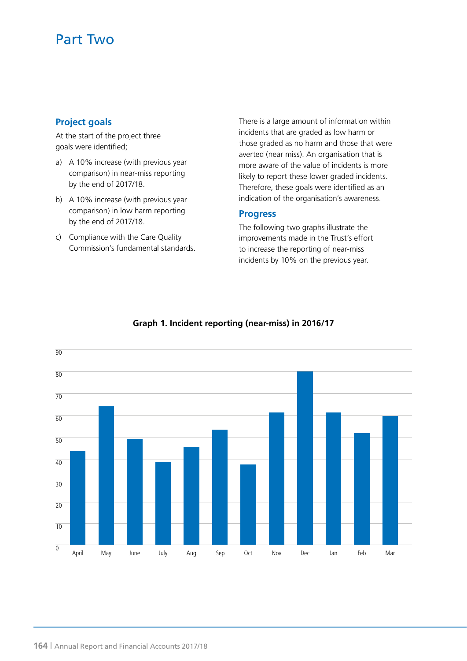# **Project goals**

At the start of the project three goals were identified;

- a) A 10% increase (with previous year comparison) in near-miss reporting by the end of 2017/18.
- b) A 10% increase (with previous year comparison) in low harm reporting by the end of 2017/18.
- c) Compliance with the Care Quality Commission's fundamental standards.

There is a large amount of information within incidents that are graded as low harm or those graded as no harm and those that were averted (near miss). An organisation that is more aware of the value of incidents is more likely to report these lower graded incidents. Therefore, these goals were identified as an indication of the organisation's awareness.

### **Progress**

The following two graphs illustrate the improvements made in the Trust's effort to increase the reporting of near-miss incidents by 10% on the previous year.



# **Graph 1. Incident reporting (near-miss) in 2016/17**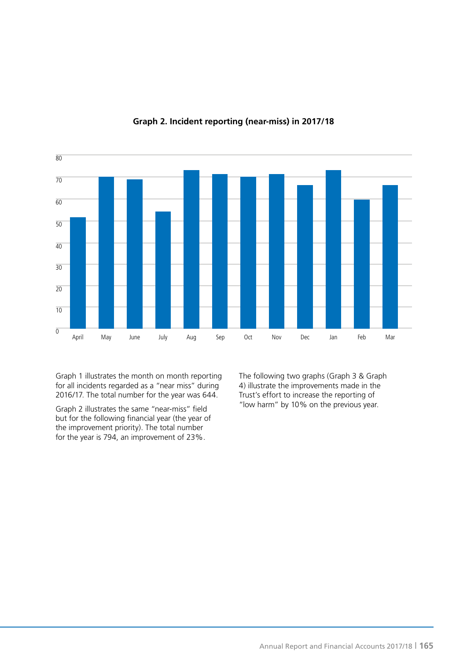

#### **Graph 2. Incident reporting (near-miss) in 2017/18**

Graph 1 illustrates the month on month reporting for all incidents regarded as a "near miss" during 2016/17. The total number for the year was 644.

Graph 2 illustrates the same "near-miss" field but for the following financial year (the year of the improvement priority). The total number for the year is 794, an improvement of 23%.

The following two graphs (Graph 3 & Graph 4) illustrate the improvements made in the Trust's effort to increase the reporting of "low harm" by 10% on the previous year.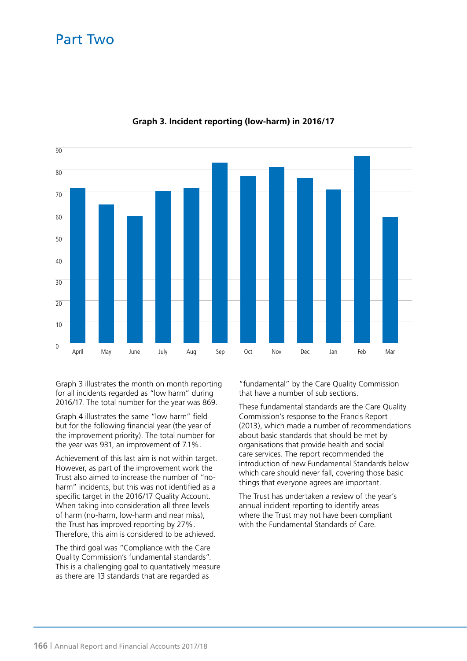

### **Graph 3. Incident reporting (low-harm) in 2016/17**

Graph 3 illustrates the month on month reporting for all incidents regarded as "low harm" during 2016/17. The total number for the year was 869.

Graph 4 illustrates the same "low harm" field but for the following financial year (the year of the improvement priority). The total number for the year was 931, an improvement of 7.1%.

Achievement of this last aim is not within target. However, as part of the improvement work the Trust also aimed to increase the number of "noharm" incidents, but this was not identified as a specific target in the 2016/17 Quality Account. When taking into consideration all three levels of harm (no-harm, low-harm and near miss), the Trust has improved reporting by 27%. Therefore, this aim is considered to be achieved.

The third goal was "Compliance with the Care Quality Commission's fundamental standards". This is a challenging goal to quantatively measure as there are 13 standards that are regarded as

"fundamental" by the Care Quality Commission that have a number of sub sections.

These fundamental standards are the Care Quality Commission's response to the Francis Report (2013), which made a number of recommendations about basic standards that should be met by organisations that provide health and social care services. The report recommended the introduction of new Fundamental Standards below which care should never fall, covering those basic things that everyone agrees are important.

The Trust has undertaken a review of the year's annual incident reporting to identify areas where the Trust may not have been compliant with the Fundamental Standards of Care.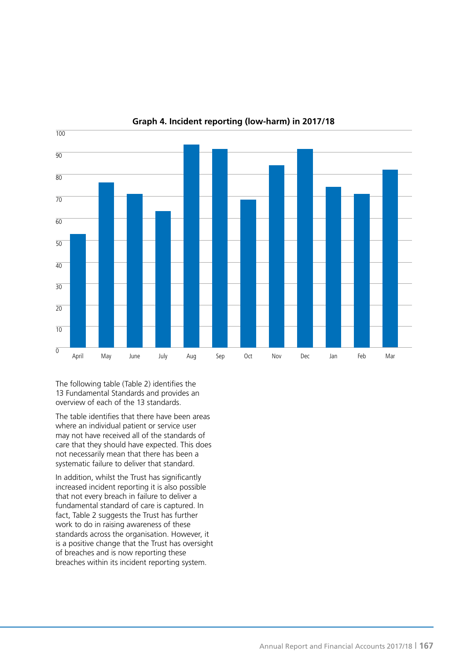

**Graph 4. Incident reporting (low-harm) in 2017/18**

The following table (Table 2) identifies the 13 Fundamental Standards and provides an overview of each of the 13 standards.

The table identifies that there have been areas where an individual patient or service user may not have received all of the standards of care that they should have expected. This does not necessarily mean that there has been a systematic failure to deliver that standard.

In addition, whilst the Trust has significantly increased incident reporting it is also possible that not every breach in failure to deliver a fundamental standard of care is captured. In fact, Table 2 suggests the Trust has further work to do in raising awareness of these standards across the organisation. However, it is a positive change that the Trust has oversight of breaches and is now reporting these breaches within its incident reporting system.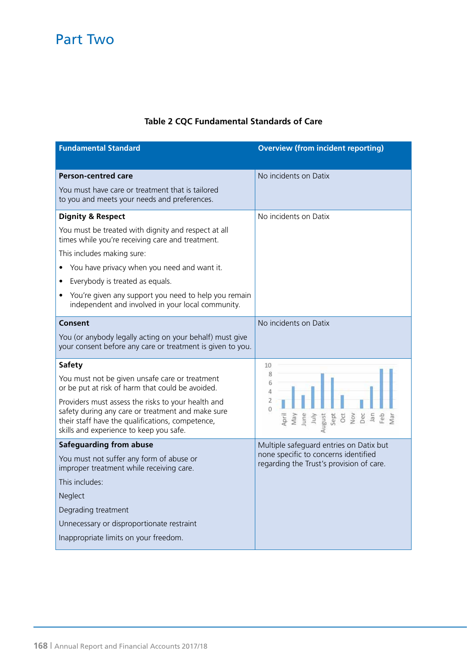# **Table 2 CQC Fundamental Standards of Care**

| <b>Fundamental Standard</b>                                                                                                                                                                                                                                                                                                                                               | <b>Overview (from incident reporting)</b>                                                                                                   |
|---------------------------------------------------------------------------------------------------------------------------------------------------------------------------------------------------------------------------------------------------------------------------------------------------------------------------------------------------------------------------|---------------------------------------------------------------------------------------------------------------------------------------------|
| <b>Person-centred care</b><br>You must have care or treatment that is tailored<br>to you and meets your needs and preferences.                                                                                                                                                                                                                                            | No incidents on Datix                                                                                                                       |
| <b>Dignity &amp; Respect</b><br>You must be treated with dignity and respect at all<br>times while you're receiving care and treatment.<br>This includes making sure:<br>You have privacy when you need and want it.<br>Everybody is treated as equals.<br>You're given any support you need to help you remain<br>٠<br>independent and involved in your local community. | No incidents on Datix                                                                                                                       |
| Consent<br>You (or anybody legally acting on your behalf) must give<br>your consent before any care or treatment is given to you.                                                                                                                                                                                                                                         | No incidents on Datix                                                                                                                       |
| <b>Safety</b><br>You must not be given unsafe care or treatment<br>or be put at risk of harm that could be avoided.<br>Providers must assess the risks to your health and<br>safety during any care or treatment and make sure<br>their staff have the qualifications, competence,<br>skills and experience to keep you safe.                                             | 10<br>8<br>6<br>4<br>$\overline{2}$<br>$\Omega$<br>lune<br>lan<br>April<br>August<br>Sept<br>Dec<br>Feb<br>May<br>July<br><b>Oct</b><br>Nov |
| <b>Safeguarding from abuse</b><br>You must not suffer any form of abuse or<br>improper treatment while receiving care.<br>This includes:<br>Neglect<br>Degrading treatment<br>Unnecessary or disproportionate restraint<br>Inappropriate limits on your freedom.                                                                                                          | Multiple safeguard entries on Datix but<br>none specific to concerns identified<br>regarding the Trust's provision of care.                 |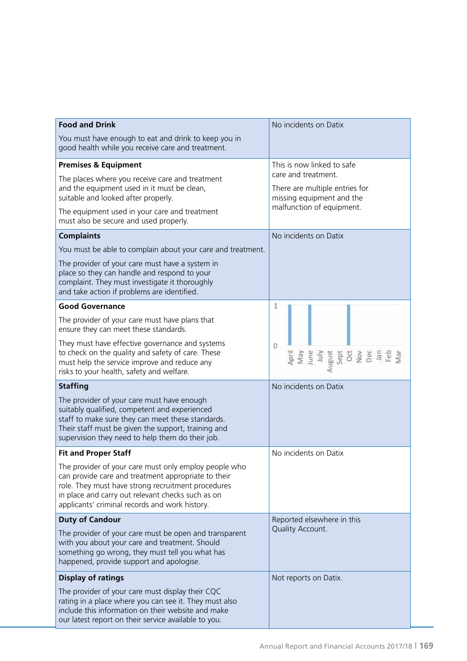| <b>Food and Drink</b>                                                                                                                                                                                                                                                     | No incidents on Datix                                                              |  |
|---------------------------------------------------------------------------------------------------------------------------------------------------------------------------------------------------------------------------------------------------------------------------|------------------------------------------------------------------------------------|--|
| You must have enough to eat and drink to keep you in<br>good health while you receive care and treatment.                                                                                                                                                                 |                                                                                    |  |
| <b>Premises &amp; Equipment</b>                                                                                                                                                                                                                                           | This is now linked to safe                                                         |  |
| The places where you receive care and treatment<br>and the equipment used in it must be clean,<br>suitable and looked after properly.                                                                                                                                     | care and treatment.<br>There are multiple entries for<br>missing equipment and the |  |
| The equipment used in your care and treatment<br>must also be secure and used properly.                                                                                                                                                                                   | malfunction of equipment.                                                          |  |
| <b>Complaints</b>                                                                                                                                                                                                                                                         | No incidents on Datix                                                              |  |
| You must be able to complain about your care and treatment.                                                                                                                                                                                                               |                                                                                    |  |
| The provider of your care must have a system in<br>place so they can handle and respond to your<br>complaint. They must investigate it thoroughly<br>and take action if problems are identified.                                                                          |                                                                                    |  |
| <b>Good Governance</b>                                                                                                                                                                                                                                                    | 1                                                                                  |  |
| The provider of your care must have plans that<br>ensure they can meet these standards.                                                                                                                                                                                   |                                                                                    |  |
| They must have effective governance and systems<br>to check on the quality and safety of care. These<br>must help the service improve and reduce any<br>risks to your health, safety and welfare.                                                                         | $\theta$                                                                           |  |
| <b>Staffing</b>                                                                                                                                                                                                                                                           | No incidents on Datix                                                              |  |
| The provider of your care must have enough<br>suitably qualified, competent and experienced<br>staff to make sure they can meet these standards.<br>Their staff must be given the support, training and<br>supervision they need to help them do their job.               |                                                                                    |  |
| <b>Fit and Proper Staff</b>                                                                                                                                                                                                                                               | No incidents on Datix                                                              |  |
| The provider of your care must only employ people who<br>can provide care and treatment appropriate to their<br>role. They must have strong recruitment procedures<br>in place and carry out relevant checks such as on<br>applicants' criminal records and work history. |                                                                                    |  |
| <b>Duty of Candour</b>                                                                                                                                                                                                                                                    | Reported elsewhere in this<br>Quality Account.                                     |  |
| The provider of your care must be open and transparent<br>with you about your care and treatment. Should<br>something go wrong, they must tell you what has<br>happened, provide support and apologise.                                                                   |                                                                                    |  |
| <b>Display of ratings</b>                                                                                                                                                                                                                                                 | Not reports on Datix.                                                              |  |
| The provider of your care must display their CQC<br>rating in a place where you can see it. They must also<br>include this information on their website and make<br>our latest report on their service available to you.                                                  |                                                                                    |  |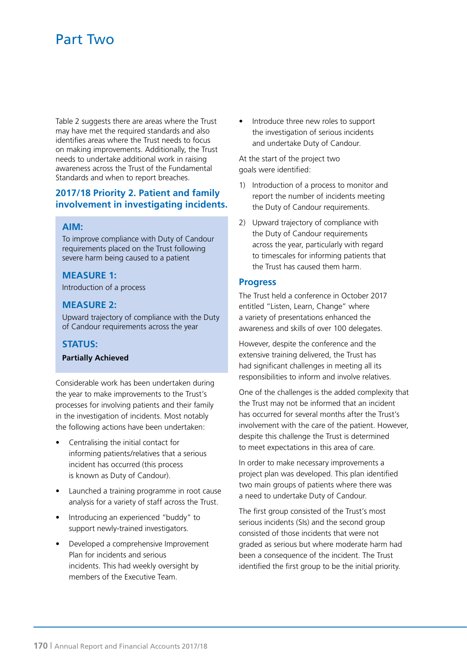Table 2 suggests there are areas where the Trust may have met the required standards and also identifies areas where the Trust needs to focus on making improvements. Additionally, the Trust needs to undertake additional work in raising awareness across the Trust of the Fundamental Standards and when to report breaches.

### **2017/18 Priority 2. Patient and family involvement in investigating incidents.**

#### **AIM:**

To improve compliance with Duty of Candour requirements placed on the Trust following severe harm being caused to a patient

#### **MEASURE 1:**

Introduction of a process

### **MEASURE 2:**

Upward trajectory of compliance with the Duty of Candour requirements across the year

#### **STATUS:**

#### **Partially Achieved**

Considerable work has been undertaken during the year to make improvements to the Trust's processes for involving patients and their family in the investigation of incidents. Most notably the following actions have been undertaken:

- Centralising the initial contact for informing patients/relatives that a serious incident has occurred (this process is known as Duty of Candour).
- Launched a training programme in root cause analysis for a variety of staff across the Trust.
- Introducing an experienced "buddy" to support newly-trained investigators.
- Developed a comprehensive Improvement Plan for incidents and serious incidents. This had weekly oversight by members of the Executive Team.

• Introduce three new roles to support the investigation of serious incidents and undertake Duty of Candour.

At the start of the project two goals were identified:

- 1) Introduction of a process to monitor and report the number of incidents meeting the Duty of Candour requirements.
- 2) Upward trajectory of compliance with the Duty of Candour requirements across the year, particularly with regard to timescales for informing patients that the Trust has caused them harm.

#### **Progress**

The Trust held a conference in October 2017 entitled "Listen, Learn, Change" where a variety of presentations enhanced the awareness and skills of over 100 delegates.

However, despite the conference and the extensive training delivered, the Trust has had significant challenges in meeting all its responsibilities to inform and involve relatives.

One of the challenges is the added complexity that the Trust may not be informed that an incident has occurred for several months after the Trust's involvement with the care of the patient. However, despite this challenge the Trust is determined to meet expectations in this area of care.

In order to make necessary improvements a project plan was developed. This plan identified two main groups of patients where there was a need to undertake Duty of Candour.

The first group consisted of the Trust's most serious incidents (SIs) and the second group consisted of those incidents that were not graded as serious but where moderate harm had been a consequence of the incident. The Trust identified the first group to be the initial priority.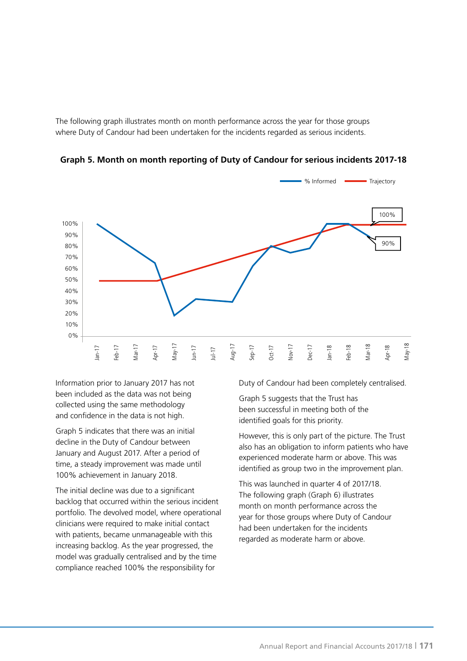The following graph illustrates month on month performance across the year for those groups where Duty of Candour had been undertaken for the incidents regarded as serious incidents.



**Graph 5. Month on month reporting of Duty of Candour for serious incidents 2017-18**

Information prior to January 2017 has not been included as the data was not being collected using the same methodology and confidence in the data is not high.

Graph 5 indicates that there was an initial decline in the Duty of Candour between January and August 2017. After a period of time, a steady improvement was made until 100% achievement in January 2018.

The initial decline was due to a significant backlog that occurred within the serious incident portfolio. The devolved model, where operational clinicians were required to make initial contact with patients, became unmanageable with this increasing backlog. As the year progressed, the model was gradually centralised and by the time compliance reached 100% the responsibility for

Duty of Candour had been completely centralised.

Graph 5 suggests that the Trust has been successful in meeting both of the identified goals for this priority.

However, this is only part of the picture. The Trust also has an obligation to inform patients who have experienced moderate harm or above. This was identified as group two in the improvement plan.

This was launched in quarter 4 of 2017/18. The following graph (Graph 6) illustrates month on month performance across the year for those groups where Duty of Candour had been undertaken for the incidents regarded as moderate harm or above.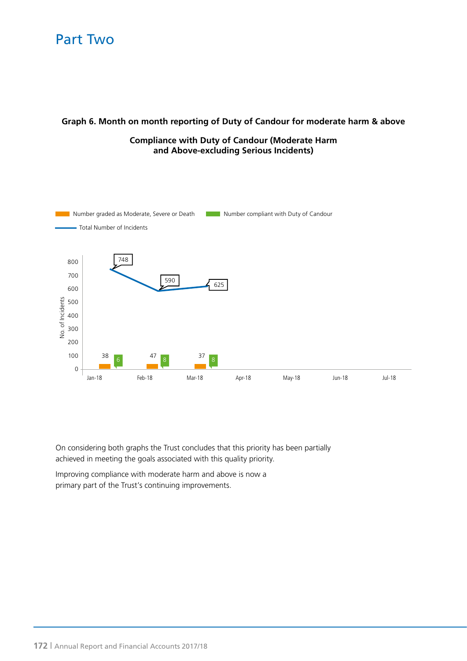### **Graph 6. Month on month reporting of Duty of Candour for moderate harm & above**

# **Compliance with Duty of Candour (Moderate Harm and Above-excluding Serious Incidents)**



On considering both graphs the Trust concludes that this priority has been partially achieved in meeting the goals associated with this quality priority.

Improving compliance with moderate harm and above is now a primary part of the Trust's continuing improvements.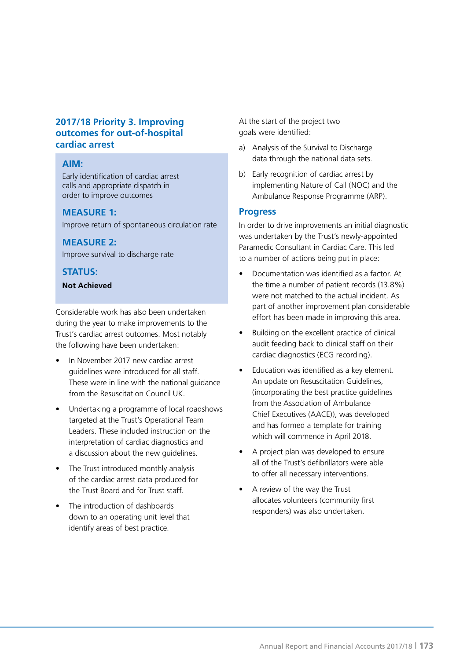### **2017/18 Priority 3. Improving outcomes for out-of-hospital cardiac arrest**

#### **AIM:**

Early identification of cardiac arrest calls and appropriate dispatch in order to improve outcomes

#### **MEASURE 1:**

Improve return of spontaneous circulation rate

### **MEASURE 2:**

Improve survival to discharge rate

### **STATUS:**

#### **Not Achieved**

Considerable work has also been undertaken during the year to make improvements to the Trust's cardiac arrest outcomes. Most notably the following have been undertaken:

- In November 2017 new cardiac arrest guidelines were introduced for all staff. These were in line with the national guidance from the Resuscitation Council UK.
- Undertaking a programme of local roadshows targeted at the Trust's Operational Team Leaders. These included instruction on the interpretation of cardiac diagnostics and a discussion about the new guidelines.
- The Trust introduced monthly analysis of the cardiac arrest data produced for the Trust Board and for Trust staff.
- The introduction of dashboards down to an operating unit level that identify areas of best practice.

At the start of the project two goals were identified:

- a) Analysis of the Survival to Discharge data through the national data sets.
- b) Early recognition of cardiac arrest by implementing Nature of Call (NOC) and the Ambulance Response Programme (ARP).

### **Progress**

In order to drive improvements an initial diagnostic was undertaken by the Trust's newly-appointed Paramedic Consultant in Cardiac Care. This led to a number of actions being put in place:

- Documentation was identified as a factor. At the time a number of patient records (13.8%) were not matched to the actual incident. As part of another improvement plan considerable effort has been made in improving this area.
- Building on the excellent practice of clinical audit feeding back to clinical staff on their cardiac diagnostics (ECG recording).
- Education was identified as a key element. An update on Resuscitation Guidelines, (incorporating the best practice guidelines from the Association of Ambulance Chief Executives (AACE)), was developed and has formed a template for training which will commence in April 2018.
- A project plan was developed to ensure all of the Trust's defibrillators were able to offer all necessary interventions.
- A review of the way the Trust allocates volunteers (community first responders) was also undertaken.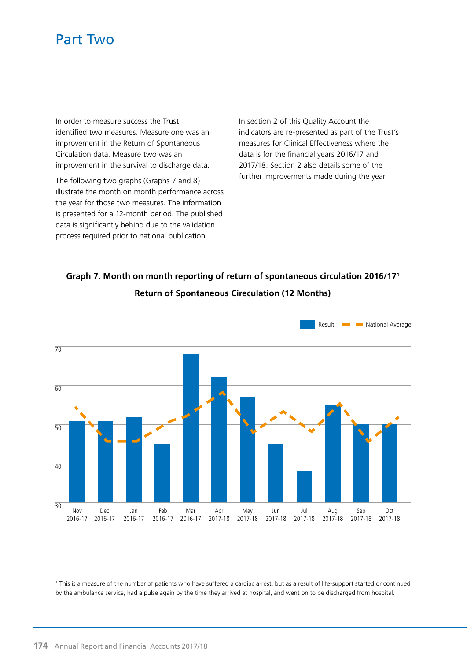In order to measure success the Trust identified two measures. Measure one was an improvement in the Return of Spontaneous Circulation data. Measure two was an improvement in the survival to discharge data.

The following two graphs (Graphs 7 and 8) illustrate the month on month performance across the year for those two measures. The information is presented for a 12-month period. The published data is significantly behind due to the validation process required prior to national publication.

In section 2 of this Quality Account the indicators are re-presented as part of the Trust's measures for Clinical Effectiveness where the data is for the financial years 2016/17 and 2017/18. Section 2 also details some of the further improvements made during the year.

# **Graph 7. Month on month reporting of return of spontaneous circulation 2016/171 Return of Spontaneous Cireculation (12 Months)**



1 This is a measure of the number of patients who have suffered a cardiac arrest, but as a result of life-support started or continued by the ambulance service, had a pulse again by the time they arrived at hospital, and went on to be discharged from hospital.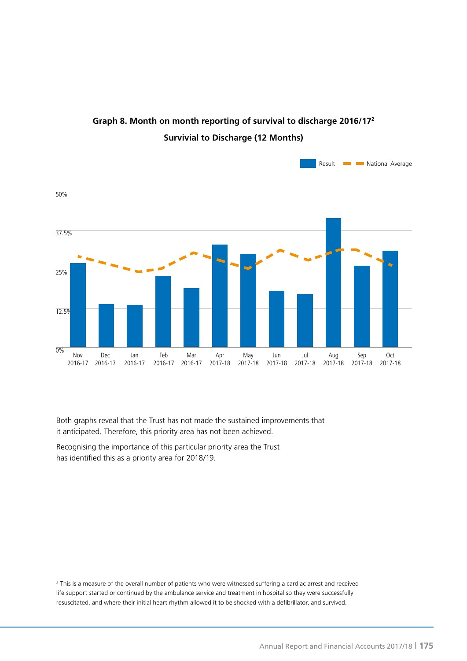

# **Graph 8. Month on month reporting of survival to discharge 2016/172 Survivial to Discharge (12 Months)**

Both graphs reveal that the Trust has not made the sustained improvements that it anticipated. Therefore, this priority area has not been achieved.

Recognising the importance of this particular priority area the Trust has identified this as a priority area for 2018/19.

2 This is a measure of the overall number of patients who were witnessed suffering a cardiac arrest and received life support started or continued by the ambulance service and treatment in hospital so they were successfully resuscitated, and where their initial heart rhythm allowed it to be shocked with a defibrillator, and survived.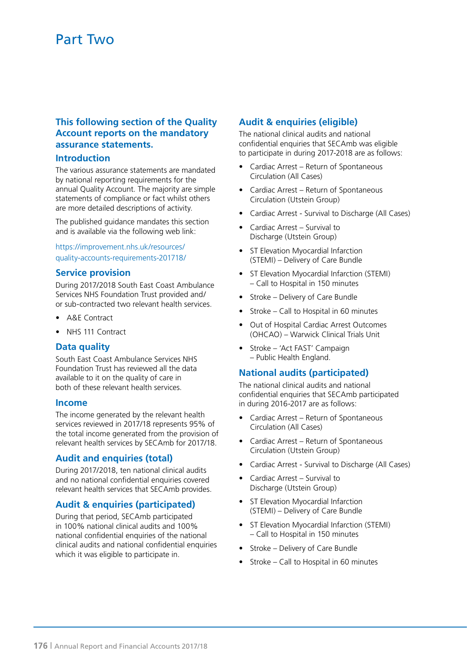# **This following section of the Quality Account reports on the mandatory assurance statements.**

#### **Introduction**

The various assurance statements are mandated by national reporting requirements for the annual Quality Account. The majority are simple statements of compliance or fact whilst others are more detailed descriptions of activity.

The published guidance mandates this section and is available via the following web link:

https://improvement.nhs.uk/resources/ quality-accounts-requirements-201718/

#### **Service provision**

During 2017/2018 South East Coast Ambulance Services NHS Foundation Trust provided and/ or sub-contracted two relevant health services.

- A&E Contract
- NHS 111 Contract

### **Data quality**

South East Coast Ambulance Services NHS Foundation Trust has reviewed all the data available to it on the quality of care in both of these relevant health services.

#### **Income**

The income generated by the relevant health services reviewed in 2017/18 represents 95% of the total income generated from the provision of relevant health services by SECAmb for 2017/18.

### **Audit and enquiries (total)**

During 2017/2018, ten national clinical audits and no national confidential enquiries covered relevant health services that SECAmb provides.

# **Audit & enquiries (participated)**

During that period, SECAmb participated in 100% national clinical audits and 100% national confidential enquiries of the national clinical audits and national confidential enquiries which it was eligible to participate in.

# **Audit & enquiries (eligible)**

The national clinical audits and national confidential enquiries that SECAmb was eligible to participate in during 2017-2018 are as follows:

- Cardiac Arrest Return of Spontaneous Circulation (All Cases)
- Cardiac Arrest Return of Spontaneous Circulation (Utstein Group)
- Cardiac Arrest Survival to Discharge (All Cases)
- Cardiac Arrest Survival to Discharge (Utstein Group)
- ST Elevation Myocardial Infarction (STEMI) – Delivery of Care Bundle
- ST Elevation Myocardial Infarction (STEMI) – Call to Hospital in 150 minutes
- Stroke Delivery of Care Bundle
- Stroke Call to Hospital in 60 minutes
- Out of Hospital Cardiac Arrest Outcomes (OHCAO) – Warwick Clinical Trials Unit
- Stroke 'Act FAST' Campaign – Public Health England.

### **National audits (participated)**

The national clinical audits and national confidential enquiries that SECAmb participated in during 2016-2017 are as follows:

- Cardiac Arrest Return of Spontaneous Circulation (All Cases)
- Cardiac Arrest Return of Spontaneous Circulation (Utstein Group)
- Cardiac Arrest Survival to Discharge (All Cases)
- Cardiac Arrest Survival to Discharge (Utstein Group)
- ST Elevation Myocardial Infarction (STEMI) – Delivery of Care Bundle
- ST Elevation Myocardial Infarction (STEMI) – Call to Hospital in 150 minutes
- Stroke Delivery of Care Bundle
- Stroke Call to Hospital in 60 minutes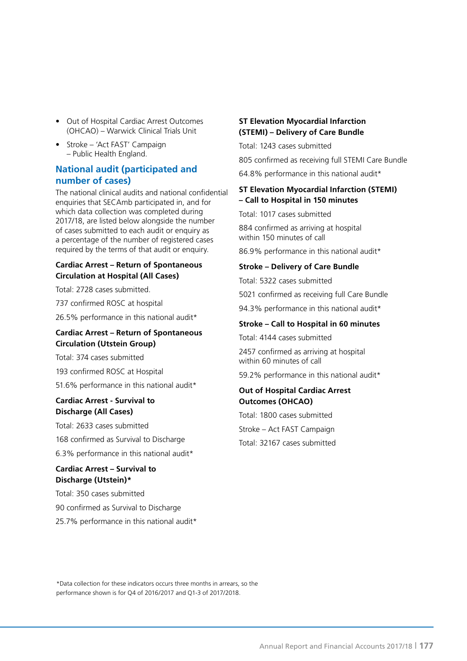- Out of Hospital Cardiac Arrest Outcomes (OHCAO) – Warwick Clinical Trials Unit
- Stroke 'Act FAST' Campaign – Public Health England.

# **National audit (participated and number of cases)**

The national clinical audits and national confidential enquiries that SECAmb participated in, and for which data collection was completed during 2017/18, are listed below alongside the number of cases submitted to each audit or enquiry as a percentage of the number of registered cases required by the terms of that audit or enquiry.

### **Cardiac Arrest – Return of Spontaneous Circulation at Hospital (All Cases)**

Total: 2728 cases submitted.

737 confirmed ROSC at hospital

26.5% performance in this national audit\*

#### **Cardiac Arrest – Return of Spontaneous Circulation (Utstein Group)**

Total: 374 cases submitted

193 confirmed ROSC at Hospital

51.6% performance in this national audit\*

#### **Cardiac Arrest - Survival to Discharge (All Cases)**

Total: 2633 cases submitted 168 confirmed as Survival to Discharge 6.3% performance in this national audit\*

### **Cardiac Arrest – Survival to Discharge (Utstein)\***

Total: 350 cases submitted 90 confirmed as Survival to Discharge 25.7% performance in this national audit\*

#### **ST Elevation Myocardial Infarction (STEMI) – Delivery of Care Bundle**

Total: 1243 cases submitted

805 confirmed as receiving full STEMI Care Bundle

64.8% performance in this national audit\*

### **ST Elevation Myocardial Infarction (STEMI) – Call to Hospital in 150 minutes**

Total: 1017 cases submitted

884 confirmed as arriving at hospital within 150 minutes of call

86.9% performance in this national audit\*

#### **Stroke – Delivery of Care Bundle**

Total: 5322 cases submitted

5021 confirmed as receiving full Care Bundle

94.3% performance in this national audit\*

#### **Stroke – Call to Hospital in 60 minutes**

Total: 4144 cases submitted

2457 confirmed as arriving at hospital within 60 minutes of call

59.2% performance in this national audit\*

### **Out of Hospital Cardiac Arrest Outcomes (OHCAO)**

Total: 1800 cases submitted Stroke – Act FAST Campaign Total: 32167 cases submitted

\*Data collection for these indicators occurs three months in arrears, so the performance shown is for Q4 of 2016/2017 and Q1-3 of 2017/2018.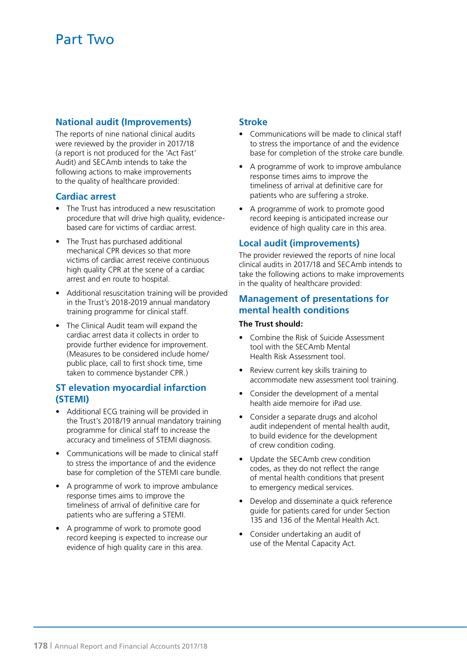# **National audit (Improvements)**

The reports of nine national clinical audits were reviewed by the provider in 2017/18 (a report is not produced for the 'Act Fast' Audit) and SECAmb intends to take the following actions to make improvements to the quality of healthcare provided:

#### **Cardiac arrest**

- The Trust has introduced a new resuscitation procedure that will drive high quality, evidencebased care for victims of cardiac arrest.
- The Trust has purchased additional mechanical CPR devices so that more victims of cardiac arrest receive continuous high quality CPR at the scene of a cardiac arrest and en route to hospital.
- Additional resuscitation training will be provided in the Trust's 2018-2019 annual mandatory training programme for clinical staff.
- The Clinical Audit team will expand the cardiac arrest data it collects in order to provide further evidence for improvement. (Measures to be considered include home/ public place, call to first shock time, time taken to commence bystander CPR.)

### **ST elevation myocardial infarction (STEMI)**

- Additional ECG training will be provided in the Trust's 2018/19 annual mandatory training programme for clinical staff to increase the accuracy and timeliness of STEMI diagnosis.
- Communications will be made to clinical staff to stress the importance of and the evidence base for completion of the STEMI care bundle.
- A programme of work to improve ambulance response times aims to improve the timeliness of arrival of definitive care for patients who are suffering a STEMI.
- A programme of work to promote good record keeping is expected to increase our evidence of high quality care in this area.

### **Stroke**

- Communications will be made to clinical staff to stress the importance of and the evidence base for completion of the stroke care bundle.
- A programme of work to improve ambulance response times aims to improve the timeliness of arrival at definitive care for patients who are suffering a stroke.
- A programme of work to promote good record keeping is anticipated increase our evidence of high quality care in this area.

### **Local audit (improvements)**

The provider reviewed the reports of nine local clinical audits in 2017/18 and SECAmb intends to take the following actions to make improvements in the quality of healthcare provided:

### **Management of presentations for mental health conditions**

#### **The Trust should:**

- Combine the Risk of Suicide Assessment tool with the SECAmb Mental Health Risk Assessment tool.
- Review current key skills training to accommodate new assessment tool training.
- Consider the development of a mental health aide memoire for iPad use.
- Consider a separate drugs and alcohol audit independent of mental health audit, to build evidence for the development of crew condition coding.
- Update the SECAmb crew condition codes, as they do not reflect the range of mental health conditions that present to emergency medical services.
- Develop and disseminate a quick reference guide for patients cared for under Section 135 and 136 of the Mental Health Act.
- Consider undertaking an audit of use of the Mental Capacity Act.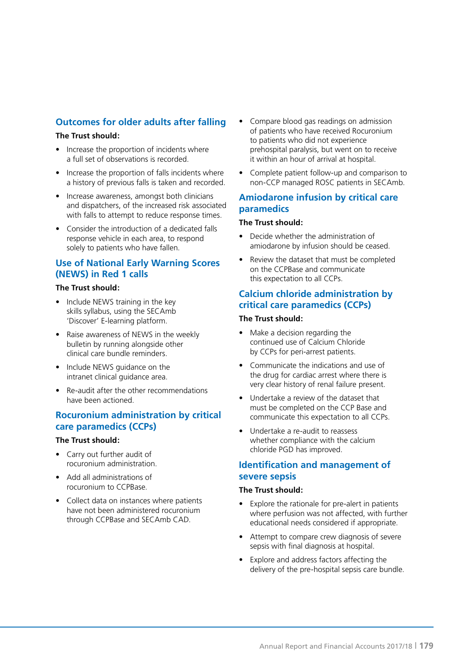# **Outcomes for older adults after falling**

#### **The Trust should:**

- Increase the proportion of incidents where a full set of observations is recorded.
- Increase the proportion of falls incidents where a history of previous falls is taken and recorded.
- Increase awareness, amongst both clinicians and dispatchers, of the increased risk associated with falls to attempt to reduce response times.
- Consider the introduction of a dedicated falls response vehicle in each area, to respond solely to patients who have fallen.

# **Use of National Early Warning Scores (NEWS) in Red 1 calls**

#### **The Trust should:**

- Include NEWS training in the key skills syllabus, using the SECAmb 'Discover' E-learning platform.
- Raise awareness of NEWS in the weekly bulletin by running alongside other clinical care bundle reminders.
- Include NEWS guidance on the intranet clinical guidance area.
- Re-audit after the other recommendations have been actioned.

# **Rocuronium administration by critical care paramedics (CCPs)**

#### **The Trust should:**

- Carry out further audit of rocuronium administration.
- Add all administrations of rocuronium to CCPBase.
- Collect data on instances where patients have not been administered rocuronium through CCPBase and SECAmb CAD.
- Compare blood gas readings on admission of patients who have received Rocuronium to patients who did not experience prehospital paralysis, but went on to receive it within an hour of arrival at hospital.
- Complete patient follow-up and comparison to non-CCP managed ROSC patients in SECAmb.

# **Amiodarone infusion by critical care paramedics**

#### **The Trust should:**

- Decide whether the administration of amiodarone by infusion should be ceased.
- Review the dataset that must be completed on the CCPBase and communicate this expectation to all CCPs.

# **Calcium chloride administration by critical care paramedics (CCPs)**

#### **The Trust should:**

- Make a decision regarding the continued use of Calcium Chloride by CCPs for peri-arrest patients.
- Communicate the indications and use of the drug for cardiac arrest where there is very clear history of renal failure present.
- Undertake a review of the dataset that must be completed on the CCP Base and communicate this expectation to all CCPs.
- Undertake a re-audit to reassess whether compliance with the calcium chloride PGD has improved.

# **Identification and management of severe sepsis**

#### **The Trust should:**

- Explore the rationale for pre-alert in patients where perfusion was not affected, with further educational needs considered if appropriate.
- Attempt to compare crew diagnosis of severe sepsis with final diagnosis at hospital.
- Explore and address factors affecting the delivery of the pre-hospital sepsis care bundle.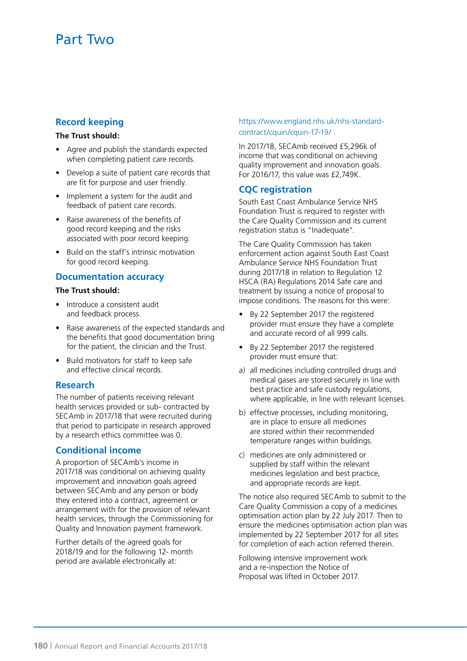# **Record keeping**

#### **The Trust should:**

- Agree and publish the standards expected when completing patient care records.
- Develop a suite of patient care records that are fit for purpose and user friendly.
- Implement a system for the audit and feedback of patient care records.
- Raise awareness of the benefits of good record keeping and the risks associated with poor record keeping.
- Build on the staff's intrinsic motivation for good record keeping.

#### **Documentation accuracy**

#### **The Trust should:**

- Introduce a consistent audit and feedback process.
- Raise awareness of the expected standards and the benefits that good documentation bring for the patient, the clinician and the Trust.
- Build motivators for staff to keep safe and effective clinical records.

### **Research**

The number of patients receiving relevant health services provided or sub- contracted by SECAmb in 2017/18 that were recruited during that period to participate in research approved by a research ethics committee was 0.

### **Conditional income**

A proportion of SECAmb's income in 2017/18 was conditional on achieving quality improvement and innovation goals agreed between SECAmb and any person or body they entered into a contract, agreement or arrangement with for the provision of relevant health services, through the Commissioning for Quality and Innovation payment framework.

Further details of the agreed goals for 2018/19 and for the following 12- month period are available electronically at:

#### https://www.england.nhs.uk/nhs-standardcontract/cquin/cquin-17-19/ .

In 2017/18, SECAmb received £5,296k of income that was conditional on achieving quality improvement and innovation goals. For 2016/17, this value was £2,749K.

### **CQC registration**

South East Coast Ambulance Service NHS Foundation Trust is required to register with the Care Quality Commission and its current registration status is "Inadequate".

The Care Quality Commission has taken enforcement action against South East Coast Ambulance Service NHS Foundation Trust during 2017/18 in relation to Regulation 12 HSCA (RA) Regulations 2014 Safe care and treatment by issuing a notice of proposal to impose conditions. The reasons for this were:

- By 22 September 2017 the registered provider must ensure they have a complete and accurate record of all 999 calls.
- By 22 September 2017 the registered provider must ensure that:
- a) all medicines including controlled drugs and medical gases are stored securely in line with best practice and safe custody regulations, where applicable, in line with relevant licenses.
- b) effective processes, including monitoring, are in place to ensure all medicines are stored within their recommended temperature ranges within buildings.
- c) medicines are only administered or supplied by staff within the relevant medicines legislation and best practice, and appropriate records are kept.

The notice also required SECAmb to submit to the Care Quality Commission a copy of a medicines optimisation action plan by 22 July 2017. Then to ensure the medicines optimisation action plan was implemented by 22 September 2017 for all sites for completion of each action referred therein.

Following intensive improvement work and a re-inspection the Notice of Proposal was lifted in October 2017.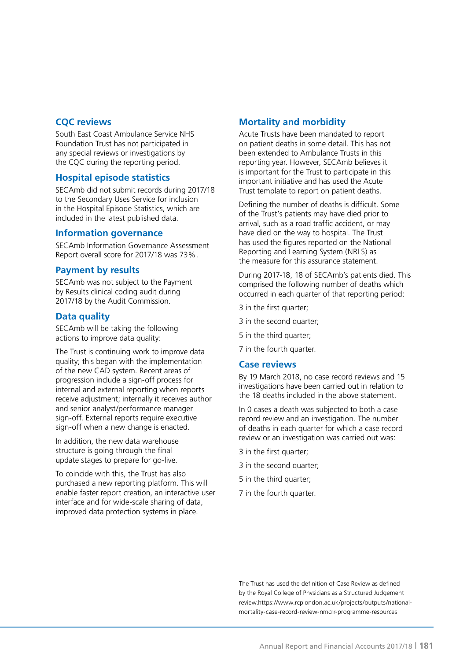### **CQC reviews**

South East Coast Ambulance Service NHS Foundation Trust has not participated in any special reviews or investigations by the CQC during the reporting period.

### **Hospital episode statistics**

SECAmb did not submit records during 2017/18 to the Secondary Uses Service for inclusion in the Hospital Episode Statistics, which are included in the latest published data.

### **Information governance**

SECAmb Information Governance Assessment Report overall score for 2017/18 was 73%.

### **Payment by results**

SECAmb was not subject to the Payment by Results clinical coding audit during 2017/18 by the Audit Commission.

### **Data quality**

SECAmb will be taking the following actions to improve data quality:

The Trust is continuing work to improve data quality; this began with the implementation of the new CAD system. Recent areas of progression include a sign-off process for internal and external reporting when reports receive adjustment; internally it receives author and senior analyst/performance manager sign-off. External reports require executive sign-off when a new change is enacted.

In addition, the new data warehouse structure is going through the final update stages to prepare for go-live.

To coincide with this, the Trust has also purchased a new reporting platform. This will enable faster report creation, an interactive user interface and for wide-scale sharing of data, improved data protection systems in place.

# **Mortality and morbidity**

Acute Trusts have been mandated to report on patient deaths in some detail. This has not been extended to Ambulance Trusts in this reporting year. However, SECAmb believes it is important for the Trust to participate in this important initiative and has used the Acute Trust template to report on patient deaths.

Defining the number of deaths is difficult. Some of the Trust's patients may have died prior to arrival, such as a road traffic accident, or may have died on the way to hospital. The Trust has used the figures reported on the National Reporting and Learning System (NRLS) as the measure for this assurance statement.

During 2017-18, 18 of SECAmb's patients died. This comprised the following number of deaths which occurred in each quarter of that reporting period:

3 in the first quarter;

3 in the second quarter;

5 in the third quarter;

7 in the fourth quarter.

### **Case reviews**

By 19 March 2018, no case record reviews and 15 investigations have been carried out in relation to the 18 deaths included in the above statement.

In 0 cases a death was subjected to both a case record review and an investigation. The number of deaths in each quarter for which a case record review or an investigation was carried out was:

- 3 in the first quarter;
- 3 in the second quarter;
- 5 in the third quarter;
- 7 in the fourth quarter.

The Trust has used the definition of Case Review as defined by the Royal College of Physicians as a Structured Judgement review.https://www.rcplondon.ac.uk/projects/outputs/nationalmortality-case-record-review-nmcrr-programme-resources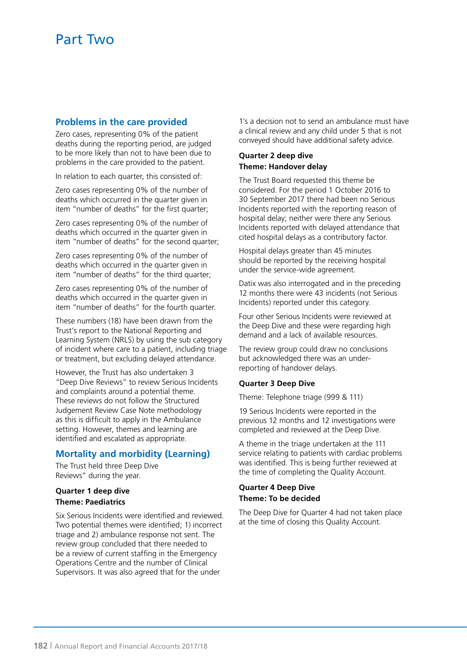### **Problems in the care provided**

Zero cases, representing 0% of the patient deaths during the reporting period, are judged to be more likely than not to have been due to problems in the care provided to the patient.

In relation to each quarter, this consisted of:

Zero cases representing 0% of the number of deaths which occurred in the quarter given in item "number of deaths" for the first quarter;

Zero cases representing 0% of the number of deaths which occurred in the quarter given in item "number of deaths" for the second quarter;

Zero cases representing 0% of the number of deaths which occurred in the quarter given in item "number of deaths" for the third quarter;

Zero cases representing 0% of the number of deaths which occurred in the quarter given in item "number of deaths" for the fourth quarter.

These numbers (18) have been drawn from the Trust's report to the National Reporting and Learning System (NRLS) by using the sub category of incident where care to a patient, including triage or treatment, but excluding delayed attendance.

However, the Trust has also undertaken 3 "Deep Dive Reviews" to review Serious Incidents and complaints around a potential theme. These reviews do not follow the Structured Judgement Review Case Note methodology as this is difficult to apply in the Ambulance setting. However, themes and learning are identified and escalated as appropriate.

# **Mortality and morbidity (Learning)**

The Trust held three Deep Dive Reviews" during the year.

#### **Quarter 1 deep dive Theme: Paediatrics**

Six Serious Incidents were identified and reviewed. Two potential themes were identified; 1) incorrect triage and 2) ambulance response not sent. The review group concluded that there needed to be a review of current staffing in the Emergency Operations Centre and the number of Clinical Supervisors. It was also agreed that for the under

1's a decision not to send an ambulance must have a clinical review and any child under 5 that is not conveyed should have additional safety advice.

#### **Quarter 2 deep dive Theme: Handover delay**

The Trust Board requested this theme be considered. For the period 1 October 2016 to 30 September 2017 there had been no Serious Incidents reported with the reporting reason of hospital delay; neither were there any Serious Incidents reported with delayed attendance that cited hospital delays as a contributory factor.

Hospital delays greater than 45 minutes should be reported by the receiving hospital under the service-wide agreement.

Datix was also interrogated and in the preceding 12 months there were 43 incidents (not Serious Incidents) reported under this category.

Four other Serious Incidents were reviewed at the Deep Dive and these were regarding high demand and a lack of available resources.

The review group could draw no conclusions but acknowledged there was an underreporting of handover delays.

#### **Quarter 3 Deep Dive**

Theme: Telephone triage (999 & 111)

19 Serious Incidents were reported in the previous 12 months and 12 investigations were completed and reviewed at the Deep Dive.

A theme in the triage undertaken at the 111 service relating to patients with cardiac problems was identified. This is being further reviewed at the time of completing the Quality Account.

#### **Quarter 4 Deep Dive Theme: To be decided**

The Deep Dive for Quarter 4 had not taken place at the time of closing this Quality Account.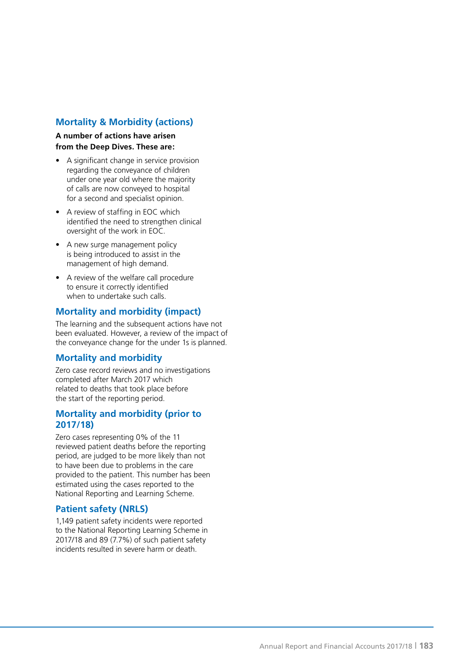# **Mortality & Morbidity (actions)**

**A number of actions have arisen from the Deep Dives. These are:**

- A significant change in service provision regarding the conveyance of children under one year old where the majority of calls are now conveyed to hospital for a second and specialist opinion.
- A review of staffing in EOC which identified the need to strengthen clinical oversight of the work in EOC.
- A new surge management policy is being introduced to assist in the management of high demand.
- A review of the welfare call procedure to ensure it correctly identified when to undertake such calls.

# **Mortality and morbidity (impact)**

The learning and the subsequent actions have not been evaluated. However, a review of the impact of the conveyance change for the under 1s is planned.

# **Mortality and morbidity**

Zero case record reviews and no investigations completed after March 2017 which related to deaths that took place before the start of the reporting period.

### **Mortality and morbidity (prior to 2017/18)**

Zero cases representing 0% of the 11 reviewed patient deaths before the reporting period, are judged to be more likely than not to have been due to problems in the care provided to the patient. This number has been estimated using the cases reported to the National Reporting and Learning Scheme.

# **Patient safety (NRLS)**

1,149 patient safety incidents were reported to the National Reporting Learning Scheme in 2017/18 and 89 (7.7%) of such patient safety incidents resulted in severe harm or death.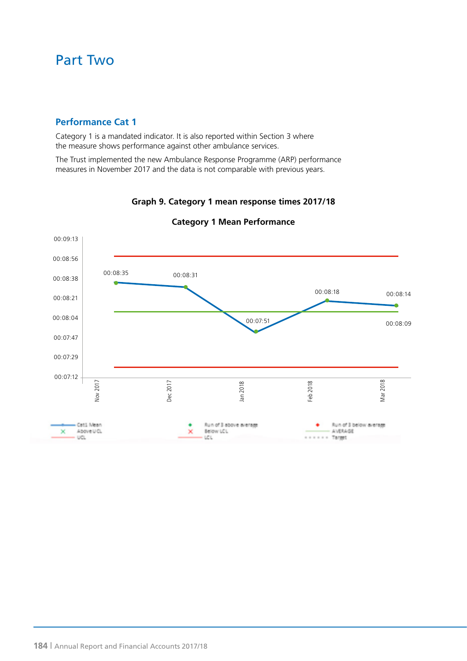# Part Two

# **Performance Cat 1**

Category 1 is a mandated indicator. It is also reported within Section 3 where the measure shows performance against other ambulance services.

The Trust implemented the new Ambulance Response Programme (ARP) performance measures in November 2017 and the data is not comparable with previous years.



**Graph 9. Category 1 mean response times 2017/18**

**Category 1 Mean Performance**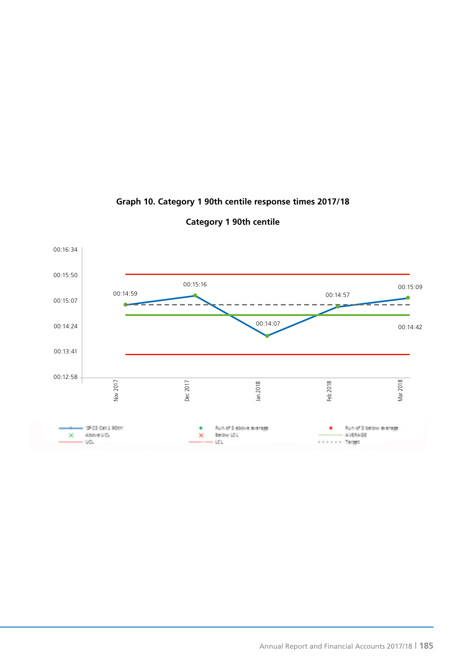

# **Graph 10. Category 1 90th centile response times 2017/18**

**Category 1 90th centile**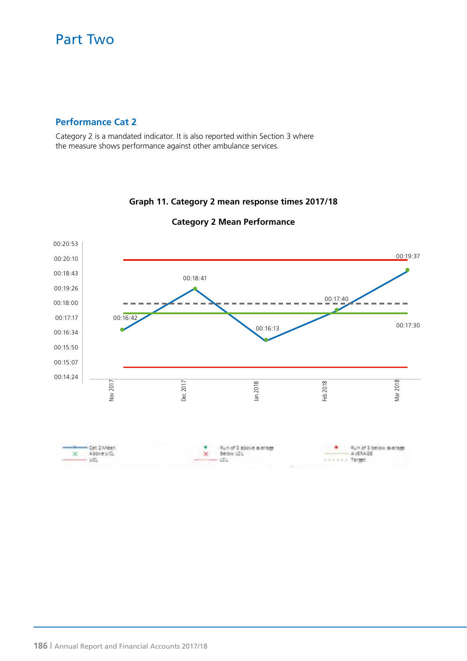# Part Two

# **Performance Cat 2**

Category 2 is a mandated indicator. It is also reported within Section 3 where the measure shows performance against other ambulance services.



# **Graph 11. Category 2 mean response times 2017/18**

**Category 2 Mean Performance**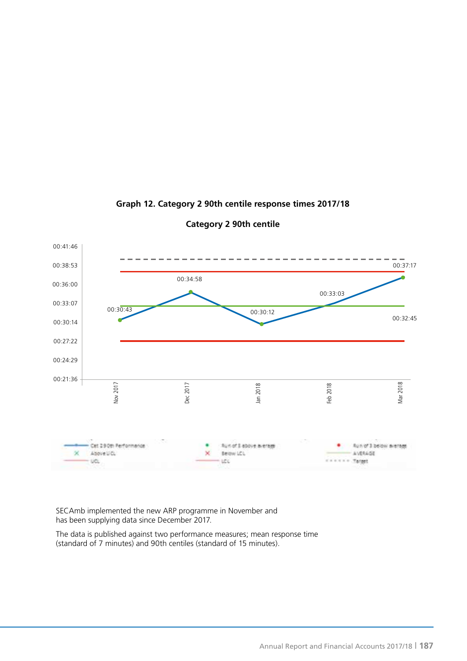

### **Graph 12. Category 2 90th centile response times 2017/18**

**Category 2 90th centile**

SECAmb implemented the new ARP programme in November and has been supplying data since December 2017.

The data is published against two performance measures; mean response time (standard of 7 minutes) and 90th centiles (standard of 15 minutes).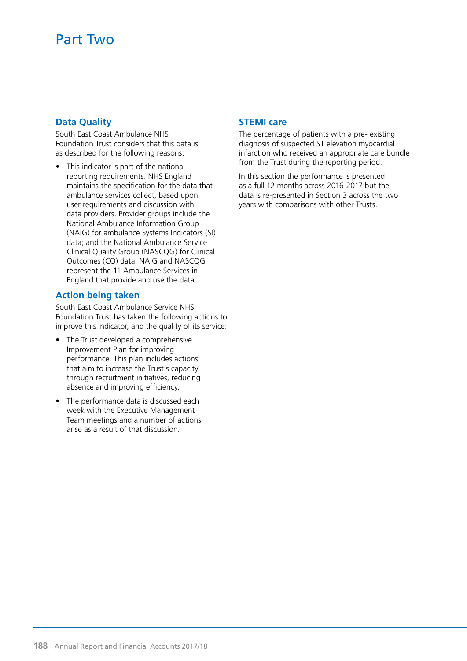# **Data Quality**

South East Coast Ambulance NHS Foundation Trust considers that this data is as described for the following reasons:

This indicator is part of the national reporting requirements. NHS England maintains the specification for the data that ambulance services collect, based upon user requirements and discussion with data providers. Provider groups include the National Ambulance Information Group (NAIG) for ambulance Systems Indicators (SI) data; and the National Ambulance Service Clinical Quality Group (NASCQG) for Clinical Outcomes (CO) data. NAIG and NASCQG represent the 11 Ambulance Services in England that provide and use the data.

# **Action being taken**

South East Coast Ambulance Service NHS Foundation Trust has taken the following actions to improve this indicator, and the quality of its service:

- The Trust developed a comprehensive Improvement Plan for improving performance. This plan includes actions that aim to increase the Trust's capacity through recruitment initiatives, reducing absence and improving efficiency.
- The performance data is discussed each week with the Executive Management Team meetings and a number of actions arise as a result of that discussion.

# **STEMI care**

The percentage of patients with a pre- existing diagnosis of suspected ST elevation myocardial infarction who received an appropriate care bundle from the Trust during the reporting period.

In this section the performance is presented as a full 12 months across 2016-2017 but the data is re-presented in Section 3 across the two years with comparisons with other Trusts.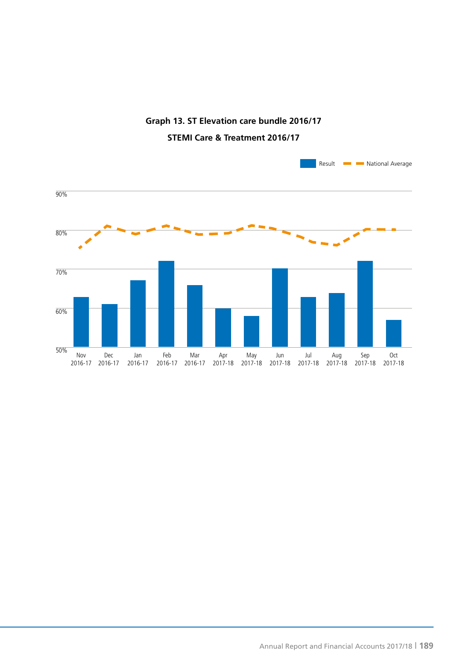

# **Graph 13. ST Elevation care bundle 2016/17 STEMI Care & Treatment 2016/17**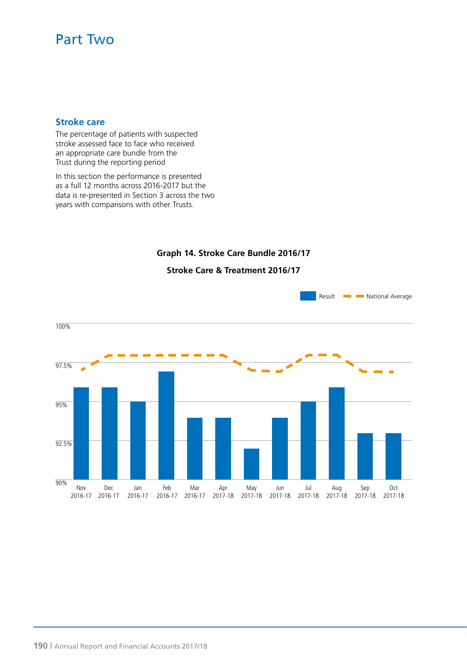# Part Two

### **Stroke care**

The percentage of patients with suspected stroke assessed face to face who received an appropriate care bundle from the Trust during the reporting period

In this section the performance is presented as a full 12 months across 2016-2017 but the data is re-presented in Section 3 across the two years with comparisons with other Trusts.

# **Graph 14. Stroke Care Bundle 2016/17**



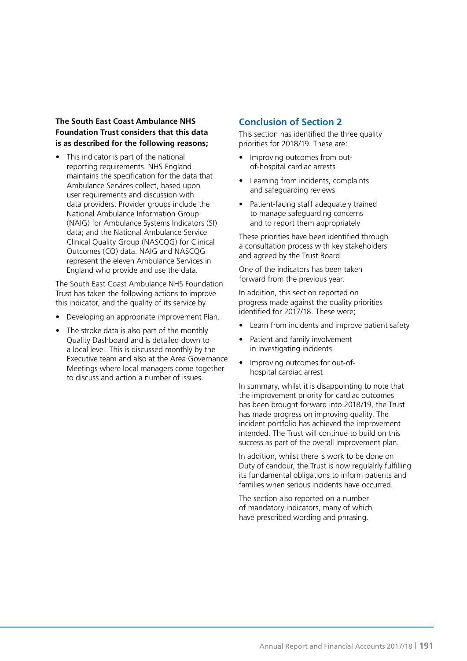#### **The South East Coast Ambulance NHS Foundation Trust considers that this data is as described for the following reasons;**

This indicator is part of the national reporting requirements. NHS England maintains the specification for the data that Ambulance Services collect, based upon user requirements and discussion with data providers. Provider groups include the National Ambulance Information Group (NAIG) for Ambulance Systems Indicators (SI) data; and the National Ambulance Service Clinical Quality Group (NASCQG) for Clinical Outcomes (CO) data. NAIG and NASCQG represent the eleven Ambulance Services in England who provide and use the data.

The South East Coast Ambulance NHS Foundation Trust has taken the following actions to improve this indicator, and the quality of its service by

- Developing an appropriate improvement Plan.
- The stroke data is also part of the monthly Quality Dashboard and is detailed down to a local level. This is discussed monthly by the Executive team and also at the Area Governance Meetings where local managers come together to discuss and action a number of issues.

# **Conclusion of Section 2**

This section has identified the three quality priorities for 2018/19. These are:

- Improving outcomes from outof-hospital cardiac arrests
- Learning from incidents, complaints and safeguarding reviews
- Patient-facing staff adequately trained to manage safeguarding concerns and to report them appropriately

These priorities have been identified through a consultation process with key stakeholders and agreed by the Trust Board.

One of the indicators has been taken forward from the previous year.

In addition, this section reported on progress made against the quality priorities identified for 2017/18. These were;

- Learn from incidents and improve patient safety
- Patient and family involvement in investigating incidents
- Improving outcomes for out-ofhospital cardiac arrest

In summary, whilst it is disappointing to note that the improvement priority for cardiac outcomes has been brought forward into 2018/19, the Trust has made progress on improving quality. The incident portfolio has achieved the improvement intended. The Trust will continue to build on this success as part of the overall Improvement plan.

In addition, whilst there is work to be done on Duty of candour, the Trust is now regulalrly fulfilling its fundamental obligations to inform patients and families when serious incidents have occurred.

The section also reported on a number of mandatory indicators, many of which have prescribed wording and phrasing.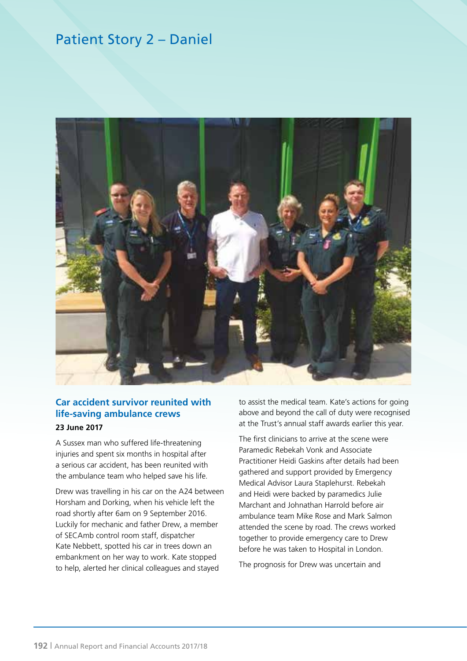# Patient Story 2 – Daniel



# **Car accident survivor reunited with life-saving ambulance crews**

#### **23 June 2017**

A Sussex man who suffered life-threatening injuries and spent six months in hospital after a serious car accident, has been reunited with the ambulance team who helped save his life.

Drew was travelling in his car on the A24 between Horsham and Dorking, when his vehicle left the road shortly after 6am on 9 September 2016. Luckily for mechanic and father Drew, a member of SECAmb control room staff, dispatcher Kate Nebbett, spotted his car in trees down an embankment on her way to work. Kate stopped to help, alerted her clinical colleagues and stayed

to assist the medical team. Kate's actions for going above and beyond the call of duty were recognised at the Trust's annual staff awards earlier this year.

The first clinicians to arrive at the scene were Paramedic Rebekah Vonk and Associate Practitioner Heidi Gaskins after details had been gathered and support provided by Emergency Medical Advisor Laura Staplehurst. Rebekah and Heidi were backed by paramedics Julie Marchant and Johnathan Harrold before air ambulance team Mike Rose and Mark Salmon attended the scene by road. The crews worked together to provide emergency care to Drew before he was taken to Hospital in London.

The prognosis for Drew was uncertain and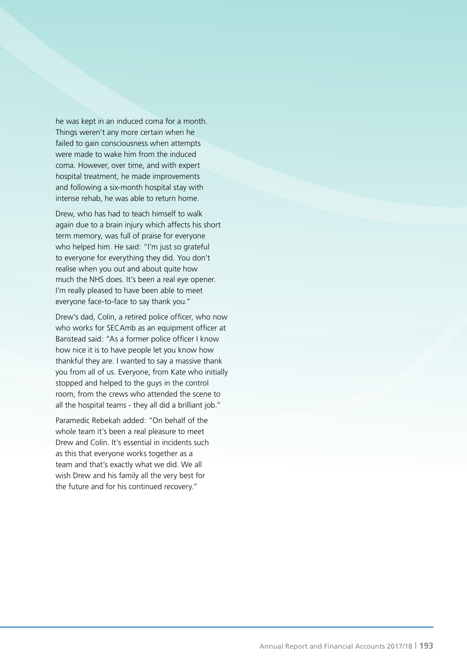he was kept in an induced coma for a month. Things weren't any more certain when he failed to gain consciousness when attempts were made to wake him from the induced coma. However, over time, and with expert hospital treatment, he made improvements and following a six-month hospital stay with intense rehab, he was able to return home.

Drew, who has had to teach himself to walk again due to a brain injury which affects his short term memory, was full of praise for everyone who helped him. He said: "I'm just so grateful to everyone for everything they did. You don't realise when you out and about quite how much the NHS does. It's been a real eye opener. I'm really pleased to have been able to meet everyone face-to-face to say thank you."

Drew's dad, Colin, a retired police officer, who now who works for SECAmb as an equipment officer at Banstead said: "As a former police officer I know how nice it is to have people let you know how thankful they are. I wanted to say a massive thank you from all of us. Everyone, from Kate who initially stopped and helped to the guys in the control room, from the crews who attended the scene to all the hospital teams - they all did a brilliant job."

Paramedic Rebekah added: "On behalf of the whole team it's been a real pleasure to meet Drew and Colin. It's essential in incidents such as this that everyone works together as a team and that's exactly what we did. We all wish Drew and his family all the very best for the future and for his continued recovery."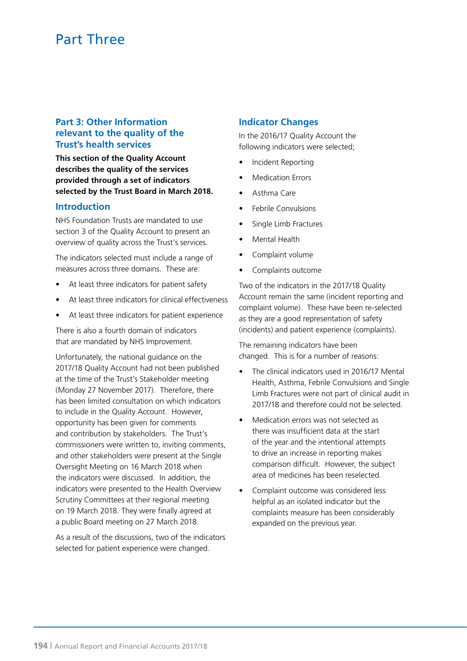# **Part 3: Other Information relevant to the quality of the Trust's health services**

**This section of the Quality Account describes the quality of the services provided through a set of indicators selected by the Trust Board in March 2018.** 

#### **Introduction**

NHS Foundation Trusts are mandated to use section 3 of the Quality Account to present an overview of quality across the Trust's services.

The indicators selected must include a range of measures across three domains. These are:

- At least three indicators for patient safety
- At least three indicators for clinical effectiveness
- At least three indicators for patient experience

There is also a fourth domain of indicators that are mandated by NHS Improvement.

Unfortunately, the national guidance on the 2017/18 Quality Account had not been published at the time of the Trust's Stakeholder meeting (Monday 27 November 2017). Therefore, there has been limited consultation on which indicators to include in the Quality Account. However, opportunity has been given for comments and contribution by stakeholders. The Trust's commissioners were written to, inviting comments, and other stakeholders were present at the Single Oversight Meeting on 16 March 2018 when the indicators were discussed. In addition, the indicators were presented to the Health Overview Scrutiny Committees at their regional meeting on 19 March 2018. They were finally agreed at a public Board meeting on 27 March 2018.

As a result of the discussions, two of the indicators selected for patient experience were changed.

#### **Indicator Changes**

In the 2016/17 Quality Account the following indicators were selected;

- Incident Reporting
- Medication Errors
- Asthma Care
- Febrile Convulsions
- Single Limb Fractures
- Mental Health
- Complaint volume
- Complaints outcome

Two of the indicators in the 2017/18 Quality Account remain the same (incident reporting and complaint volume). These have been re-selected as they are a good representation of safety (incidents) and patient experience (complaints).

The remaining indicators have been changed. This is for a number of reasons:

- The clinical indicators used in 2016/17 Mental Health, Asthma, Febrile Convulsions and Single Limb Fractures were not part of clinical audit in 2017/18 and therefore could not be selected.
- Medication errors was not selected as there was insufficient data at the start of the year and the intentional attempts to drive an increase in reporting makes comparison difficult. However, the subject area of medicines has been reselected.
- Complaint outcome was considered less helpful as an isolated indicator but the complaints measure has been considerably expanded on the previous year.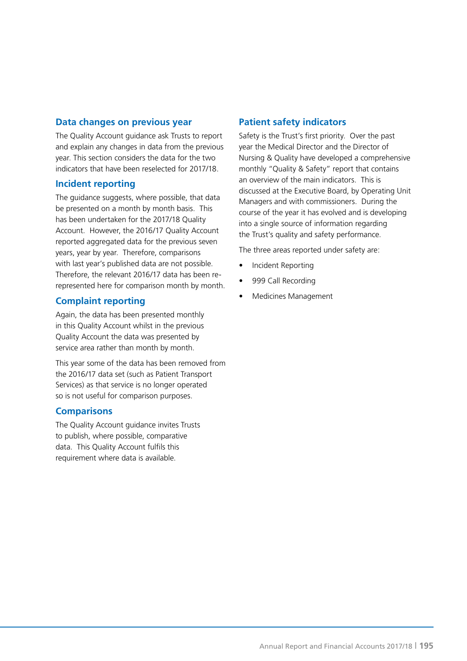# **Data changes on previous year**

The Quality Account guidance ask Trusts to report and explain any changes in data from the previous year. This section considers the data for the two indicators that have been reselected for 2017/18.

#### **Incident reporting**

The guidance suggests, where possible, that data be presented on a month by month basis. This has been undertaken for the 2017/18 Quality Account. However, the 2016/17 Quality Account reported aggregated data for the previous seven years, year by year. Therefore, comparisons with last year's published data are not possible. Therefore, the relevant 2016/17 data has been rerepresented here for comparison month by month.

# **Complaint reporting**

Again, the data has been presented monthly in this Quality Account whilst in the previous Quality Account the data was presented by service area rather than month by month.

This year some of the data has been removed from the 2016/17 data set (such as Patient Transport Services) as that service is no longer operated so is not useful for comparison purposes.

#### **Comparisons**

The Quality Account guidance invites Trusts to publish, where possible, comparative data. This Quality Account fulfils this requirement where data is available.

# **Patient safety indicators**

Safety is the Trust's first priority. Over the past year the Medical Director and the Director of Nursing & Quality have developed a comprehensive monthly "Quality & Safety" report that contains an overview of the main indicators. This is discussed at the Executive Board, by Operating Unit Managers and with commissioners. During the course of the year it has evolved and is developing into a single source of information regarding the Trust's quality and safety performance.

The three areas reported under safety are:

- Incident Reporting
- 999 Call Recording
- Medicines Management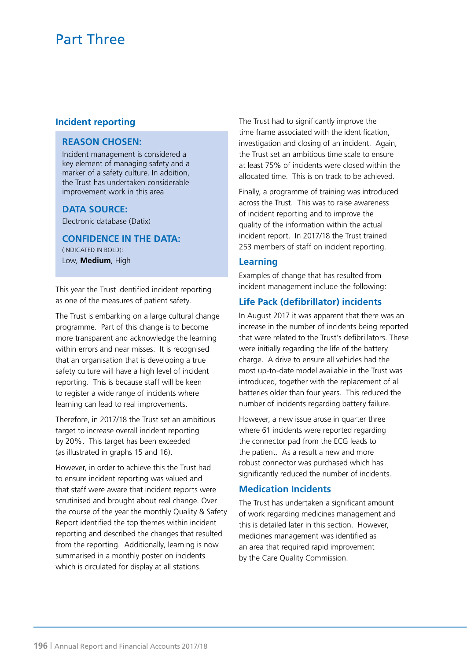#### **Incident reporting**

#### **REASON CHOSEN:**

Incident management is considered a key element of managing safety and a marker of a safety culture. In addition, the Trust has undertaken considerable improvement work in this area

#### **DATA SOURCE:**

Electronic database (Datix)

**CONFIDENCE IN THE DATA:** (INDICATED IN BOLD): Low, **Medium**, High

This year the Trust identified incident reporting as one of the measures of patient safety.

The Trust is embarking on a large cultural change programme. Part of this change is to become more transparent and acknowledge the learning within errors and near misses. It is recognised that an organisation that is developing a true safety culture will have a high level of incident reporting. This is because staff will be keen to register a wide range of incidents where learning can lead to real improvements.

Therefore, in 2017/18 the Trust set an ambitious target to increase overall incident reporting by 20%. This target has been exceeded (as illustrated in graphs 15 and 16).

However, in order to achieve this the Trust had to ensure incident reporting was valued and that staff were aware that incident reports were scrutinised and brought about real change. Over the course of the year the monthly Quality & Safety Report identified the top themes within incident reporting and described the changes that resulted from the reporting. Additionally, learning is now summarised in a monthly poster on incidents which is circulated for display at all stations.

The Trust had to significantly improve the time frame associated with the identification, investigation and closing of an incident. Again, the Trust set an ambitious time scale to ensure at least 75% of incidents were closed within the allocated time. This is on track to be achieved.

Finally, a programme of training was introduced across the Trust. This was to raise awareness of incident reporting and to improve the quality of the information within the actual incident report. In 2017/18 the Trust trained 253 members of staff on incident reporting.

#### **Learning**

Examples of change that has resulted from incident management include the following:

#### **Life Pack (defibrillator) incidents**

In August 2017 it was apparent that there was an increase in the number of incidents being reported that were related to the Trust's defibrillators. These were initially regarding the life of the battery charge. A drive to ensure all vehicles had the most up-to-date model available in the Trust was introduced, together with the replacement of all batteries older than four years. This reduced the number of incidents regarding battery failure.

However, a new issue arose in quarter three where 61 incidents were reported regarding the connector pad from the ECG leads to the patient. As a result a new and more robust connector was purchased which has significantly reduced the number of incidents.

#### **Medication Incidents**

The Trust has undertaken a significant amount of work regarding medicines management and this is detailed later in this section. However, medicines management was identified as an area that required rapid improvement by the Care Quality Commission.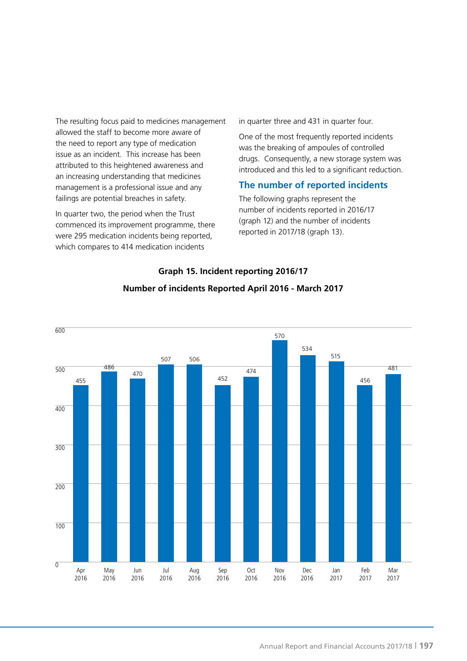The resulting focus paid to medicines management allowed the staff to become more aware of the need to report any type of medication issue as an incident. This increase has been attributed to this heightened awareness and an increasing understanding that medicines management is a professional issue and any failings are potential breaches in safety.

In quarter two, the period when the Trust commenced its improvement programme, there were 295 medication incidents being reported, which compares to 414 medication incidents

in quarter three and 431 in quarter four.

One of the most frequently reported incidents was the breaking of ampoules of controlled drugs. Consequently, a new storage system was introduced and this led to a significant reduction.

### **The number of reported incidents**

The following graphs represent the number of incidents reported in 2016/17 (graph 12) and the number of incidents reported in 2017/18 (graph 13).



# **Number of incidents Reported April 2016 - March 2017**

**Graph 15. Incident reporting 2016/17**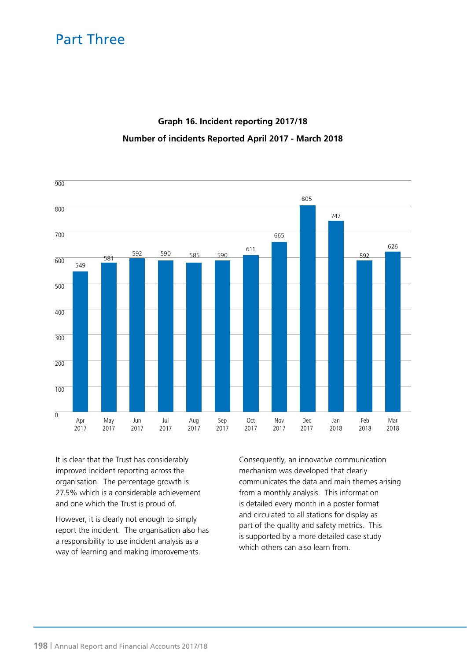# **Graph 16. Incident reporting 2017/18 Number of incidents Reported April 2017 - March 2018**



It is clear that the Trust has considerably improved incident reporting across the organisation. The percentage growth is 27.5% which is a considerable achievement and one which the Trust is proud of.

However, it is clearly not enough to simply report the incident. The organisation also has a responsibility to use incident analysis as a way of learning and making improvements.

Consequently, an innovative communication mechanism was developed that clearly communicates the data and main themes arising from a monthly analysis. This information is detailed every month in a poster format and circulated to all stations for display as part of the quality and safety metrics. This is supported by a more detailed case study which others can also learn from.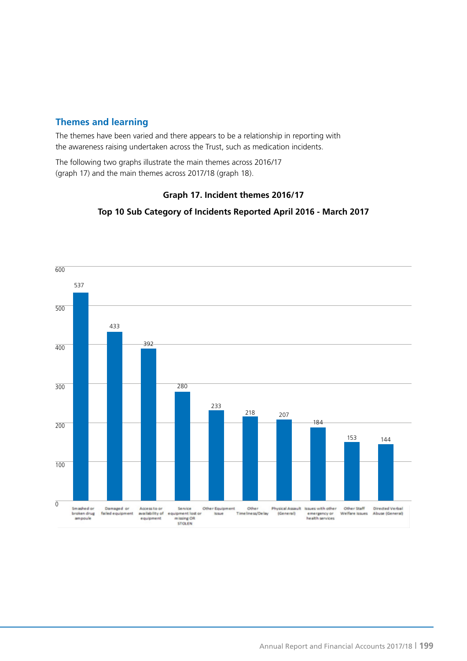# **Themes and learning**

The themes have been varied and there appears to be a relationship in reporting with the awareness raising undertaken across the Trust, such as medication incidents.

The following two graphs illustrate the main themes across 2016/17 (graph 17) and the main themes across 2017/18 (graph 18).

### **Graph 17. Incident themes 2016/17**



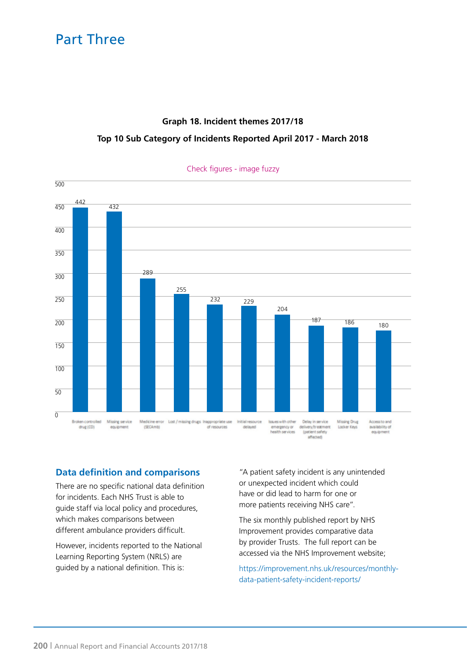# **Graph 18. Incident themes 2017/18 Top 10 Sub Category of Incidents Reported April 2017 - March 2018**



#### Check figures - image fuzzy

# **Data definition and comparisons**

There are no specific national data definition for incidents. Each NHS Trust is able to guide staff via local policy and procedures, which makes comparisons between different ambulance providers difficult.

However, incidents reported to the National Learning Reporting System (NRLS) are guided by a national definition. This is:

"A patient safety incident is any unintended or unexpected incident which could have or did lead to harm for one or more patients receiving NHS care".

The six monthly published report by NHS Improvement provides comparative data by provider Trusts. The full report can be accessed via the NHS Improvement website;

https://improvement.nhs.uk/resources/monthlydata-patient-safety-incident-reports/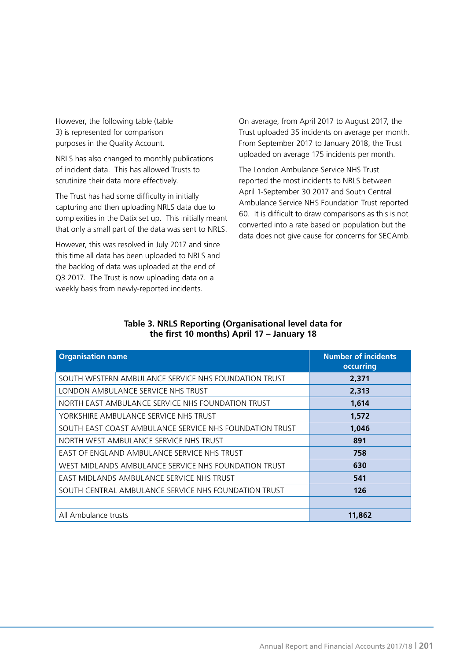However, the following table (table 3) is represented for comparison purposes in the Quality Account.

NRLS has also changed to monthly publications of incident data. This has allowed Trusts to scrutinize their data more effectively.

The Trust has had some difficulty in initially capturing and then uploading NRLS data due to complexities in the Datix set up. This initially meant that only a small part of the data was sent to NRLS.

However, this was resolved in July 2017 and since this time all data has been uploaded to NRLS and the backlog of data was uploaded at the end of Q3 2017. The Trust is now uploading data on a weekly basis from newly-reported incidents.

On average, from April 2017 to August 2017, the Trust uploaded 35 incidents on average per month. From September 2017 to January 2018, the Trust uploaded on average 175 incidents per month.

The London Ambulance Service NHS Trust reported the most incidents to NRLS between April 1-September 30 2017 and South Central Ambulance Service NHS Foundation Trust reported 60. It is difficult to draw comparisons as this is not converted into a rate based on population but the data does not give cause for concerns for SECAmb.

| <b>Organisation name</b>                                | <b>Number of incidents</b><br>occurring |
|---------------------------------------------------------|-----------------------------------------|
| SOUTH WESTERN AMBULANCE SERVICE NHS FOUNDATION TRUST    | 2,371                                   |
| LONDON AMBULANCE SERVICE NHS TRUST                      | 2,313                                   |
| NORTH EAST AMBULANCE SERVICE NHS FOUNDATION TRUST       | 1,614                                   |
| YORKSHIRE AMBULANCE SERVICE NHS TRUST                   | 1,572                                   |
| SOUTH EAST COAST AMBULANCE SERVICE NHS FOUNDATION TRUST | 1,046                                   |
| NORTH WEST AMBULANCE SERVICE NHS TRUST                  | 891                                     |
| EAST OF ENGLAND AMBULANCE SERVICE NHS TRUST             | 758                                     |
| WEST MIDLANDS AMBULANCE SERVICE NHS FOUNDATION TRUST    | 630                                     |
| EAST MIDLANDS AMBULANCE SERVICE NHS TRUST               | 541                                     |
| SOUTH CENTRAL AMBULANCE SERVICE NHS FOUNDATION TRUST    | 126                                     |
|                                                         |                                         |
| All Ambulance trusts                                    | 11,862                                  |

#### **Table 3. NRLS Reporting (Organisational level data for the first 10 months) April 17 – January 18**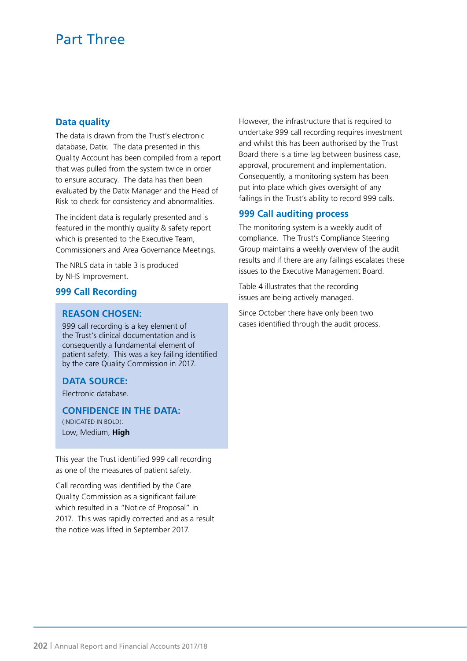### **Data quality**

The data is drawn from the Trust's electronic database, Datix. The data presented in this Quality Account has been compiled from a report that was pulled from the system twice in order to ensure accuracy. The data has then been evaluated by the Datix Manager and the Head of Risk to check for consistency and abnormalities.

The incident data is regularly presented and is featured in the monthly quality & safety report which is presented to the Executive Team, Commissioners and Area Governance Meetings.

The NRLS data in table 3 is produced by NHS Improvement.

### **999 Call Recording**

#### **REASON CHOSEN:**

999 call recording is a key element of the Trust's clinical documentation and is consequently a fundamental element of patient safety. This was a key failing identified by the care Quality Commission in 2017.

# **DATA SOURCE:**

Electronic database.

**CONFIDENCE IN THE DATA:** (INDICATED IN BOLD): Low, Medium, **High**

This year the Trust identified 999 call recording as one of the measures of patient safety.

Call recording was identified by the Care Quality Commission as a significant failure which resulted in a "Notice of Proposal" in 2017. This was rapidly corrected and as a result the notice was lifted in September 2017.

However, the infrastructure that is required to undertake 999 call recording requires investment and whilst this has been authorised by the Trust Board there is a time lag between business case, approval, procurement and implementation. Consequently, a monitoring system has been put into place which gives oversight of any failings in the Trust's ability to record 999 calls.

#### **999 Call auditing process**

The monitoring system is a weekly audit of compliance. The Trust's Compliance Steering Group maintains a weekly overview of the audit results and if there are any failings escalates these issues to the Executive Management Board.

Table 4 illustrates that the recording issues are being actively managed.

Since October there have only been two cases identified through the audit process.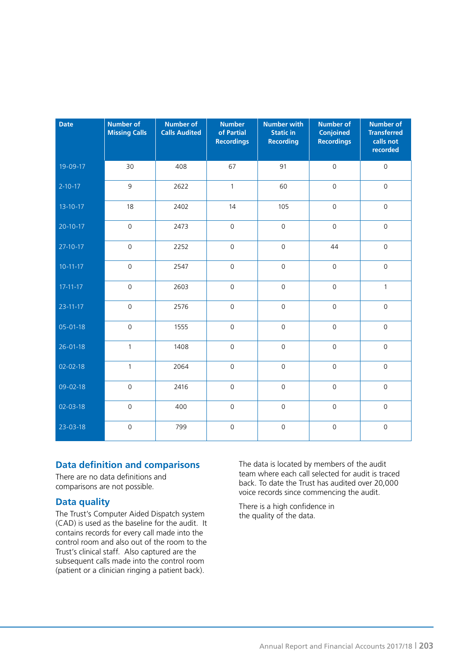| <b>Date</b>    | <b>Number of</b><br><b>Missing Calls</b> | <b>Number of</b><br><b>Calls Audited</b> | <b>Number</b><br>of Partial<br><b>Recordings</b> | <b>Number with</b><br><b>Static in</b><br><b>Recording</b> | <b>Number of</b><br><b>Conjoined</b><br><b>Recordings</b> | <b>Number of</b><br><b>Transferred</b><br>calls not<br>recorded |
|----------------|------------------------------------------|------------------------------------------|--------------------------------------------------|------------------------------------------------------------|-----------------------------------------------------------|-----------------------------------------------------------------|
| 19-09-17       | 30                                       | 408                                      | 67                                               | 91                                                         | $\mathbf 0$                                               | $\mathsf{O}\xspace$                                             |
| $2 - 10 - 17$  | 9                                        | 2622                                     | $\mathbf{1}$                                     | 60                                                         | $\mathsf{O}\xspace$                                       | $\mathsf{O}\xspace$                                             |
| $13 - 10 - 17$ | 18                                       | 2402                                     | 14                                               | 105                                                        | $\mathsf{O}\xspace$                                       | $\mathsf{O}\xspace$                                             |
| $20 - 10 - 17$ | $\mathsf{O}\xspace$                      | 2473                                     | $\mathsf{O}\xspace$                              | $\mathsf{O}\xspace$                                        | $\mathbf 0$                                               | $\mathsf{O}\xspace$                                             |
| $27-10-17$     | $\mathsf{O}\xspace$                      | 2252                                     | $\mathsf{O}\xspace$                              | $\mathsf{O}\xspace$                                        | 44                                                        | $\mathsf{O}\xspace$                                             |
| $10 - 11 - 17$ | $\mathsf{O}\xspace$                      | 2547                                     | $\mathsf{O}$                                     | $\mathsf{O}\xspace$                                        | $\mathsf{O}\xspace$                                       | $\mathsf{O}\xspace$                                             |
| $17 - 11 - 17$ | $\mathbf 0$                              | 2603                                     | $\mathsf{O}\xspace$                              | $\mathsf{O}\xspace$                                        | $\overline{0}$                                            | $\mathbf{1}$                                                    |
| $23 - 11 - 17$ | $\mathsf{O}\xspace$                      | 2576                                     | $\mathsf{O}\xspace$                              | $\mathsf{O}\xspace$                                        | $\mathsf{O}$                                              | $\mathsf{O}\xspace$                                             |
| $05 - 01 - 18$ | $\mathsf{O}\xspace$                      | 1555                                     | $\mathsf{O}$                                     | $\mathsf{O}\xspace$                                        | $\mathsf{O}\xspace$                                       | $\mathsf{O}\xspace$                                             |
| $26 - 01 - 18$ | $\mathbf{1}$                             | 1408                                     | $\mathsf{O}\xspace$                              | $\mathsf{O}\xspace$                                        | $\mathsf{O}\xspace$                                       | $\mathsf{O}\xspace$                                             |
| 02-02-18       | $\mathbf{1}$                             | 2064                                     | $\mathsf{O}\xspace$                              | $\mathsf{O}\xspace$                                        | $\mathsf{O}\xspace$                                       | $\mathsf{O}\xspace$                                             |
| 09-02-18       | $\overline{0}$                           | 2416                                     | $\overline{0}$                                   | $\mathsf{O}\xspace$                                        | $\overline{0}$                                            | $\mathsf{O}\xspace$                                             |
| 02-03-18       | $\mathsf{O}$                             | 400                                      | $\mathsf{O}$                                     | $\mathsf{O}\xspace$                                        | $\mathsf{O}\xspace$                                       | $\mathsf{O}\xspace$                                             |
| 23-03-18       | $\mathsf{O}$                             | 799                                      | $\mathsf{O}$                                     | $\mathsf{O}\xspace$                                        | $\mathsf{O}\xspace$                                       | $\mathsf{O}\xspace$                                             |

# **Data definition and comparisons**

There are no data definitions and comparisons are not possible.

# **Data quality**

The Trust's Computer Aided Dispatch system (CAD) is used as the baseline for the audit. It contains records for every call made into the control room and also out of the room to the Trust's clinical staff. Also captured are the subsequent calls made into the control room (patient or a clinician ringing a patient back).

The data is located by members of the audit team where each call selected for audit is traced back. To date the Trust has audited over 20,000 voice records since commencing the audit.

There is a high confidence in the quality of the data.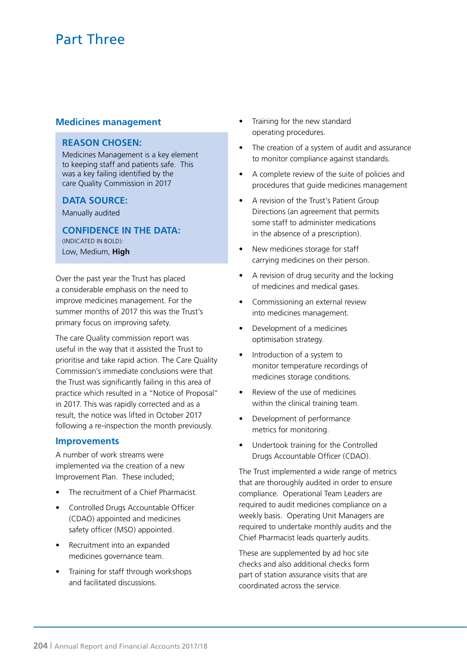#### **Medicines management**

#### **REASON CHOSEN:**

Medicines Management is a key element to keeping staff and patients safe. This was a key failing identified by the care Quality Commission in 2017

#### **DATA SOURCE:**

Manually audited

**CONFIDENCE IN THE DATA:**

(INDICATED IN BOLD): Low, Medium, **High**

Over the past year the Trust has placed a considerable emphasis on the need to improve medicines management. For the summer months of 2017 this was the Trust's primary focus on improving safety.

The care Quality commission report was useful in the way that it assisted the Trust to prioritise and take rapid action. The Care Quality Commission's immediate conclusions were that the Trust was significantly failing in this area of practice which resulted in a "Notice of Proposal" in 2017. This was rapidly corrected and as a result, the notice was lifted in October 2017 following a re-inspection the month previously.

#### **Improvements**

A number of work streams were implemented via the creation of a new Improvement Plan. These included;

- The recruitment of a Chief Pharmacist.
- Controlled Drugs Accountable Officer (CDAO) appointed and medicines safety officer (MSO) appointed.
- Recruitment into an expanded medicines governance team.
- Training for staff through workshops and facilitated discussions.
- Training for the new standard operating procedures.
- The creation of a system of audit and assurance to monitor compliance against standards.
- A complete review of the suite of policies and procedures that guide medicines management
- A revision of the Trust's Patient Group Directions (an agreement that permits some staff to administer medications in the absence of a prescription).
- New medicines storage for staff carrying medicines on their person.
- A revision of drug security and the locking of medicines and medical gases.
- Commissioning an external review into medicines management.
- Development of a medicines optimisation strategy.
- Introduction of a system to monitor temperature recordings of medicines storage conditions.
- Review of the use of medicines within the clinical training team.
- Development of performance metrics for monitoring.
- Undertook training for the Controlled Drugs Accountable Officer (CDAO).

The Trust implemented a wide range of metrics that are thoroughly audited in order to ensure compliance. Operational Team Leaders are required to audit medicines compliance on a weekly basis. Operating Unit Managers are required to undertake monthly audits and the Chief Pharmacist leads quarterly audits.

These are supplemented by ad hoc site checks and also additional checks form part of station assurance visits that are coordinated across the service.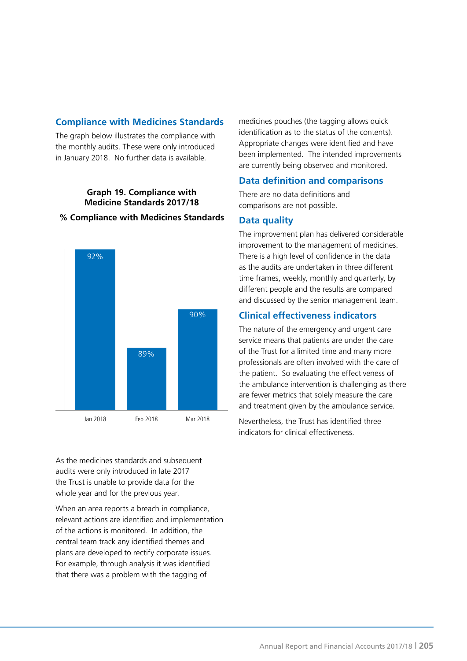# **Compliance with Medicines Standards**

The graph below illustrates the compliance with the monthly audits. These were only introduced in January 2018. No further data is available.

### **Graph 19. Compliance with Medicine Standards 2017/18**

#### **% Compliance with Medicines Standards**



As the medicines standards and subsequent audits were only introduced in late 2017 the Trust is unable to provide data for the whole year and for the previous year.

When an area reports a breach in compliance, relevant actions are identified and implementation of the actions is monitored. In addition, the central team track any identified themes and plans are developed to rectify corporate issues. For example, through analysis it was identified that there was a problem with the tagging of

medicines pouches (the tagging allows quick identification as to the status of the contents). Appropriate changes were identified and have been implemented. The intended improvements are currently being observed and monitored.

#### **Data definition and comparisons**

There are no data definitions and comparisons are not possible.

#### **Data quality**

The improvement plan has delivered considerable improvement to the management of medicines. There is a high level of confidence in the data as the audits are undertaken in three different time frames, weekly, monthly and quarterly, by different people and the results are compared and discussed by the senior management team.

# **Clinical effectiveness indicators**

The nature of the emergency and urgent care service means that patients are under the care of the Trust for a limited time and many more professionals are often involved with the care of the patient. So evaluating the effectiveness of the ambulance intervention is challenging as there are fewer metrics that solely measure the care and treatment given by the ambulance service.

Nevertheless, the Trust has identified three indicators for clinical effectiveness.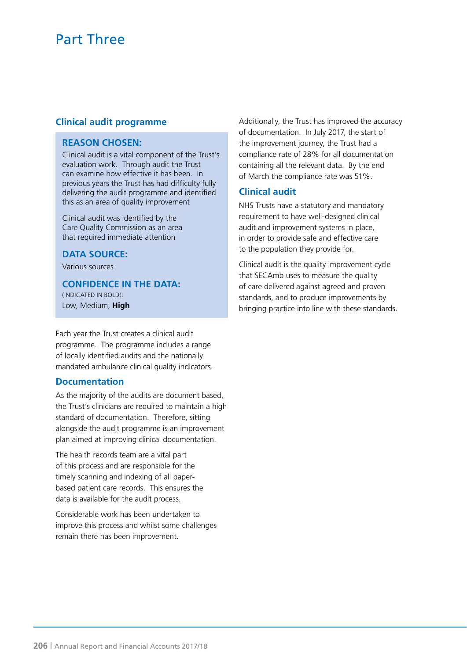# **Clinical audit programme**

### **REASON CHOSEN:**

Clinical audit is a vital component of the Trust's evaluation work. Through audit the Trust can examine how effective it has been. In previous years the Trust has had difficulty fully delivering the audit programme and identified this as an area of quality improvement

Clinical audit was identified by the Care Quality Commission as an area that required immediate attention

# **DATA SOURCE:**

Various sources

**CONFIDENCE IN THE DATA:** (INDICATED IN BOLD): Low, Medium, **High**

Each year the Trust creates a clinical audit programme. The programme includes a range of locally identified audits and the nationally mandated ambulance clinical quality indicators.

#### **Documentation**

As the majority of the audits are document based, the Trust's clinicians are required to maintain a high standard of documentation. Therefore, sitting alongside the audit programme is an improvement plan aimed at improving clinical documentation.

The health records team are a vital part of this process and are responsible for the timely scanning and indexing of all paperbased patient care records. This ensures the data is available for the audit process.

Considerable work has been undertaken to improve this process and whilst some challenges remain there has been improvement.

Additionally, the Trust has improved the accuracy of documentation. In July 2017, the start of the improvement journey, the Trust had a compliance rate of 28% for all documentation containing all the relevant data. By the end of March the compliance rate was 51%.

# **Clinical audit**

NHS Trusts have a statutory and mandatory requirement to have well-designed clinical audit and improvement systems in place, in order to provide safe and effective care to the population they provide for.

Clinical audit is the quality improvement cycle that SECAmb uses to measure the quality of care delivered against agreed and proven standards, and to produce improvements by bringing practice into line with these standards.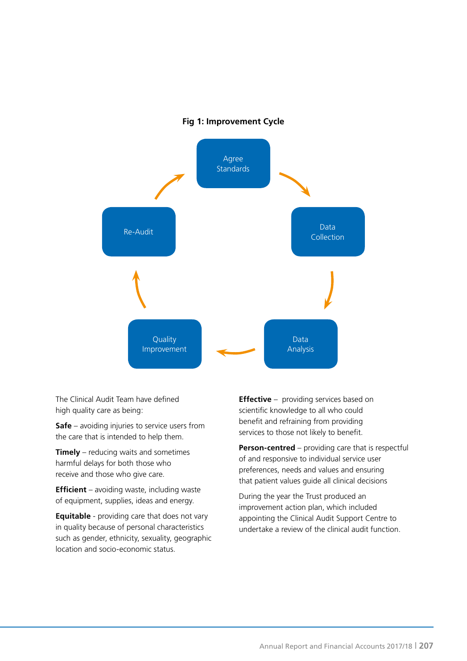#### **Fig 1: Improvement Cycle**



The Clinical Audit Team have defined high quality care as being:

**Safe** – avoiding injuries to service users from the care that is intended to help them.

**Timely** – reducing waits and sometimes harmful delays for both those who receive and those who give care.

**Efficient** – avoiding waste, including waste of equipment, supplies, ideas and energy.

**Equitable** - providing care that does not vary in quality because of personal characteristics such as gender, ethnicity, sexuality, geographic location and socio-economic status.

**Effective** – providing services based on scientific knowledge to all who could benefit and refraining from providing services to those not likely to benefit.

**Person-centred** – providing care that is respectful of and responsive to individual service user preferences, needs and values and ensuring that patient values guide all clinical decisions

During the year the Trust produced an improvement action plan, which included appointing the Clinical Audit Support Centre to undertake a review of the clinical audit function.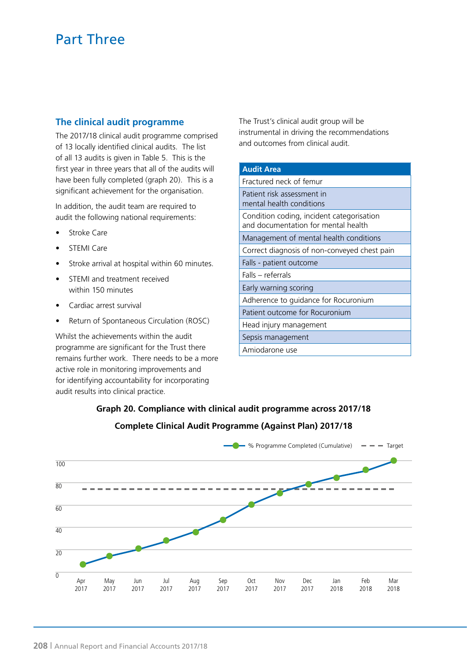# **The clinical audit programme**

The 2017/18 clinical audit programme comprised of 13 locally identified clinical audits. The list of all 13 audits is given in Table 5. This is the first year in three years that all of the audits will have been fully completed (graph 20). This is a significant achievement for the organisation.

In addition, the audit team are required to audit the following national requirements:

- Stroke Care
- STEMI Care
- Stroke arrival at hospital within 60 minutes.
- STEMI and treatment received within 150 minutes
- Cardiac arrest survival
- Return of Spontaneous Circulation (ROSC)

Whilst the achievements within the audit programme are significant for the Trust there remains further work. There needs to be a more active role in monitoring improvements and for identifying accountability for incorporating audit results into clinical practice.

The Trust's clinical audit group will be instrumental in driving the recommendations and outcomes from clinical audit.

# **Audit Area** Fractured neck of femur Patient risk assessment in mental health conditions Condition coding, incident categorisation and documentation for mental health Management of mental health conditions Correct diagnosis of non-conveyed chest pain Falls - patient outcome Falls – referrals Early warning scoring Adherence to guidance for Rocuronium Patient outcome for Rocuronium Head injury management Sepsis management Amiodarone use

# **Graph 20. Compliance with clinical audit programme across 2017/18 Complete Clinical Audit Programme (Against Plan) 2017/18**

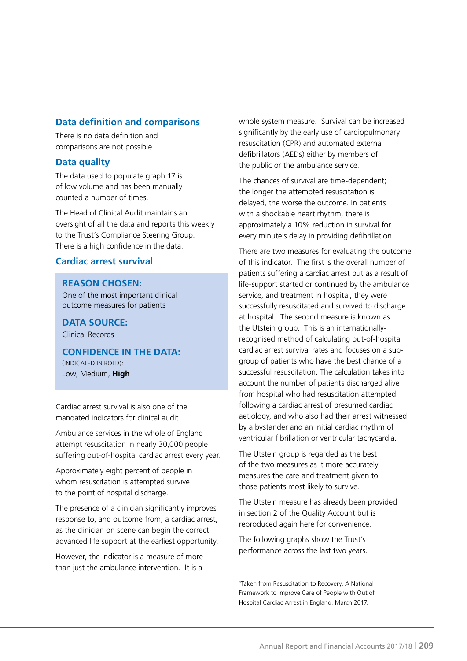# **Data definition and comparisons**

There is no data definition and comparisons are not possible.

#### **Data quality**

The data used to populate graph 17 is of low volume and has been manually counted a number of times.

The Head of Clinical Audit maintains an oversight of all the data and reports this weekly to the Trust's Compliance Steering Group. There is a high confidence in the data.

### **Cardiac arrest survival**

#### **REASON CHOSEN:**

One of the most important clinical outcome measures for patients

**DATA SOURCE:** Clinical Records

**CONFIDENCE IN THE DATA:**

(INDICATED IN BOLD): Low, Medium, **High**

Cardiac arrest survival is also one of the mandated indicators for clinical audit.

Ambulance services in the whole of England attempt resuscitation in nearly 30,000 people suffering out-of-hospital cardiac arrest every year.

Approximately eight percent of people in whom resuscitation is attempted survive to the point of hospital discharge.

The presence of a clinician significantly improves response to, and outcome from, a cardiac arrest, as the clinician on scene can begin the correct advanced life support at the earliest opportunity.

However, the indicator is a measure of more than just the ambulance intervention. It is a

whole system measure. Survival can be increased significantly by the early use of cardiopulmonary resuscitation (CPR) and automated external defibrillators (AEDs) either by members of the public or the ambulance service.

The chances of survival are time-dependent; the longer the attempted resuscitation is delayed, the worse the outcome. In patients with a shockable heart rhythm, there is approximately a 10% reduction in survival for every minute's delay in providing defibrillation .

There are two measures for evaluating the outcome of this indicator. The first is the overall number of patients suffering a cardiac arrest but as a result of life-support started or continued by the ambulance service, and treatment in hospital, they were successfully resuscitated and survived to discharge at hospital. The second measure is known as the Utstein group. This is an internationallyrecognised method of calculating out-of-hospital cardiac arrest survival rates and focuses on a subgroup of patients who have the best chance of a successful resuscitation. The calculation takes into account the number of patients discharged alive from hospital who had resuscitation attempted following a cardiac arrest of presumed cardiac aetiology, and who also had their arrest witnessed by a bystander and an initial cardiac rhythm of ventricular fibrillation or ventricular tachycardia.

The Utstein group is regarded as the best of the two measures as it more accurately measures the care and treatment given to those patients most likely to survive.

The Utstein measure has already been provided in section 2 of the Quality Account but is reproduced again here for convenience.

The following graphs show the Trust's performance across the last two years.

4 Taken from Resuscitation to Recovery. A National Framework to Improve Care of People with Out of Hospital Cardiac Arrest in England. March 2017.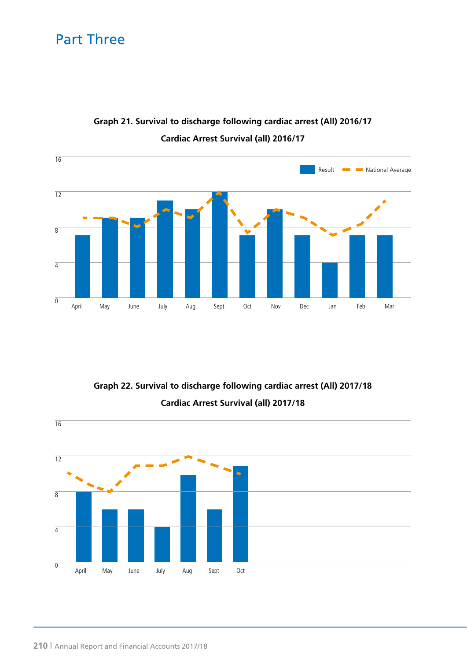

# **Graph 21. Survival to discharge following cardiac arrest (All) 2016/17 Cardiac Arrest Survival (all) 2016/17**

**Graph 22. Survival to discharge following cardiac arrest (All) 2017/18 Cardiac Arrest Survival (all) 2017/18**

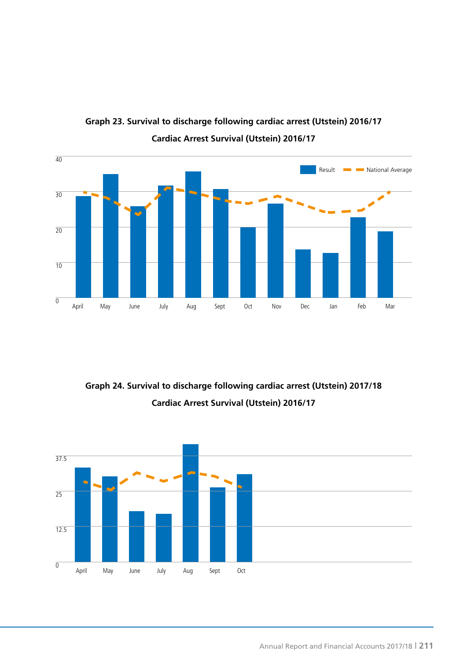

**Graph 23. Survival to discharge following cardiac arrest (Utstein) 2016/17 Cardiac Arrest Survival (Utstein) 2016/17**

**Graph 24. Survival to discharge following cardiac arrest (Utstein) 2017/18 Cardiac Arrest Survival (Utstein) 2016/17**

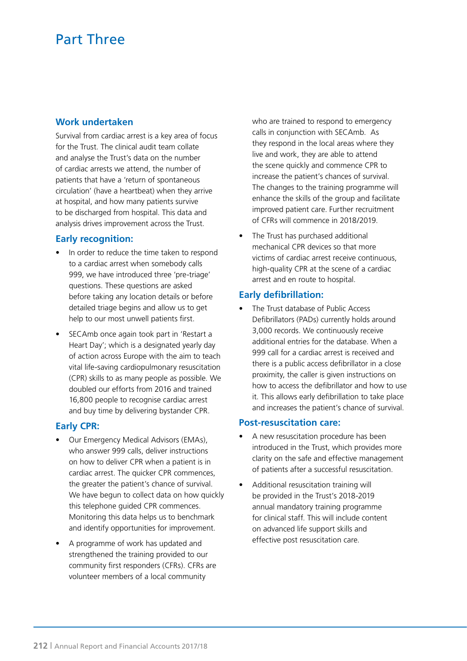### **Work undertaken**

Survival from cardiac arrest is a key area of focus for the Trust. The clinical audit team collate and analyse the Trust's data on the number of cardiac arrests we attend, the number of patients that have a 'return of spontaneous circulation' (have a heartbeat) when they arrive at hospital, and how many patients survive to be discharged from hospital. This data and analysis drives improvement across the Trust.

#### **Early recognition:**

- In order to reduce the time taken to respond to a cardiac arrest when somebody calls 999, we have introduced three 'pre-triage' questions. These questions are asked before taking any location details or before detailed triage begins and allow us to get help to our most unwell patients first.
- SECAmb once again took part in 'Restart a Heart Day'; which is a designated yearly day of action across Europe with the aim to teach vital life-saving cardiopulmonary resuscitation (CPR) skills to as many people as possible. We doubled our efforts from 2016 and trained 16,800 people to recognise cardiac arrest and buy time by delivering bystander CPR.

#### **Early CPR:**

- Our Emergency Medical Advisors (EMAs), who answer 999 calls, deliver instructions on how to deliver CPR when a patient is in cardiac arrest. The quicker CPR commences, the greater the patient's chance of survival. We have begun to collect data on how quickly this telephone guided CPR commences. Monitoring this data helps us to benchmark and identify opportunities for improvement.
- A programme of work has updated and strengthened the training provided to our community first responders (CFRs). CFRs are volunteer members of a local community

who are trained to respond to emergency calls in conjunction with SECAmb. As they respond in the local areas where they live and work, they are able to attend the scene quickly and commence CPR to increase the patient's chances of survival. The changes to the training programme will enhance the skills of the group and facilitate improved patient care. Further recruitment of CFRs will commence in 2018/2019.

The Trust has purchased additional mechanical CPR devices so that more victims of cardiac arrest receive continuous, high-quality CPR at the scene of a cardiac arrest and en route to hospital.

### **Early defibrillation:**

The Trust database of Public Access Defibrillators (PADs) currently holds around 3,000 records. We continuously receive additional entries for the database. When a 999 call for a cardiac arrest is received and there is a public access defibrillator in a close proximity, the caller is given instructions on how to access the defibrillator and how to use it. This allows early defibrillation to take place and increases the patient's chance of survival.

#### **Post-resuscitation care:**

- A new resuscitation procedure has been introduced in the Trust, which provides more clarity on the safe and effective management of patients after a successful resuscitation.
- Additional resuscitation training will be provided in the Trust's 2018-2019 annual mandatory training programme for clinical staff. This will include content on advanced life support skills and effective post resuscitation care.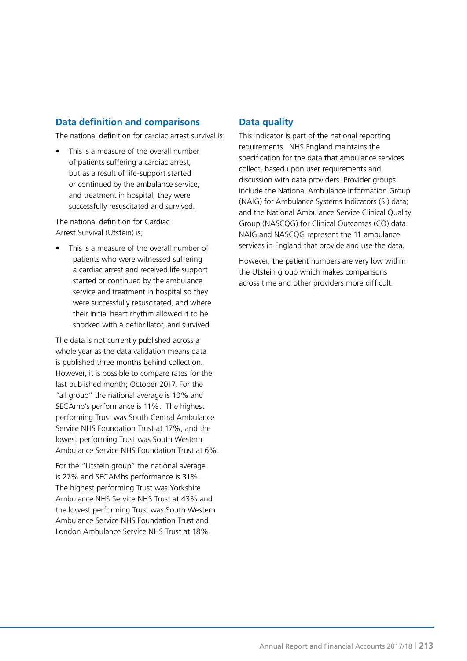# **Data definition and comparisons**

The national definition for cardiac arrest survival is:

This is a measure of the overall number of patients suffering a cardiac arrest, but as a result of life-support started or continued by the ambulance service, and treatment in hospital, they were successfully resuscitated and survived.

The national definition for Cardiac Arrest Survival (Utstein) is;

This is a measure of the overall number of patients who were witnessed suffering a cardiac arrest and received life support started or continued by the ambulance service and treatment in hospital so they were successfully resuscitated, and where their initial heart rhythm allowed it to be shocked with a defibrillator, and survived.

The data is not currently published across a whole year as the data validation means data is published three months behind collection. However, it is possible to compare rates for the last published month; October 2017. For the "all group" the national average is 10% and SECAmb's performance is 11%. The highest performing Trust was South Central Ambulance Service NHS Foundation Trust at 17%, and the lowest performing Trust was South Western Ambulance Service NHS Foundation Trust at 6%.

For the "Utstein group" the national average is 27% and SECAMbs performance is 31%. The highest performing Trust was Yorkshire Ambulance NHS Service NHS Trust at 43% and the lowest performing Trust was South Western Ambulance Service NHS Foundation Trust and London Ambulance Service NHS Trust at 18%.

# **Data quality**

This indicator is part of the national reporting requirements. NHS England maintains the specification for the data that ambulance services collect, based upon user requirements and discussion with data providers. Provider groups include the National Ambulance Information Group (NAIG) for Ambulance Systems Indicators (SI) data; and the National Ambulance Service Clinical Quality Group (NASCQG) for Clinical Outcomes (CO) data. NAIG and NASCQG represent the 11 ambulance services in England that provide and use the data.

However, the patient numbers are very low within the Utstein group which makes comparisons across time and other providers more difficult.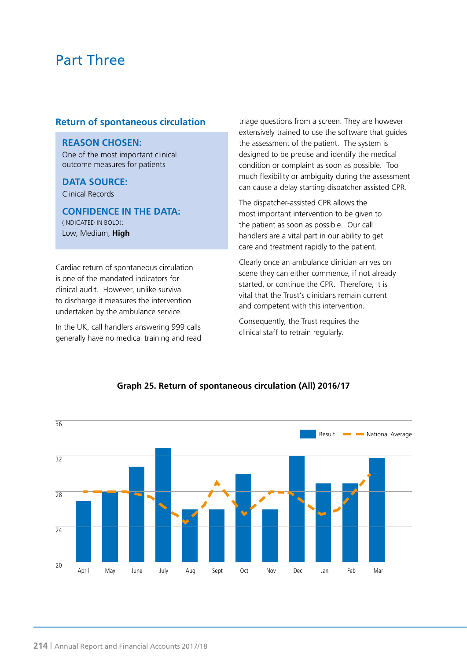#### **Return of spontaneous circulation**

#### **REASON CHOSEN:**

One of the most important clinical outcome measures for patients

#### **DATA SOURCE:**

Clinical Records

**CONFIDENCE IN THE DATA:** (INDICATED IN BOLD): Low, Medium, **High**

Cardiac return of spontaneous circulation is one of the mandated indicators for clinical audit. However, unlike survival to discharge it measures the intervention undertaken by the ambulance service.

In the UK, call handlers answering 999 calls generally have no medical training and read triage questions from a screen. They are however extensively trained to use the software that guides the assessment of the patient. The system is designed to be precise and identify the medical condition or complaint as soon as possible. Too much flexibility or ambiguity during the assessment can cause a delay starting dispatcher assisted CPR.

The dispatcher-assisted CPR allows the most important intervention to be given to the patient as soon as possible. Our call handlers are a vital part in our ability to get care and treatment rapidly to the patient.

Clearly once an ambulance clinician arrives on scene they can either commence, if not already started, or continue the CPR. Therefore, it is vital that the Trust's clinicians remain current and competent with this intervention.

Consequently, the Trust requires the clinical staff to retrain regularly.



# **Graph 25. Return of spontaneous circulation (All) 2016/17**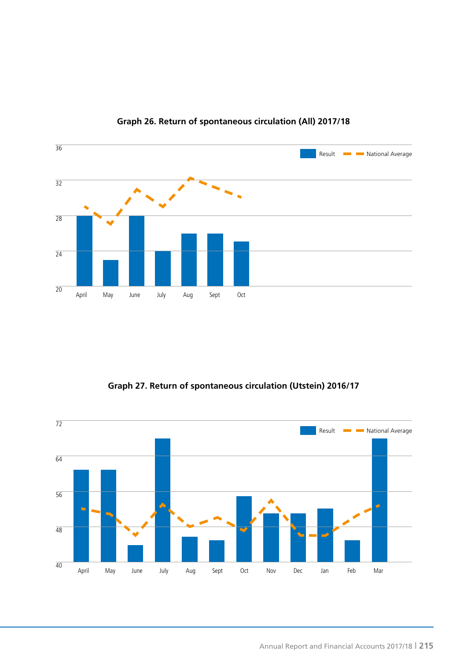

# **Graph 26. Return of spontaneous circulation (All) 2017/18**

**Graph 27. Return of spontaneous circulation (Utstein) 2016/17**

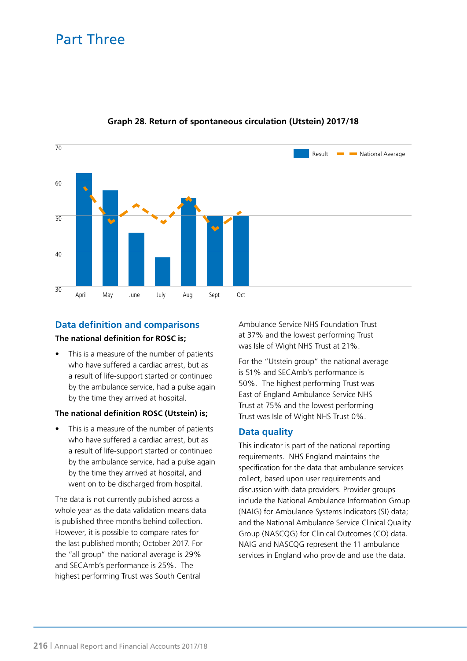

# **Graph 28. Return of spontaneous circulation (Utstein) 2017/18**

# **Data definition and comparisons The national definition for ROSC is;**

This is a measure of the number of patients who have suffered a cardiac arrest, but as a result of life-support started or continued by the ambulance service, had a pulse again by the time they arrived at hospital.

#### **The national definition ROSC (Utstein) is;**

This is a measure of the number of patients who have suffered a cardiac arrest, but as a result of life-support started or continued by the ambulance service, had a pulse again by the time they arrived at hospital, and went on to be discharged from hospital.

The data is not currently published across a whole year as the data validation means data is published three months behind collection. However, it is possible to compare rates for the last published month; October 2017. For the "all group" the national average is 29% and SECAmb's performance is 25%. The highest performing Trust was South Central

Ambulance Service NHS Foundation Trust at 37% and the lowest performing Trust was Isle of Wight NHS Trust at 21%.

For the "Utstein group" the national average is 51% and SECAmb's performance is 50%. The highest performing Trust was East of England Ambulance Service NHS Trust at 75% and the lowest performing Trust was Isle of Wight NHS Trust 0%.

# **Data quality**

This indicator is part of the national reporting requirements. NHS England maintains the specification for the data that ambulance services collect, based upon user requirements and discussion with data providers. Provider groups include the National Ambulance Information Group (NAIG) for Ambulance Systems Indicators (SI) data; and the National Ambulance Service Clinical Quality Group (NASCQG) for Clinical Outcomes (CO) data. NAIG and NASCQG represent the 11 ambulance services in England who provide and use the data.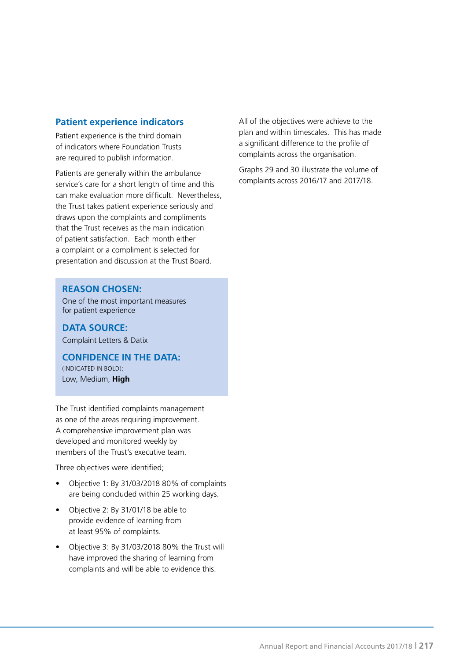### **Patient experience indicators**

Patient experience is the third domain of indicators where Foundation Trusts are required to publish information.

Patients are generally within the ambulance service's care for a short length of time and this can make evaluation more difficult. Nevertheless, the Trust takes patient experience seriously and draws upon the complaints and compliments that the Trust receives as the main indication of patient satisfaction. Each month either a complaint or a compliment is selected for presentation and discussion at the Trust Board.

#### **REASON CHOSEN:**

One of the most important measures for patient experience

**DATA SOURCE:** Complaint Letters & Datix

**CONFIDENCE IN THE DATA:** (INDICATED IN BOLD): Low, Medium, **High**

The Trust identified complaints management as one of the areas requiring improvement. A comprehensive improvement plan was developed and monitored weekly by members of the Trust's executive team.

Three objectives were identified;

- Objective 1: By 31/03/2018 80% of complaints are being concluded within 25 working days.
- Objective 2: By 31/01/18 be able to provide evidence of learning from at least 95% of complaints.
- Objective 3: By 31/03/2018 80% the Trust will have improved the sharing of learning from complaints and will be able to evidence this.

All of the objectives were achieve to the plan and within timescales. This has made a significant difference to the profile of complaints across the organisation.

Graphs 29 and 30 illustrate the volume of complaints across 2016/17 and 2017/18.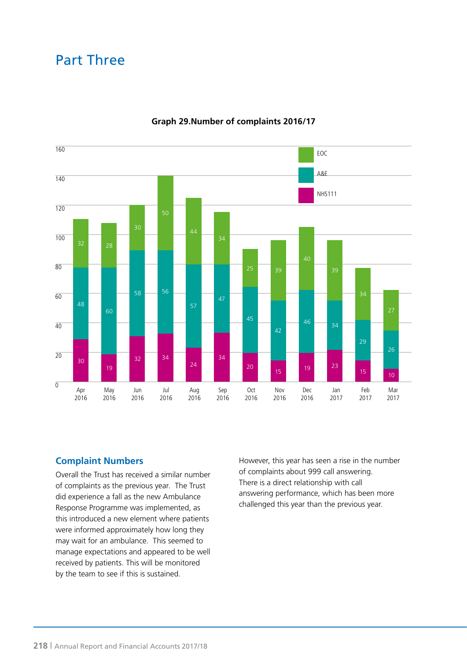

### **Graph 29.Number of complaints 2016/17**

### **Complaint Numbers**

Overall the Trust has received a similar number of complaints as the previous year. The Trust did experience a fall as the new Ambulance Response Programme was implemented, as this introduced a new element where patients were informed approximately how long they may wait for an ambulance. This seemed to manage expectations and appeared to be well received by patients. This will be monitored by the team to see if this is sustained.

However, this year has seen a rise in the number of complaints about 999 call answering. There is a direct relationship with call answering performance, which has been more challenged this year than the previous year.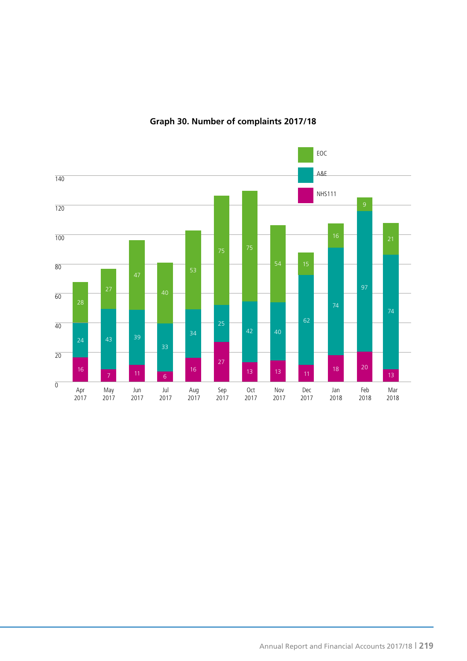

### **Graph 30. Number of complaints 2017/18**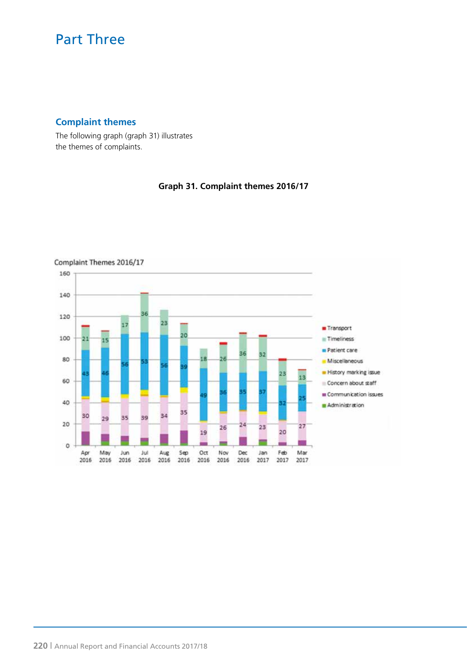### **Complaint themes**

The following graph (graph 31) illustrates the themes of complaints.

### **Graph 31. Complaint themes 2016/17**

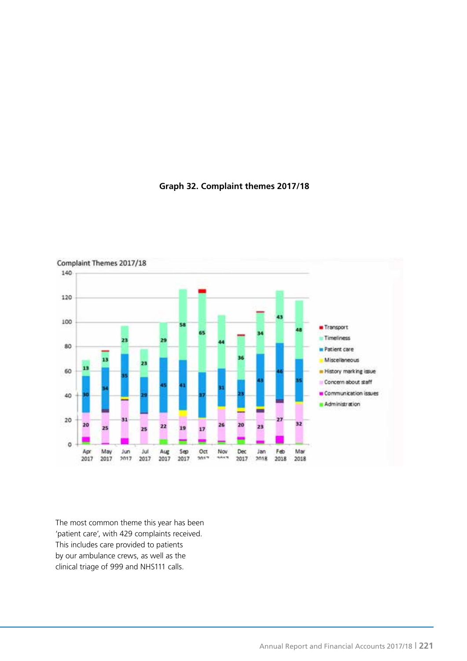

### **Graph 32. Complaint themes 2017/18**

The most common theme this year has been 'patient care', with 429 complaints received. This includes care provided to patients by our ambulance crews, as well as the clinical triage of 999 and NHS111 calls.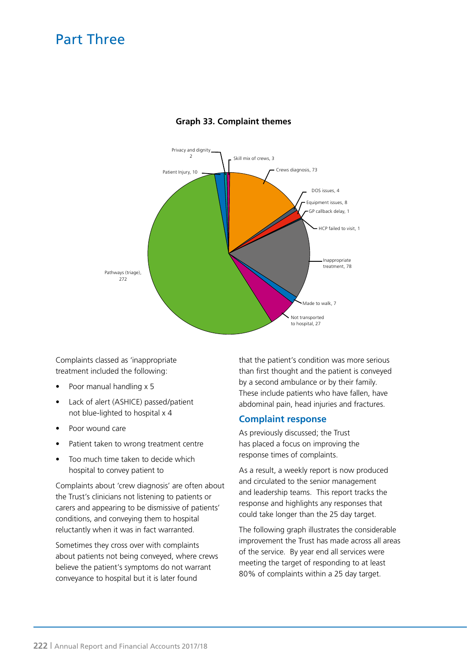

### **Graph 33. Complaint themes**

Complaints classed as 'inappropriate treatment included the following:

- Poor manual handling x 5
- Lack of alert (ASHICE) passed/patient not blue-lighted to hospital x 4
- Poor wound care
- Patient taken to wrong treatment centre
- Too much time taken to decide which hospital to convey patient to

Complaints about 'crew diagnosis' are often about the Trust's clinicians not listening to patients or carers and appearing to be dismissive of patients' conditions, and conveying them to hospital reluctantly when it was in fact warranted.

Sometimes they cross over with complaints about patients not being conveyed, where crews believe the patient's symptoms do not warrant conveyance to hospital but it is later found

that the patient's condition was more serious than first thought and the patient is conveyed by a second ambulance or by their family. These include patients who have fallen, have abdominal pain, head injuries and fractures.

#### **Complaint response**

As previously discussed; the Trust has placed a focus on improving the response times of complaints.

As a result, a weekly report is now produced and circulated to the senior management and leadership teams. This report tracks the response and highlights any responses that could take longer than the 25 day target.

The following graph illustrates the considerable improvement the Trust has made across all areas of the service. By year end all services were meeting the target of responding to at least 80% of complaints within a 25 day target.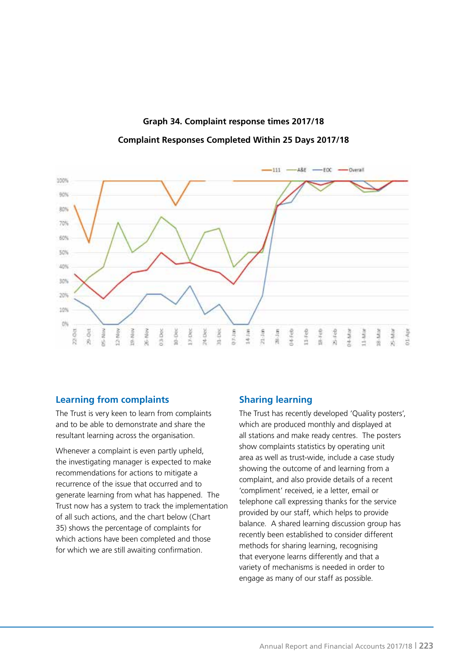### **Graph 34. Complaint response times 2017/18**

**Complaint Responses Completed Within 25 Days 2017/18**



### **Learning from complaints**

The Trust is very keen to learn from complaints and to be able to demonstrate and share the resultant learning across the organisation.

Whenever a complaint is even partly upheld, the investigating manager is expected to make recommendations for actions to mitigate a recurrence of the issue that occurred and to generate learning from what has happened. The Trust now has a system to track the implementation of all such actions, and the chart below (Chart 35) shows the percentage of complaints for which actions have been completed and those for which we are still awaiting confirmation.

### **Sharing learning**

The Trust has recently developed 'Quality posters', which are produced monthly and displayed at all stations and make ready centres. The posters show complaints statistics by operating unit area as well as trust-wide, include a case study showing the outcome of and learning from a complaint, and also provide details of a recent 'compliment' received, ie a letter, email or telephone call expressing thanks for the service provided by our staff, which helps to provide balance. A shared learning discussion group has recently been established to consider different methods for sharing learning, recognising that everyone learns differently and that a variety of mechanisms is needed in order to engage as many of our staff as possible.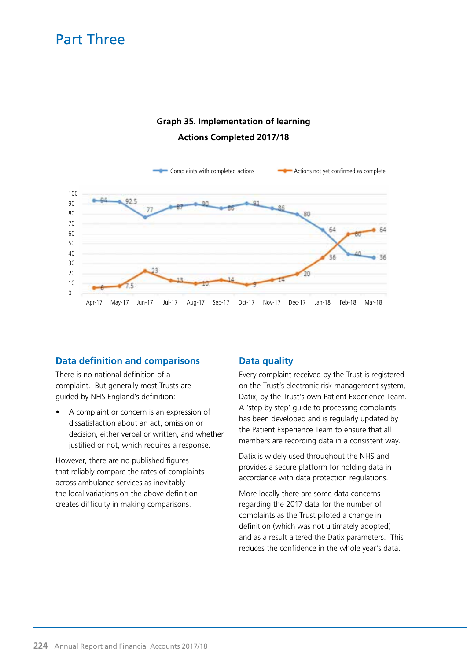### **Graph 35. Implementation of learning Actions Completed 2017/18**



### **Data definition and comparisons**

There is no national definition of a complaint. But generally most Trusts are guided by NHS England's definition:

• A complaint or concern is an expression of dissatisfaction about an act, omission or decision, either verbal or written, and whether justified or not, which requires a response.

However, there are no published figures that reliably compare the rates of complaints across ambulance services as inevitably the local variations on the above definition creates difficulty in making comparisons.

### **Data quality**

Every complaint received by the Trust is registered on the Trust's electronic risk management system, Datix, by the Trust's own Patient Experience Team. A 'step by step' guide to processing complaints has been developed and is regularly updated by the Patient Experience Team to ensure that all members are recording data in a consistent way.

Datix is widely used throughout the NHS and provides a secure platform for holding data in accordance with data protection regulations.

More locally there are some data concerns regarding the 2017 data for the number of complaints as the Trust piloted a change in definition (which was not ultimately adopted) and as a result altered the Datix parameters. This reduces the confidence in the whole year's data.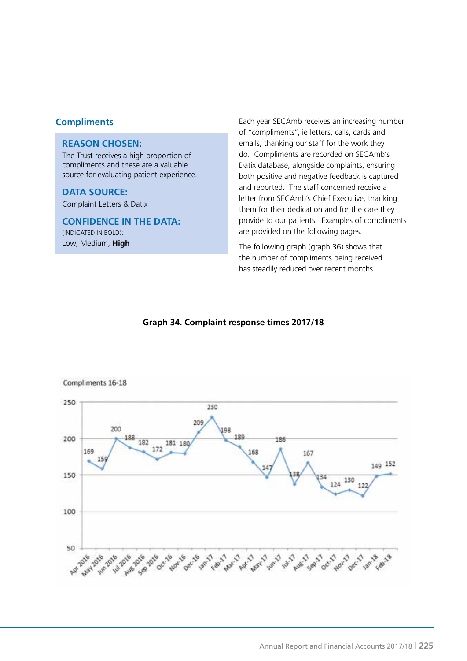### **REASON CHOSEN:**

The Trust receives a high proportion of compliments and these are a valuable source for evaluating patient experience.

### **DATA SOURCE:**

Complaint Letters & Datix

### **CONFIDENCE IN THE DATA:**

(INDICATED IN BOLD): Low, Medium, **High**

**Compliments Each year SECAmb receives an increasing number** Each year SECAmb receives an increasing number of "compliments", ie letters, calls, cards and emails, thanking our staff for the work they do. Compliments are recorded on SECAmb's Datix database, alongside complaints, ensuring both positive and negative feedback is captured and reported. The staff concerned receive a letter from SECAmb's Chief Executive, thanking them for their dedication and for the care they provide to our patients. Examples of compliments are provided on the following pages.

> The following graph (graph 36) shows that the number of compliments being received has steadily reduced over recent months.

### **Graph 34. Complaint response times 2017/18**



#### Compliments 16-18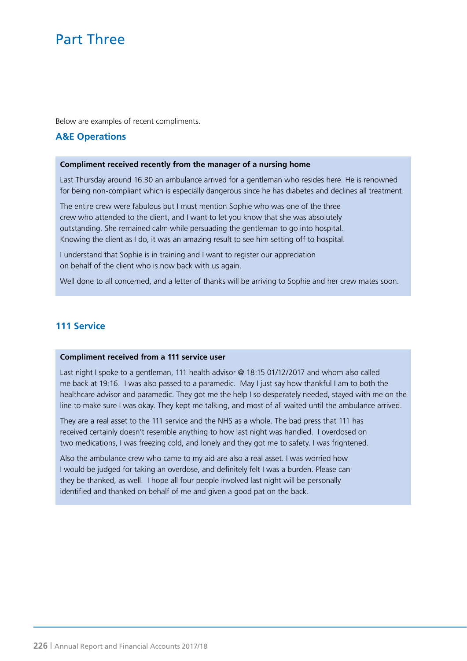Below are examples of recent compliments.

### **A&E Operations**

#### **Compliment received recently from the manager of a nursing home**

Last Thursday around 16.30 an ambulance arrived for a gentleman who resides here. He is renowned for being non-compliant which is especially dangerous since he has diabetes and declines all treatment.

The entire crew were fabulous but I must mention Sophie who was one of the three crew who attended to the client, and I want to let you know that she was absolutely outstanding. She remained calm while persuading the gentleman to go into hospital. Knowing the client as I do, it was an amazing result to see him setting off to hospital.

I understand that Sophie is in training and I want to register our appreciation on behalf of the client who is now back with us again.

Well done to all concerned, and a letter of thanks will be arriving to Sophie and her crew mates soon.

### **111 Service**

#### **Compliment received from a 111 service user**

Last night I spoke to a gentleman, 111 health advisor @ 18:15 01/12/2017 and whom also called me back at 19:16. I was also passed to a paramedic. May I just say how thankful I am to both the healthcare advisor and paramedic. They got me the help I so desperately needed, stayed with me on the line to make sure I was okay. They kept me talking, and most of all waited until the ambulance arrived.

They are a real asset to the 111 service and the NHS as a whole. The bad press that 111 has received certainly doesn't resemble anything to how last night was handled. I overdosed on two medications, I was freezing cold, and lonely and they got me to safety. I was frightened.

Also the ambulance crew who came to my aid are also a real asset. I was worried how I would be judged for taking an overdose, and definitely felt I was a burden. Please can they be thanked, as well. I hope all four people involved last night will be personally identified and thanked on behalf of me and given a good pat on the back.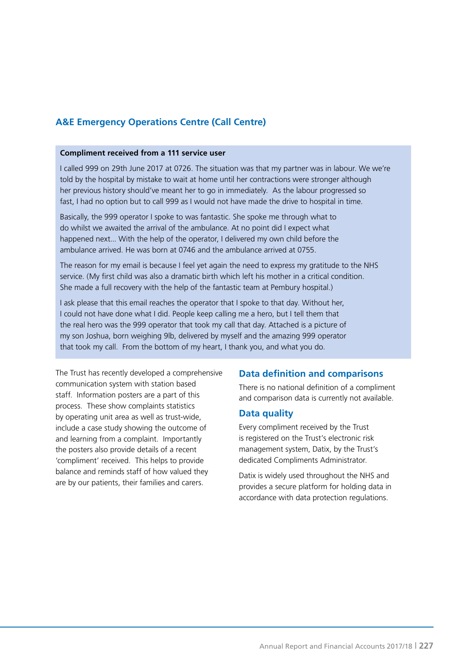### **A&E Emergency Operations Centre (Call Centre)**

#### **Compliment received from a 111 service user**

I called 999 on 29th June 2017 at 0726. The situation was that my partner was in labour. We we're told by the hospital by mistake to wait at home until her contractions were stronger although her previous history should've meant her to go in immediately. As the labour progressed so fast, I had no option but to call 999 as I would not have made the drive to hospital in time.

Basically, the 999 operator I spoke to was fantastic. She spoke me through what to do whilst we awaited the arrival of the ambulance. At no point did I expect what happened next... With the help of the operator, I delivered my own child before the ambulance arrived. He was born at 0746 and the ambulance arrived at 0755.

The reason for my email is because I feel yet again the need to express my gratitude to the NHS service. (My first child was also a dramatic birth which left his mother in a critical condition. She made a full recovery with the help of the fantastic team at Pembury hospital.)

I ask please that this email reaches the operator that I spoke to that day. Without her, I could not have done what I did. People keep calling me a hero, but I tell them that the real hero was the 999 operator that took my call that day. Attached is a picture of my son Joshua, born weighing 9lb, delivered by myself and the amazing 999 operator that took my call. From the bottom of my heart, I thank you, and what you do.

The Trust has recently developed a comprehensive communication system with station based staff. Information posters are a part of this process. These show complaints statistics by operating unit area as well as trust-wide, include a case study showing the outcome of and learning from a complaint. Importantly the posters also provide details of a recent 'compliment' received. This helps to provide balance and reminds staff of how valued they are by our patients, their families and carers.

### **Data definition and comparisons**

There is no national definition of a compliment and comparison data is currently not available.

#### **Data quality**

Every compliment received by the Trust is registered on the Trust's electronic risk management system, Datix, by the Trust's dedicated Compliments Administrator.

Datix is widely used throughout the NHS and provides a secure platform for holding data in accordance with data protection regulations.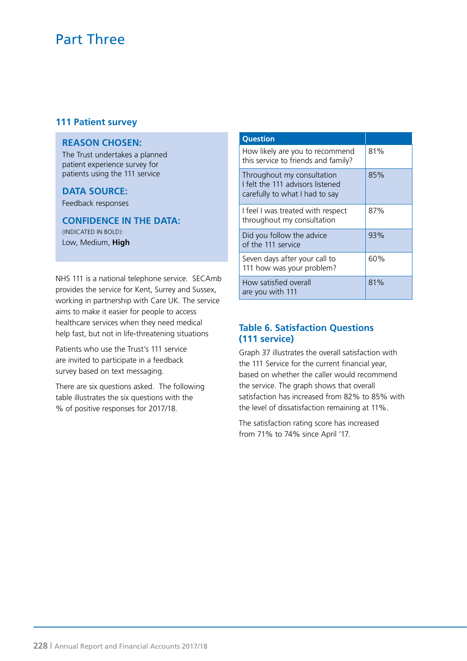### **111 Patient survey**

### **REASON CHOSEN:**

The Trust undertakes a planned patient experience survey for patients using the 111 service

### **DATA SOURCE:**

Feedback responses

**CONFIDENCE IN THE DATA:** (INDICATED IN BOLD):

Low, Medium, **High**

NHS 111 is a national telephone service. SECAmb provides the service for Kent, Surrey and Sussex, working in partnership with Care UK. The service aims to make it easier for people to access healthcare services when they need medical help fast, but not in life-threatening situations

Patients who use the Trust's 111 service are invited to participate in a feedback survey based on text messaging.

There are six questions asked. The following table illustrates the six questions with the % of positive responses for 2017/18.

| <b>Question</b>                                                                                  |     |
|--------------------------------------------------------------------------------------------------|-----|
| How likely are you to recommend<br>this service to friends and family?                           | 81% |
| Throughout my consultation<br>I felt the 111 advisors listened<br>carefully to what I had to say | 85% |
| I feel I was treated with respect<br>throughout my consultation                                  | 87% |
| Did you follow the advice<br>of the 111 service                                                  | 93% |
| Seven days after your call to<br>111 how was your problem?                                       | 60% |
| How satisfied overall<br>are you with 111                                                        | 81% |

### **Table 6. Satisfaction Questions (111 service)**

Graph 37 illustrates the overall satisfaction with the 111 Service for the current financial year, based on whether the caller would recommend the service. The graph shows that overall satisfaction has increased from 82% to 85% with the level of dissatisfaction remaining at 11%.

The satisfaction rating score has increased from 71% to 74% since April '17.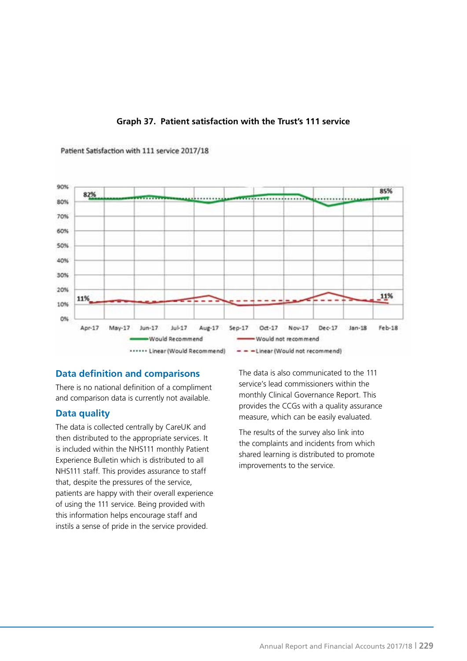

### **Graph 37. Patient satisfaction with the Trust's 111 service**

Patient Satisfaction with 111 service 2017/18

### **Data definition and comparisons**

There is no national definition of a compliment and comparison data is currently not available.

### **Data quality**

The data is collected centrally by CareUK and then distributed to the appropriate services. It is included within the NHS111 monthly Patient Experience Bulletin which is distributed to all NHS111 staff. This provides assurance to staff that, despite the pressures of the service, patients are happy with their overall experience of using the 111 service. Being provided with this information helps encourage staff and instils a sense of pride in the service provided.

The data is also communicated to the 111 service's lead commissioners within the monthly Clinical Governance Report. This provides the CCGs with a quality assurance measure, which can be easily evaluated.

The results of the survey also link into the complaints and incidents from which shared learning is distributed to promote improvements to the service.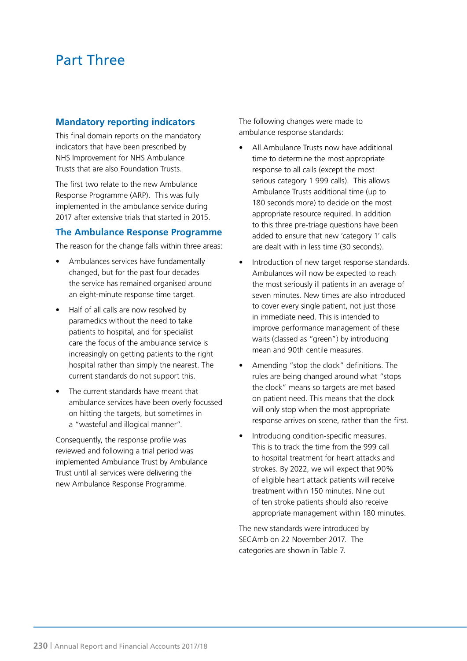### **Mandatory reporting indicators**

This final domain reports on the mandatory indicators that have been prescribed by NHS Improvement for NHS Ambulance Trusts that are also Foundation Trusts.

The first two relate to the new Ambulance Response Programme (ARP). This was fully implemented in the ambulance service during 2017 after extensive trials that started in 2015.

### **The Ambulance Response Programme**

The reason for the change falls within three areas:

- Ambulances services have fundamentally changed, but for the past four decades the service has remained organised around an eight-minute response time target.
- Half of all calls are now resolved by paramedics without the need to take patients to hospital, and for specialist care the focus of the ambulance service is increasingly on getting patients to the right hospital rather than simply the nearest. The current standards do not support this.
- The current standards have meant that ambulance services have been overly focussed on hitting the targets, but sometimes in a "wasteful and illogical manner".

Consequently, the response profile was reviewed and following a trial period was implemented Ambulance Trust by Ambulance Trust until all services were delivering the new Ambulance Response Programme.

The following changes were made to ambulance response standards:

- All Ambulance Trusts now have additional time to determine the most appropriate response to all calls (except the most serious category 1 999 calls). This allows Ambulance Trusts additional time (up to 180 seconds more) to decide on the most appropriate resource required. In addition to this three pre-triage questions have been added to ensure that new 'category 1' calls are dealt with in less time (30 seconds).
- Introduction of new target response standards. Ambulances will now be expected to reach the most seriously ill patients in an average of seven minutes. New times are also introduced to cover every single patient, not just those in immediate need. This is intended to improve performance management of these waits (classed as "green") by introducing mean and 90th centile measures.
- Amending "stop the clock" definitions. The rules are being changed around what "stops the clock" means so targets are met based on patient need. This means that the clock will only stop when the most appropriate response arrives on scene, rather than the first.
- Introducing condition-specific measures. This is to track the time from the 999 call to hospital treatment for heart attacks and strokes. By 2022, we will expect that 90% of eligible heart attack patients will receive treatment within 150 minutes. Nine out of ten stroke patients should also receive appropriate management within 180 minutes.

The new standards were introduced by SECAmb on 22 November 2017. The categories are shown in Table 7.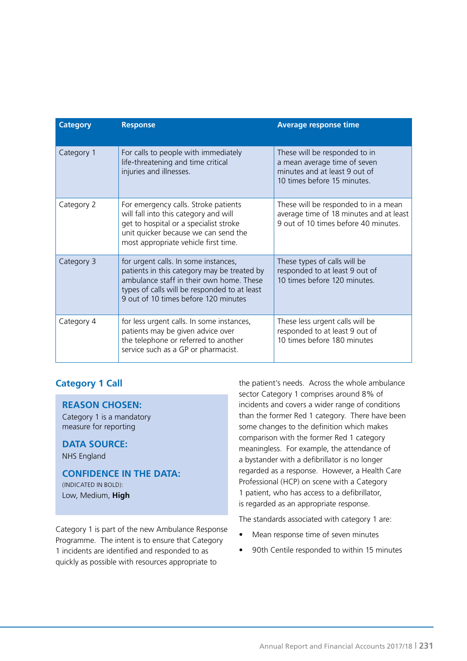| <b>Category</b> | <b>Response</b>                                                                                                                                                                                                         | <b>Average response time</b>                                                                                                  |
|-----------------|-------------------------------------------------------------------------------------------------------------------------------------------------------------------------------------------------------------------------|-------------------------------------------------------------------------------------------------------------------------------|
| Category 1      | For calls to people with immediately<br>life-threatening and time critical<br>injuries and illnesses.                                                                                                                   | These will be responded to in<br>a mean average time of seven<br>minutes and at least 9 out of<br>10 times before 15 minutes. |
| Category 2      | For emergency calls. Stroke patients<br>will fall into this category and will<br>get to hospital or a specialist stroke<br>unit quicker because we can send the<br>most appropriate vehicle first time.                 | These will be responded to in a mean<br>average time of 18 minutes and at least<br>9 out of 10 times before 40 minutes.       |
| Category 3      | for urgent calls. In some instances,<br>patients in this category may be treated by<br>ambulance staff in their own home. These<br>types of calls will be responded to at least<br>9 out of 10 times before 120 minutes | These types of calls will be<br>responded to at least 9 out of<br>10 times before 120 minutes.                                |
| Category 4      | for less urgent calls. In some instances,<br>patients may be given advice over<br>the telephone or referred to another<br>service such as a GP or pharmacist.                                                           | These less urgent calls will be<br>responded to at least 9 out of<br>10 times before 180 minutes                              |

### **Category 1 Call**

#### **REASON CHOSEN:**

Category 1 is a mandatory measure for reporting

### **DATA SOURCE:**

NHS England

### **CONFIDENCE IN THE DATA:**

(INDICATED IN BOLD): Low, Medium, **High**

Category 1 is part of the new Ambulance Response Programme. The intent is to ensure that Category 1 incidents are identified and responded to as quickly as possible with resources appropriate to

the patient's needs. Across the whole ambulance sector Category 1 comprises around 8% of incidents and covers a wider range of conditions than the former Red 1 category. There have been some changes to the definition which makes comparison with the former Red 1 category meaningless. For example, the attendance of a bystander with a defibrillator is no longer regarded as a response. However, a Health Care Professional (HCP) on scene with a Category 1 patient, who has access to a defibrillator, is regarded as an appropriate response.

The standards associated with category 1 are:

- Mean response time of seven minutes
- 90th Centile responded to within 15 minutes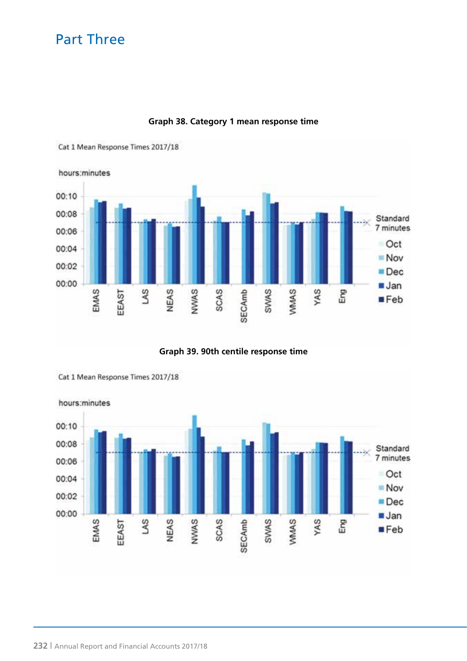

### **Graph 38. Category 1 mean response time**





Cat 1 Mean Response Times 2017/18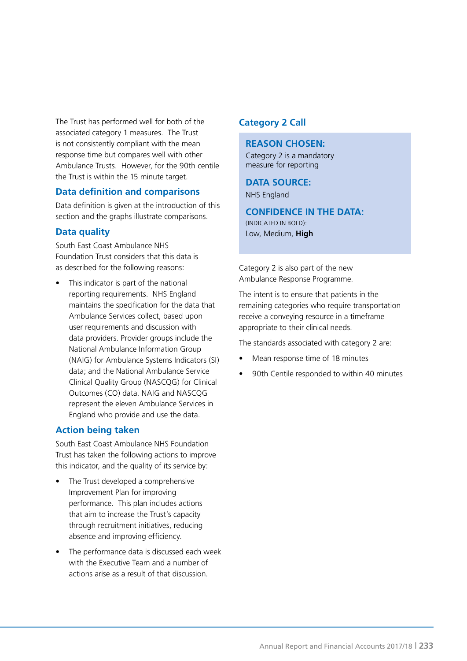The Trust has performed well for both of the associated category 1 measures. The Trust is not consistently compliant with the mean response time but compares well with other Ambulance Trusts. However, for the 90th centile the Trust is within the 15 minute target.

### **Data definition and comparisons**

Data definition is given at the introduction of this section and the graphs illustrate comparisons.

### **Data quality**

South East Coast Ambulance NHS Foundation Trust considers that this data is as described for the following reasons:

This indicator is part of the national reporting requirements. NHS England maintains the specification for the data that Ambulance Services collect, based upon user requirements and discussion with data providers. Provider groups include the National Ambulance Information Group (NAIG) for Ambulance Systems Indicators (SI) data; and the National Ambulance Service Clinical Quality Group (NASCQG) for Clinical Outcomes (CO) data. NAIG and NASCQG represent the eleven Ambulance Services in England who provide and use the data.

### **Action being taken**

South East Coast Ambulance NHS Foundation Trust has taken the following actions to improve this indicator, and the quality of its service by:

- The Trust developed a comprehensive Improvement Plan for improving performance. This plan includes actions that aim to increase the Trust's capacity through recruitment initiatives, reducing absence and improving efficiency.
- The performance data is discussed each week with the Executive Team and a number of actions arise as a result of that discussion.

### **Category 2 Call**

#### **REASON CHOSEN:**

Category 2 is a mandatory measure for reporting

### **DATA SOURCE:**

NHS England

### **CONFIDENCE IN THE DATA:** (INDICATED IN BOLD): Low, Medium, **High**

Category 2 is also part of the new Ambulance Response Programme.

The intent is to ensure that patients in the remaining categories who require transportation receive a conveying resource in a timeframe appropriate to their clinical needs.

The standards associated with category 2 are:

- Mean response time of 18 minutes
- 90th Centile responded to within 40 minutes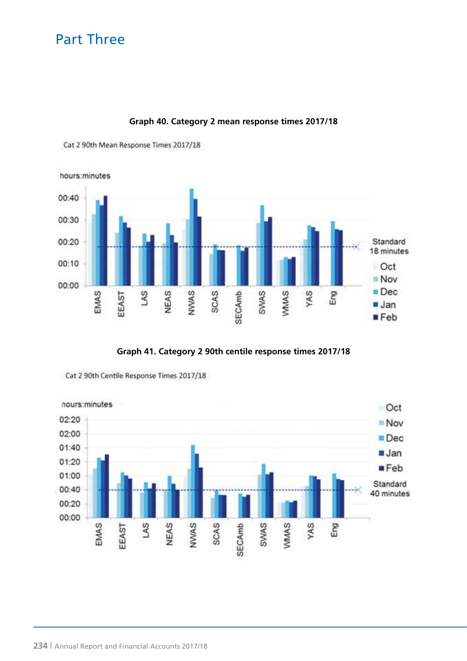

**Graph 40. Category 2 mean response times 2017/18**

Cat 2 90th Mean Response Times 2017/18





Cat 2 90th Centile Response Times 2017/18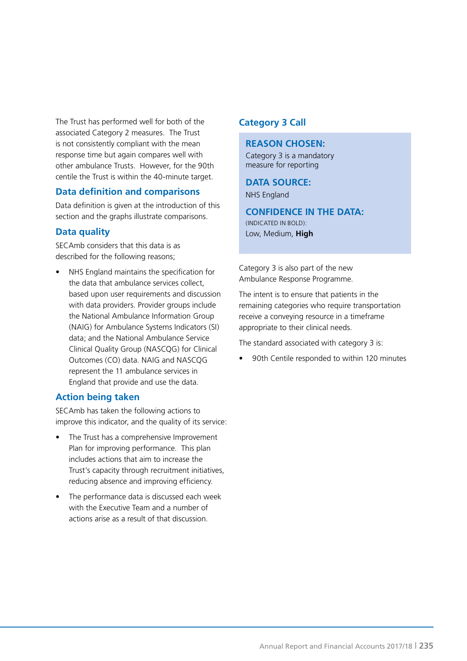The Trust has performed well for both of the associated Category 2 measures. The Trust is not consistently compliant with the mean response time but again compares well with other ambulance Trusts. However, for the 90th centile the Trust is within the 40-minute target.

### **Data definition and comparisons**

Data definition is given at the introduction of this section and the graphs illustrate comparisons.

### **Data quality**

SECAmb considers that this data is as described for the following reasons;

• NHS England maintains the specification for the data that ambulance services collect, based upon user requirements and discussion with data providers. Provider groups include the National Ambulance Information Group (NAIG) for Ambulance Systems Indicators (SI) data; and the National Ambulance Service Clinical Quality Group (NASCQG) for Clinical Outcomes (CO) data. NAIG and NASCQG represent the 11 ambulance services in England that provide and use the data.

### **Action being taken**

SECAmb has taken the following actions to improve this indicator, and the quality of its service:

- The Trust has a comprehensive Improvement Plan for improving performance. This plan includes actions that aim to increase the Trust's capacity through recruitment initiatives, reducing absence and improving efficiency.
- The performance data is discussed each week with the Executive Team and a number of actions arise as a result of that discussion.

### **Category 3 Call**

### **REASON CHOSEN:**

Category 3 is a mandatory measure for reporting

### **DATA SOURCE:**

NHS England

### **CONFIDENCE IN THE DATA:** (INDICATED IN BOLD): Low, Medium, **High**

Category 3 is also part of the new Ambulance Response Programme.

The intent is to ensure that patients in the remaining categories who require transportation receive a conveying resource in a timeframe appropriate to their clinical needs.

The standard associated with category 3 is:

• 90th Centile responded to within 120 minutes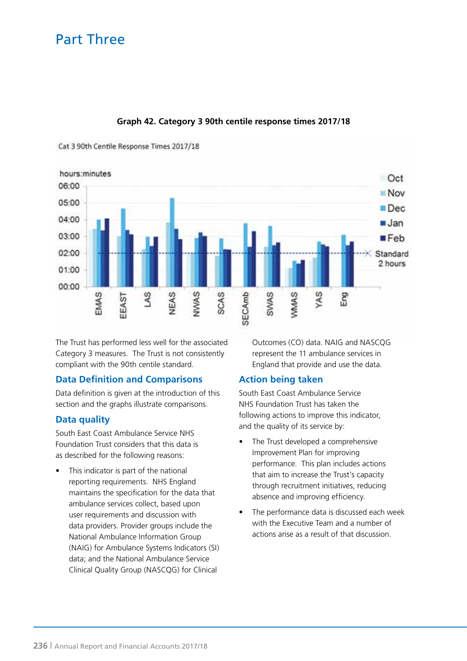

### **Graph 42. Category 3 90th centile response times 2017/18**

Cat 3 90th Centile Response Times 2017/18

The Trust has performed less well for the associated Category 3 measures. The Trust is not consistently compliant with the 90th centile standard.

### **Data Definition and Comparisons**

Data definition is given at the introduction of this section and the graphs illustrate comparisons.

### **Data quality**

South East Coast Ambulance Service NHS Foundation Trust considers that this data is as described for the following reasons:

This indicator is part of the national reporting requirements. NHS England maintains the specification for the data that ambulance services collect, based upon user requirements and discussion with data providers. Provider groups include the National Ambulance Information Group (NAIG) for Ambulance Systems Indicators (SI) data; and the National Ambulance Service Clinical Quality Group (NASCQG) for Clinical

Outcomes (CO) data. NAIG and NASCQG represent the 11 ambulance services in England that provide and use the data.

### **Action being taken**

South East Coast Ambulance Service NHS Foundation Trust has taken the following actions to improve this indicator, and the quality of its service by:

- The Trust developed a comprehensive Improvement Plan for improving performance. This plan includes actions that aim to increase the Trust's capacity through recruitment initiatives, reducing absence and improving efficiency.
- The performance data is discussed each week with the Executive Team and a number of actions arise as a result of that discussion.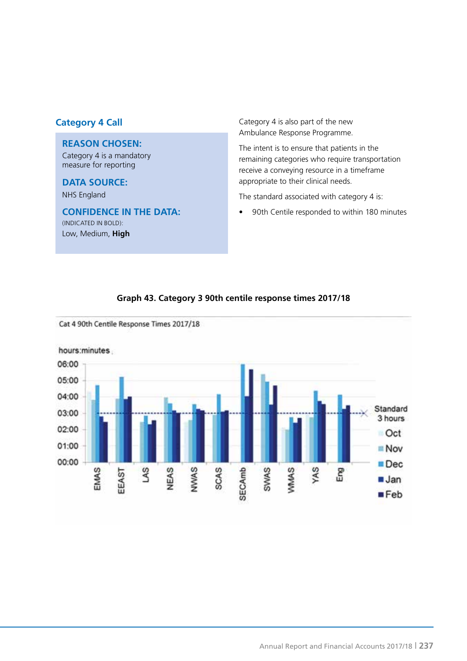### **REASON CHOSEN:**

Category 4 is a mandatory measure for reporting

### **DATA SOURCE:**

NHS England

### **CONFIDENCE IN THE DATA:** (INDICATED IN BOLD): Low, Medium, **High**

**Category 4 Call** Category 4 is also part of the new Ambulance Response Programme.

> The intent is to ensure that patients in the remaining categories who require transportation receive a conveying resource in a timeframe appropriate to their clinical needs.

The standard associated with category 4 is:

• 90th Centile responded to within 180 minutes

#### Cat 4 90th Centile Response Times 2017/18 hours:minutes 06:00 05:00 04:00 Standard 03:00 3 hours 02:00 Oct 01:00 Nov 00:00 ■Dec **SECAmb** NWAS SCAS **SWAS VMMAS** EMAS NEAS YAS SV Eng EEAST **Jan**  $Eeb$

### **Graph 43. Category 3 90th centile response times 2017/18**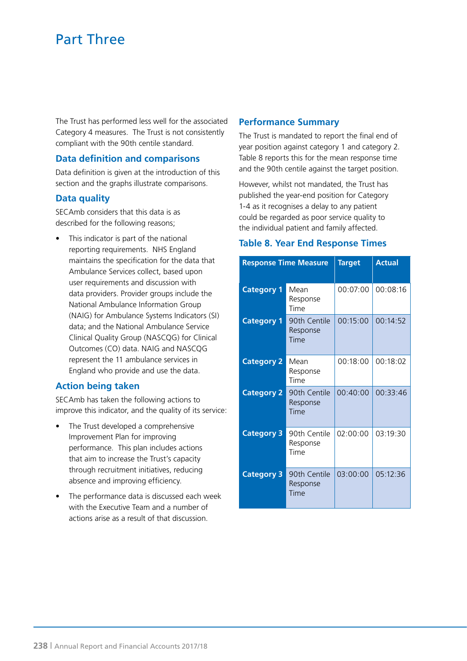The Trust has performed less well for the associated Category 4 measures. The Trust is not consistently compliant with the 90th centile standard.

### **Data definition and comparisons**

Data definition is given at the introduction of this section and the graphs illustrate comparisons.

### **Data quality**

SECAmb considers that this data is as described for the following reasons;

This indicator is part of the national reporting requirements. NHS England maintains the specification for the data that Ambulance Services collect, based upon user requirements and discussion with data providers. Provider groups include the National Ambulance Information Group (NAIG) for Ambulance Systems Indicators (SI) data; and the National Ambulance Service Clinical Quality Group (NASCQG) for Clinical Outcomes (CO) data. NAIG and NASCQG represent the 11 ambulance services in England who provide and use the data.

### **Action being taken**

SECAmb has taken the following actions to improve this indicator, and the quality of its service:

- The Trust developed a comprehensive Improvement Plan for improving performance. This plan includes actions that aim to increase the Trust's capacity through recruitment initiatives, reducing absence and improving efficiency.
- The performance data is discussed each week with the Executive Team and a number of actions arise as a result of that discussion.

### **Performance Summary**

The Trust is mandated to report the final end of year position against category 1 and category 2. Table 8 reports this for the mean response time and the 90th centile against the target position.

However, whilst not mandated, the Trust has published the year-end position for Category 1-4 as it recognises a delay to any patient could be regarded as poor service quality to the individual patient and family affected.

### **Table 8. Year End Response Times**

| <b>Response Time Measure</b> |                                  | <b>Target</b> | <b>Actual</b> |
|------------------------------|----------------------------------|---------------|---------------|
| <b>Category 1</b>            | Mean<br>Response<br>Time         | 00:07:00      | 00:08:16      |
| <b>Category 1</b>            | 90th Centile<br>Response<br>Time | 00:15:00      | 00:14:52      |
| <b>Category 2</b>            | Mean<br>Response<br>Time         | 00:18:00      | 00:18:02      |
| <b>Category 2</b>            | 90th Centile<br>Response<br>Time | 00:40:00      | 00:33:46      |
| <b>Category 3</b>            | 90th Centile<br>Response<br>Time | 02:00:00      | 03:19:30      |
| <b>Category 3</b>            | 90th Centile<br>Response<br>Time | 03:00:00      | 05:12:36      |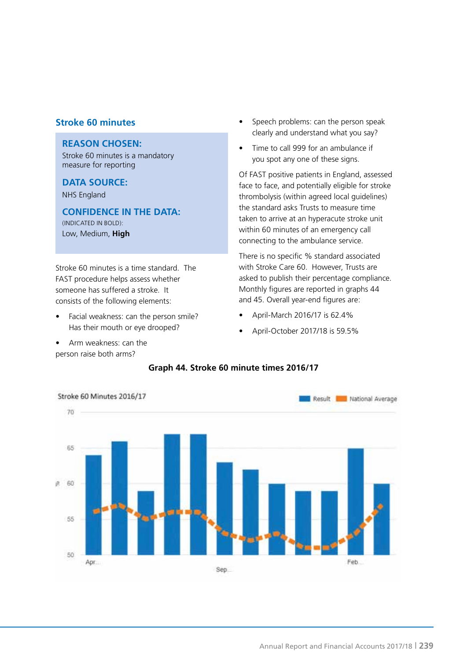### **Stroke 60 minutes**

### **REASON CHOSEN:**

Stroke 60 minutes is a mandatory measure for reporting

### **DATA SOURCE:**

NHS England

**CONFIDENCE IN THE DATA:** (INDICATED IN BOLD): Low, Medium, **High**

Stroke 60 minutes is a time standard. The FAST procedure helps assess whether someone has suffered a stroke. It consists of the following elements:

- Facial weakness: can the person smile? Has their mouth or eye drooped?
- Arm weakness: can the person raise both arms?
- Speech problems: can the person speak clearly and understand what you say?
- Time to call 999 for an ambulance if you spot any one of these signs.

Of FAST positive patients in England, assessed face to face, and potentially eligible for stroke thrombolysis (within agreed local guidelines) the standard asks Trusts to measure time taken to arrive at an hyperacute stroke unit within 60 minutes of an emergency call connecting to the ambulance service.

There is no specific % standard associated with Stroke Care 60. However, Trusts are asked to publish their percentage compliance. Monthly figures are reported in graphs 44 and 45. Overall year-end figures are:

- April-March 2016/17 is 62.4%
- April-October 2017/18 is 59.5%



#### **Graph 44. Stroke 60 minute times 2016/17**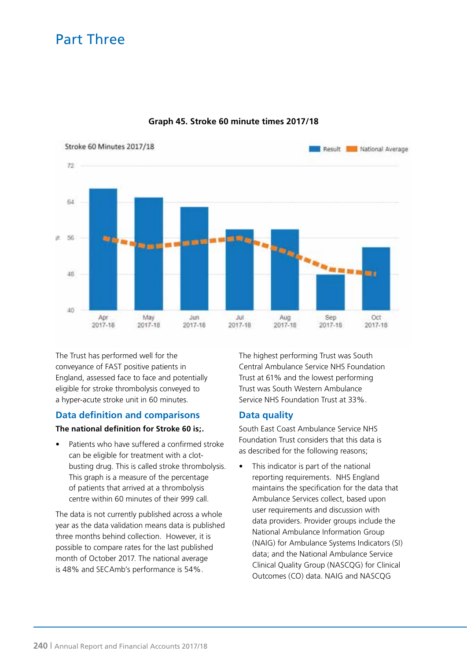

### **Graph 45. Stroke 60 minute times 2017/18**

The Trust has performed well for the conveyance of FAST positive patients in England, assessed face to face and potentially eligible for stroke thrombolysis conveyed to a hyper-acute stroke unit in 60 minutes.

### **Data definition and comparisons**

### **The national definition for Stroke 60 is;.**

• Patients who have suffered a confirmed stroke can be eligible for treatment with a clotbusting drug. This is called stroke thrombolysis. This graph is a measure of the percentage of patients that arrived at a thrombolysis centre within 60 minutes of their 999 call.

The data is not currently published across a whole year as the data validation means data is published three months behind collection. However, it is possible to compare rates for the last published month of October 2017. The national average is 48% and SECAmb's performance is 54%.

The highest performing Trust was South Central Ambulance Service NHS Foundation Trust at 61% and the lowest performing Trust was South Western Ambulance Service NHS Foundation Trust at 33%.

### **Data quality**

South East Coast Ambulance Service NHS Foundation Trust considers that this data is as described for the following reasons;

• This indicator is part of the national reporting requirements. NHS England maintains the specification for the data that Ambulance Services collect, based upon user requirements and discussion with data providers. Provider groups include the National Ambulance Information Group (NAIG) for Ambulance Systems Indicators (SI) data; and the National Ambulance Service Clinical Quality Group (NASCQG) for Clinical Outcomes (CO) data. NAIG and NASCQG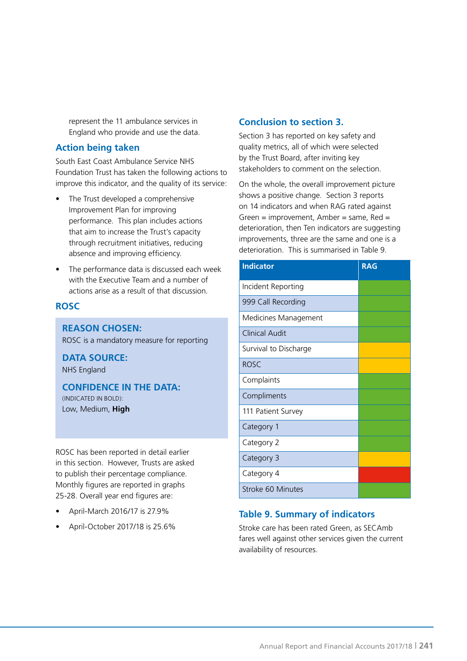represent the 11 ambulance services in England who provide and use the data.

### **Action being taken**

South East Coast Ambulance Service NHS Foundation Trust has taken the following actions to improve this indicator, and the quality of its service:

- The Trust developed a comprehensive Improvement Plan for improving performance. This plan includes actions that aim to increase the Trust's capacity through recruitment initiatives, reducing absence and improving efficiency.
- The performance data is discussed each week with the Executive Team and a number of actions arise as a result of that discussion.

### **ROSC**

### **REASON CHOSEN:**

ROSC is a mandatory measure for reporting

**DATA SOURCE:** NHS England

**CONFIDENCE IN THE DATA:** (INDICATED IN BOLD): Low, Medium, **High**

ROSC has been reported in detail earlier in this section. However, Trusts are asked to publish their percentage compliance. Monthly figures are reported in graphs 25-28. Overall year end figures are:

- April-March 2016/17 is 27.9%
- April-October 2017/18 is 25.6%

### **Conclusion to section 3.**

Section 3 has reported on key safety and quality metrics, all of which were selected by the Trust Board, after inviting key stakeholders to comment on the selection.

On the whole, the overall improvement picture shows a positive change. Section 3 reports on 14 indicators and when RAG rated against Green = improvement, Amber = same,  $Red =$ deterioration, then Ten indicators are suggesting improvements, three are the same and one is a deterioration. This is summarised in Table 9.

| <b>Indicator</b>      | <b>RAG</b> |
|-----------------------|------------|
| Incident Reporting    |            |
| 999 Call Recording    |            |
| Medicines Management  |            |
| Clinical Audit        |            |
| Survival to Discharge |            |
| <b>ROSC</b>           |            |
| Complaints            |            |
| Compliments           |            |
| 111 Patient Survey    |            |
| Category 1            |            |
| Category 2            |            |
| Category 3            |            |
| Category 4            |            |
| Stroke 60 Minutes     |            |

### **Table 9. Summary of indicators**

Stroke care has been rated Green, as SECAmb fares well against other services given the current availability of resources.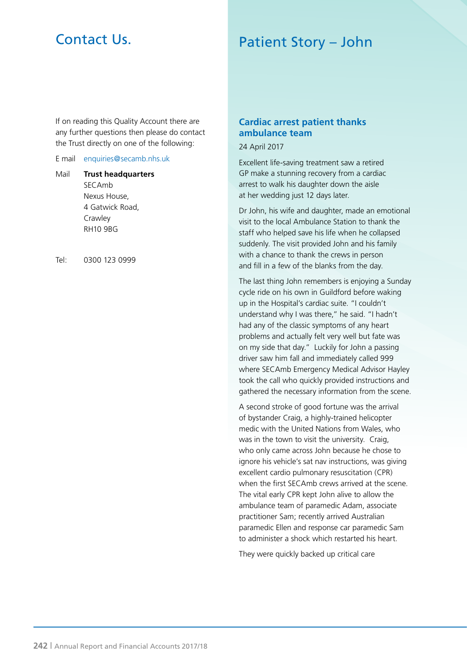# Contact Us.

# Patient Story – John

If on reading this Quality Account there are any further questions then please do contact the Trust directly on one of the following:

#### E mail enquiries@secamb.nhs.uk

Mail **Trust headquarters SECAmb** Nexus House, 4 Gatwick Road, **Crawley** RH10 9BG

Tel: 0300 123 0999

### **Cardiac arrest patient thanks ambulance team**

24 April 2017

Excellent life-saving treatment saw a retired GP make a stunning recovery from a cardiac arrest to walk his daughter down the aisle at her wedding just 12 days later.

Dr John, his wife and daughter, made an emotional visit to the local Ambulance Station to thank the staff who helped save his life when he collapsed suddenly. The visit provided John and his family with a chance to thank the crews in person and fill in a few of the blanks from the day.

The last thing John remembers is enjoying a Sunday cycle ride on his own in Guildford before waking up in the Hospital's cardiac suite. "I couldn't understand why I was there," he said. "I hadn't had any of the classic symptoms of any heart problems and actually felt very well but fate was on my side that day." Luckily for John a passing driver saw him fall and immediately called 999 where SECAmb Emergency Medical Advisor Hayley took the call who quickly provided instructions and gathered the necessary information from the scene.

A second stroke of good fortune was the arrival of bystander Craig, a highly-trained helicopter medic with the United Nations from Wales, who was in the town to visit the university. Craig, who only came across John because he chose to ignore his vehicle's sat nav instructions, was giving excellent cardio pulmonary resuscitation (CPR) when the first SECAmb crews arrived at the scene. The vital early CPR kept John alive to allow the ambulance team of paramedic Adam, associate practitioner Sam; recently arrived Australian paramedic Ellen and response car paramedic Sam to administer a shock which restarted his heart.

They were quickly backed up critical care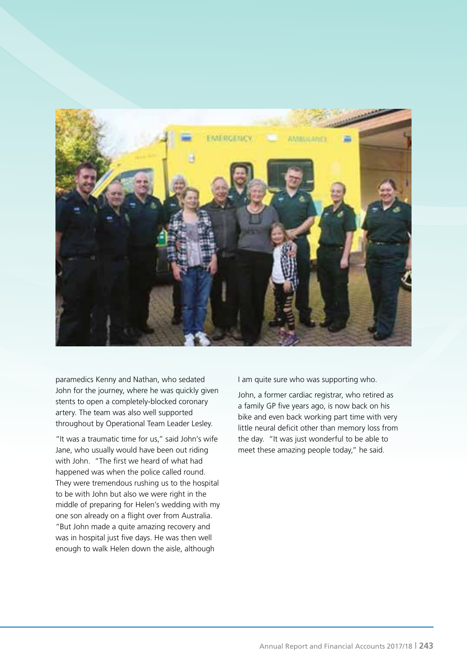

paramedics Kenny and Nathan, who sedated John for the journey, where he was quickly given stents to open a completely-blocked coronary artery. The team was also well supported throughout by Operational Team Leader Lesley.

"It was a traumatic time for us," said John's wife Jane, who usually would have been out riding with John. "The first we heard of what had happened was when the police called round. They were tremendous rushing us to the hospital to be with John but also we were right in the middle of preparing for Helen's wedding with my one son already on a flight over from Australia. "But John made a quite amazing recovery and was in hospital just five days. He was then well enough to walk Helen down the aisle, although

I am quite sure who was supporting who.

John, a former cardiac registrar, who retired as a family GP five years ago, is now back on his bike and even back working part time with very little neural deficit other than memory loss from the day. "It was just wonderful to be able to meet these amazing people today," he said.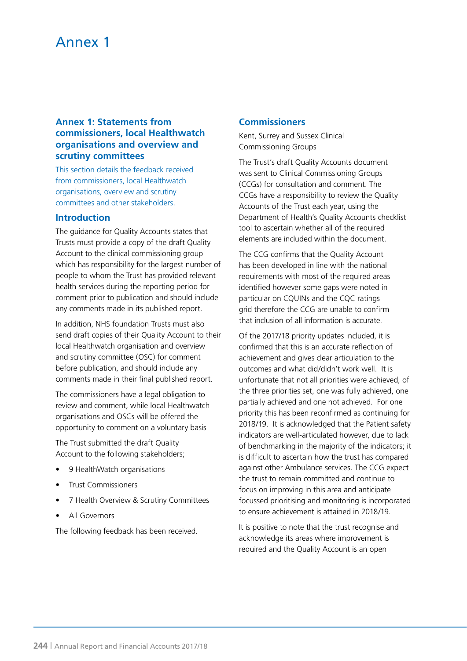### Annex 1

### **Annex 1: Statements from commissioners, local Healthwatch organisations and overview and scrutiny committees**

This section details the feedback received from commissioners, local Healthwatch organisations, overview and scrutiny committees and other stakeholders.

#### **Introduction**

The guidance for Quality Accounts states that Trusts must provide a copy of the draft Quality Account to the clinical commissioning group which has responsibility for the largest number of people to whom the Trust has provided relevant health services during the reporting period for comment prior to publication and should include any comments made in its published report.

In addition, NHS foundation Trusts must also send draft copies of their Quality Account to their local Healthwatch organisation and overview and scrutiny committee (OSC) for comment before publication, and should include any comments made in their final published report.

The commissioners have a legal obligation to review and comment, while local Healthwatch organisations and OSCs will be offered the opportunity to comment on a voluntary basis

The Trust submitted the draft Quality Account to the following stakeholders;

- 9 HealthWatch organisations
- Trust Commissioners
- 7 Health Overview & Scrutiny Committees
- All Governors

The following feedback has been received.

### **Commissioners**

Kent, Surrey and Sussex Clinical Commissioning Groups

The Trust's draft Quality Accounts document was sent to Clinical Commissioning Groups (CCGs) for consultation and comment. The CCGs have a responsibility to review the Quality Accounts of the Trust each year, using the Department of Health's Quality Accounts checklist tool to ascertain whether all of the required elements are included within the document.

The CCG confirms that the Quality Account has been developed in line with the national requirements with most of the required areas identified however some gaps were noted in particular on CQUINs and the CQC ratings grid therefore the CCG are unable to confirm that inclusion of all information is accurate.

Of the 2017/18 priority updates included, it is confirmed that this is an accurate reflection of achievement and gives clear articulation to the outcomes and what did/didn't work well. It is unfortunate that not all priorities were achieved, of the three priorities set, one was fully achieved, one partially achieved and one not achieved. For one priority this has been reconfirmed as continuing for 2018/19. It is acknowledged that the Patient safety indicators are well-articulated however, due to lack of benchmarking in the majority of the indicators; it is difficult to ascertain how the trust has compared against other Ambulance services. The CCG expect the trust to remain committed and continue to focus on improving in this area and anticipate focussed prioritising and monitoring is incorporated to ensure achievement is attained in 2018/19.

It is positive to note that the trust recognise and acknowledge its areas where improvement is required and the Quality Account is an open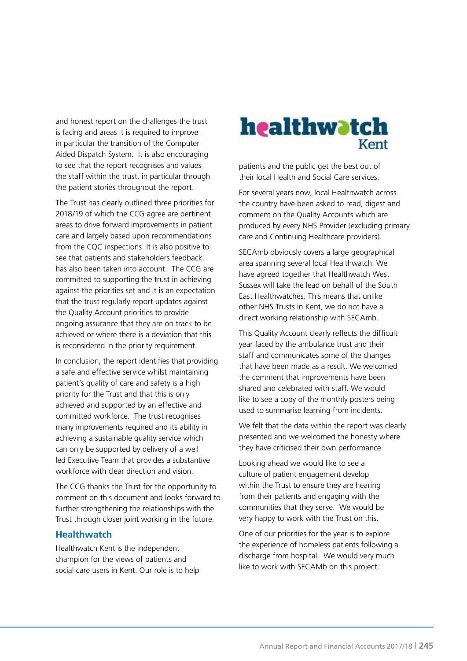and honest report on the challenges the trust is facing and areas it is required to improve in particular the transition of the Computer Aided Dispatch System. It is also encouraging to see that the report recognises and values the staff within the trust, in particular through the patient stories throughout the report.

The Trust has clearly outlined three priorities for 2018/19 of which the CCG agree are pertinent areas to drive forward improvements in patient care and largely based upon recommendations from the CQC inspections. It is also positive to see that patients and stakeholders feedback has also been taken into account. The CCG are committed to supporting the trust in achieving against the priorities set and it is an expectation that the trust regularly report updates against the Quality Account priorities to provide ongoing assurance that they are on track to be achieved or where there is a deviation that this is reconsidered in the priority requirement.

In conclusion, the report identifies that providing a safe and effective service whilst maintaining patient's quality of care and safety is a high priority for the Trust and that this is only achieved and supported by an effective and committed workforce. The trust recognises many improvements required and its ability in achieving a sustainable quality service which can only be supported by delivery of a well led Executive Team that provides a substantive workforce with clear direction and vision.

The CCG thanks the Trust for the opportunity to comment on this document and looks forward to further strengthening the relationships with the Trust through closer joint working in the future.

### **Healthwatch**

Healthwatch Kent is the independent champion for the views of patients and social care users in Kent. Our role is to help



patients and the public get the best out of their local Health and Social Care services.

For several years now, local Healthwatch across the country have been asked to read, digest and comment on the Quality Accounts which are produced by every NHS Provider (excluding primary care and Continuing Healthcare providers).

SECAmb obviously covers a large geographical area spanning several local Healthwatch. We have agreed together that Healthwatch West Sussex will take the lead on behalf of the South East Healthwatches. This means that unlike other NHS Trusts in Kent, we do not have a direct working relationship with SECAmb.

This Quality Account clearly reflects the difficult year faced by the ambulance trust and their staff and communicates some of the changes that have been made as a result. We welcomed the comment that improvements have been shared and celebrated with staff. We would like to see a copy of the monthly posters being used to summarise learning from incidents.

We felt that the data within the report was clearly presented and we welcomed the honesty where they have criticised their own performance.

Looking ahead we would like to see a culture of patient engagement develop within the Trust to ensure they are hearing from their patients and engaging with the communities that they serve. We would be very happy to work with the Trust on this.

One of our priorities for the year is to explore the experience of homeless patients following a discharge from hospital. We would very much like to work with SECAMb on this project.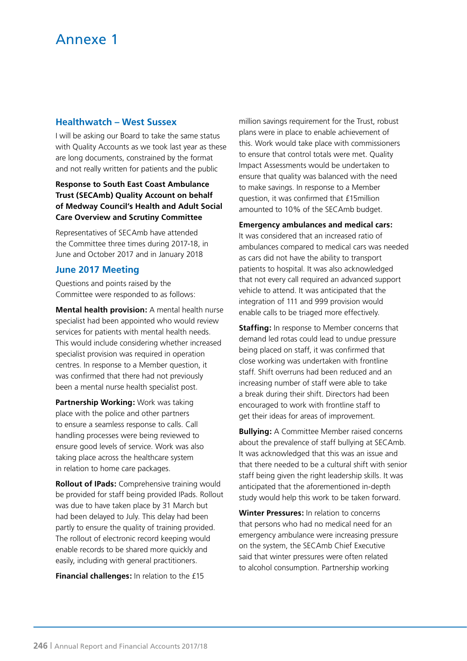### **Healthwatch – West Sussex**

I will be asking our Board to take the same status with Quality Accounts as we took last year as these are long documents, constrained by the format and not really written for patients and the public

### **Response to South East Coast Ambulance Trust (SECAmb) Quality Account on behalf of Medway Council's Health and Adult Social Care Overview and Scrutiny Committee**

Representatives of SECAmb have attended the Committee three times during 2017-18, in June and October 2017 and in January 2018

### **June 2017 Meeting**

Questions and points raised by the Committee were responded to as follows:

**Mental health provision:** A mental health nurse specialist had been appointed who would review services for patients with mental health needs. This would include considering whether increased specialist provision was required in operation centres. In response to a Member question, it was confirmed that there had not previously been a mental nurse health specialist post.

**Partnership Working:** Work was taking place with the police and other partners to ensure a seamless response to calls. Call handling processes were being reviewed to ensure good levels of service. Work was also taking place across the healthcare system in relation to home care packages.

**Rollout of IPads:** Comprehensive training would be provided for staff being provided IPads. Rollout was due to have taken place by 31 March but had been delayed to July. This delay had been partly to ensure the quality of training provided. The rollout of electronic record keeping would enable records to be shared more quickly and easily, including with general practitioners.

**Financial challenges:** In relation to the £15

million savings requirement for the Trust, robust plans were in place to enable achievement of this. Work would take place with commissioners to ensure that control totals were met. Quality Impact Assessments would be undertaken to ensure that quality was balanced with the need to make savings. In response to a Member question, it was confirmed that £15million amounted to 10% of the SECAmb budget.

**Emergency ambulances and medical cars:** It was considered that an increased ratio of ambulances compared to medical cars was needed as cars did not have the ability to transport patients to hospital. It was also acknowledged that not every call required an advanced support vehicle to attend. It was anticipated that the integration of 111 and 999 provision would enable calls to be triaged more effectively.

**Staffing:** In response to Member concerns that demand led rotas could lead to undue pressure being placed on staff, it was confirmed that close working was undertaken with frontline staff. Shift overruns had been reduced and an increasing number of staff were able to take a break during their shift. Directors had been encouraged to work with frontline staff to get their ideas for areas of improvement.

**Bullying:** A Committee Member raised concerns about the prevalence of staff bullying at SECAmb. It was acknowledged that this was an issue and that there needed to be a cultural shift with senior staff being given the right leadership skills. It was anticipated that the aforementioned in-depth study would help this work to be taken forward.

**Winter Pressures:** In relation to concerns that persons who had no medical need for an emergency ambulance were increasing pressure on the system, the SECAmb Chief Executive said that winter pressures were often related to alcohol consumption. Partnership working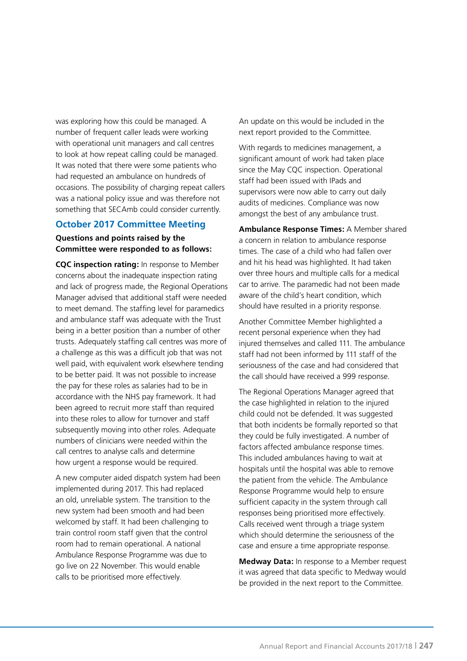was exploring how this could be managed. A number of frequent caller leads were working with operational unit managers and call centres to look at how repeat calling could be managed. It was noted that there were some patients who had requested an ambulance on hundreds of occasions. The possibility of charging repeat callers was a national policy issue and was therefore not something that SECAmb could consider currently.

### **October 2017 Committee Meeting**

### **Questions and points raised by the Committee were responded to as follows:**

**CQC inspection rating:** In response to Member concerns about the inadequate inspection rating and lack of progress made, the Regional Operations Manager advised that additional staff were needed to meet demand. The staffing level for paramedics and ambulance staff was adequate with the Trust being in a better position than a number of other trusts. Adequately staffing call centres was more of a challenge as this was a difficult job that was not well paid, with equivalent work elsewhere tending to be better paid. It was not possible to increase the pay for these roles as salaries had to be in accordance with the NHS pay framework. It had been agreed to recruit more staff than required into these roles to allow for turnover and staff subsequently moving into other roles. Adequate numbers of clinicians were needed within the call centres to analyse calls and determine how urgent a response would be required.

A new computer aided dispatch system had been implemented during 2017. This had replaced an old, unreliable system. The transition to the new system had been smooth and had been welcomed by staff. It had been challenging to train control room staff given that the control room had to remain operational. A national Ambulance Response Programme was due to go live on 22 November. This would enable calls to be prioritised more effectively.

An update on this would be included in the next report provided to the Committee.

With regards to medicines management, a significant amount of work had taken place since the May CQC inspection. Operational staff had been issued with IPads and supervisors were now able to carry out daily audits of medicines. Compliance was now amongst the best of any ambulance trust.

**Ambulance Response Times:** A Member shared a concern in relation to ambulance response times. The case of a child who had fallen over and hit his head was highlighted. It had taken over three hours and multiple calls for a medical car to arrive. The paramedic had not been made aware of the child's heart condition, which should have resulted in a priority response.

Another Committee Member highlighted a recent personal experience when they had injured themselves and called 111. The ambulance staff had not been informed by 111 staff of the seriousness of the case and had considered that the call should have received a 999 response.

The Regional Operations Manager agreed that the case highlighted in relation to the injured child could not be defended. It was suggested that both incidents be formally reported so that they could be fully investigated. A number of factors affected ambulance response times. This included ambulances having to wait at hospitals until the hospital was able to remove the patient from the vehicle. The Ambulance Response Programme would help to ensure sufficient capacity in the system through call responses being prioritised more effectively. Calls received went through a triage system which should determine the seriousness of the case and ensure a time appropriate response.

**Medway Data:** In response to a Member request it was agreed that data specific to Medway would be provided in the next report to the Committee.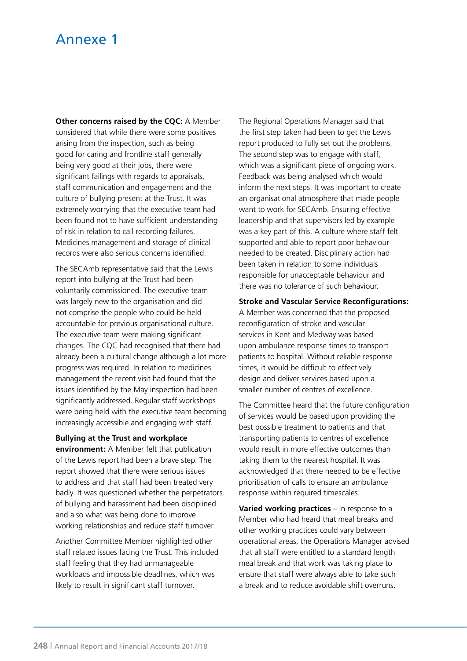### Annexe 1

**Other concerns raised by the CQC:** A Member considered that while there were some positives arising from the inspection, such as being good for caring and frontline staff generally being very good at their jobs, there were significant failings with regards to appraisals, staff communication and engagement and the culture of bullying present at the Trust. It was extremely worrying that the executive team had been found not to have sufficient understanding of risk in relation to call recording failures. Medicines management and storage of clinical records were also serious concerns identified.

The SECAmb representative said that the Lewis report into bullying at the Trust had been voluntarily commissioned. The executive team was largely new to the organisation and did not comprise the people who could be held accountable for previous organisational culture. The executive team were making significant changes. The CQC had recognised that there had already been a cultural change although a lot more progress was required. In relation to medicines management the recent visit had found that the issues identified by the May inspection had been significantly addressed. Regular staff workshops were being held with the executive team becoming increasingly accessible and engaging with staff.

#### **Bullying at the Trust and workplace**

**environment:** A Member felt that publication of the Lewis report had been a brave step. The report showed that there were serious issues to address and that staff had been treated very badly. It was questioned whether the perpetrators of bullying and harassment had been disciplined and also what was being done to improve working relationships and reduce staff turnover.

Another Committee Member highlighted other staff related issues facing the Trust. This included staff feeling that they had unmanageable workloads and impossible deadlines, which was likely to result in significant staff turnover.

The Regional Operations Manager said that the first step taken had been to get the Lewis report produced to fully set out the problems. The second step was to engage with staff, which was a significant piece of ongoing work. Feedback was being analysed which would inform the next steps. It was important to create an organisational atmosphere that made people want to work for SECAmb. Ensuring effective leadership and that supervisors led by example was a key part of this. A culture where staff felt supported and able to report poor behaviour needed to be created. Disciplinary action had been taken in relation to some individuals responsible for unacceptable behaviour and there was no tolerance of such behaviour.

#### **Stroke and Vascular Service Reconfigurations:**

A Member was concerned that the proposed reconfiguration of stroke and vascular services in Kent and Medway was based upon ambulance response times to transport patients to hospital. Without reliable response times, it would be difficult to effectively design and deliver services based upon a smaller number of centres of excellence.

The Committee heard that the future configuration of services would be based upon providing the best possible treatment to patients and that transporting patients to centres of excellence would result in more effective outcomes than taking them to the nearest hospital. It was acknowledged that there needed to be effective prioritisation of calls to ensure an ambulance response within required timescales.

**Varied working practices** – In response to a Member who had heard that meal breaks and other working practices could vary between operational areas, the Operations Manager advised that all staff were entitled to a standard length meal break and that work was taking place to ensure that staff were always able to take such a break and to reduce avoidable shift overruns.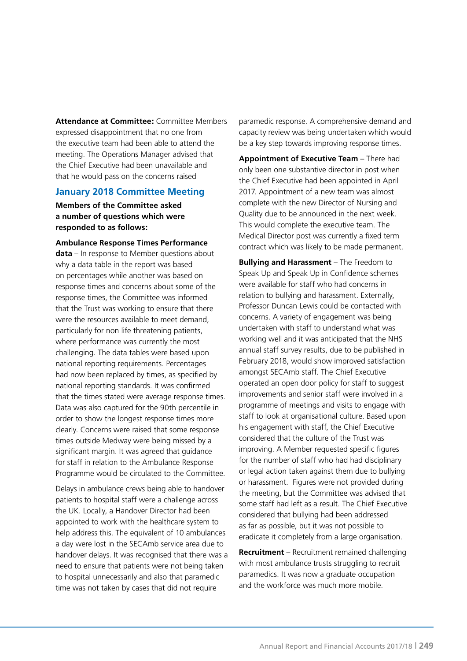**Attendance at Committee:** Committee Members expressed disappointment that no one from the executive team had been able to attend the meeting. The Operations Manager advised that the Chief Executive had been unavailable and that he would pass on the concerns raised

### **January 2018 Committee Meeting**

**Members of the Committee asked a number of questions which were responded to as follows:**

**Ambulance Response Times Performance data** – In response to Member questions about why a data table in the report was based on percentages while another was based on response times and concerns about some of the response times, the Committee was informed that the Trust was working to ensure that there were the resources available to meet demand, particularly for non life threatening patients, where performance was currently the most challenging. The data tables were based upon national reporting requirements. Percentages had now been replaced by times, as specified by national reporting standards. It was confirmed that the times stated were average response times. Data was also captured for the 90th percentile in order to show the longest response times more clearly. Concerns were raised that some response times outside Medway were being missed by a significant margin. It was agreed that guidance for staff in relation to the Ambulance Response Programme would be circulated to the Committee.

Delays in ambulance crews being able to handover patients to hospital staff were a challenge across the UK. Locally, a Handover Director had been appointed to work with the healthcare system to help address this. The equivalent of 10 ambulances a day were lost in the SECAmb service area due to handover delays. It was recognised that there was a need to ensure that patients were not being taken to hospital unnecessarily and also that paramedic time was not taken by cases that did not require

paramedic response. A comprehensive demand and capacity review was being undertaken which would be a key step towards improving response times.

**Appointment of Executive Team** – There had only been one substantive director in post when the Chief Executive had been appointed in April 2017. Appointment of a new team was almost complete with the new Director of Nursing and Quality due to be announced in the next week. This would complete the executive team. The Medical Director post was currently a fixed term contract which was likely to be made permanent.

**Bullying and Harassment** – The Freedom to Speak Up and Speak Up in Confidence schemes were available for staff who had concerns in relation to bullying and harassment. Externally, Professor Duncan Lewis could be contacted with concerns. A variety of engagement was being undertaken with staff to understand what was working well and it was anticipated that the NHS annual staff survey results, due to be published in February 2018, would show improved satisfaction amongst SECAmb staff. The Chief Executive operated an open door policy for staff to suggest improvements and senior staff were involved in a programme of meetings and visits to engage with staff to look at organisational culture. Based upon his engagement with staff, the Chief Executive considered that the culture of the Trust was improving. A Member requested specific figures for the number of staff who had had disciplinary or legal action taken against them due to bullying or harassment. Figures were not provided during the meeting, but the Committee was advised that some staff had left as a result. The Chief Executive considered that bullying had been addressed as far as possible, but it was not possible to eradicate it completely from a large organisation.

**Recruitment** – Recruitment remained challenging with most ambulance trusts struggling to recruit paramedics. It was now a graduate occupation and the workforce was much more mobile.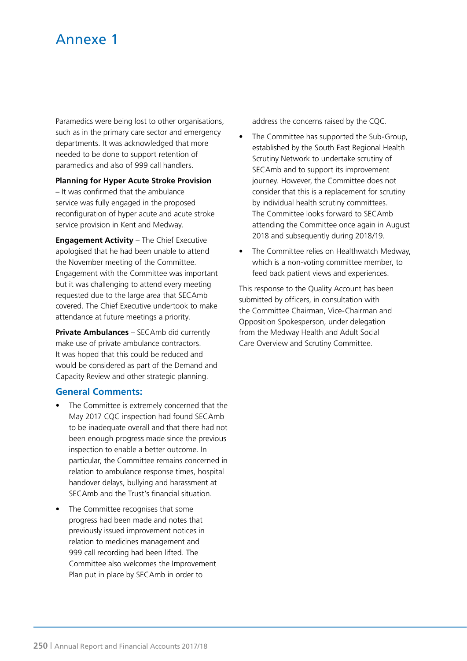# Annexe 1

Paramedics were being lost to other organisations, such as in the primary care sector and emergency departments. It was acknowledged that more needed to be done to support retention of paramedics and also of 999 call handlers.

**Planning for Hyper Acute Stroke Provision** 

– It was confirmed that the ambulance service was fully engaged in the proposed reconfiguration of hyper acute and acute stroke service provision in Kent and Medway.

**Engagement Activity** – The Chief Executive apologised that he had been unable to attend the November meeting of the Committee. Engagement with the Committee was important but it was challenging to attend every meeting requested due to the large area that SECAmb covered. The Chief Executive undertook to make attendance at future meetings a priority.

**Private Ambulances** – SECAmb did currently make use of private ambulance contractors. It was hoped that this could be reduced and would be considered as part of the Demand and Capacity Review and other strategic planning.

### **General Comments:**

- The Committee is extremely concerned that the May 2017 CQC inspection had found SECAmb to be inadequate overall and that there had not been enough progress made since the previous inspection to enable a better outcome. In particular, the Committee remains concerned in relation to ambulance response times, hospital handover delays, bullying and harassment at SECAmb and the Trust's financial situation.
- The Committee recognises that some progress had been made and notes that previously issued improvement notices in relation to medicines management and 999 call recording had been lifted. The Committee also welcomes the Improvement Plan put in place by SECAmb in order to

address the concerns raised by the CQC.

- The Committee has supported the Sub-Group, established by the South East Regional Health Scrutiny Network to undertake scrutiny of SECAmb and to support its improvement journey. However, the Committee does not consider that this is a replacement for scrutiny by individual health scrutiny committees. The Committee looks forward to SECAmb attending the Committee once again in August 2018 and subsequently during 2018/19.
- The Committee relies on Healthwatch Medway, which is a non-voting committee member, to feed back patient views and experiences.

This response to the Quality Account has been submitted by officers, in consultation with the Committee Chairman, Vice-Chairman and Opposition Spokesperson, under delegation from the Medway Health and Adult Social Care Overview and Scrutiny Committee.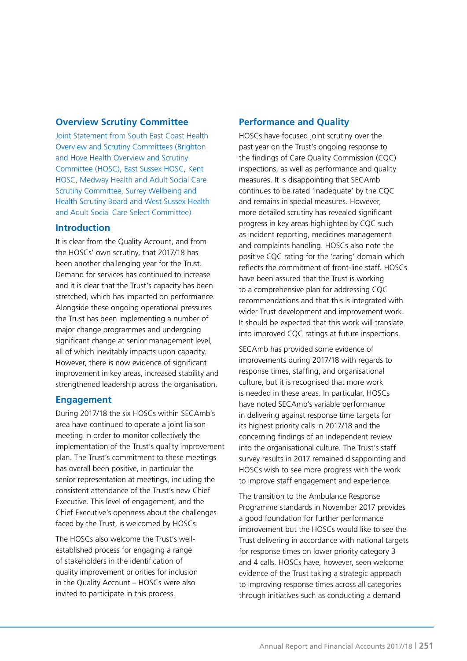### **Overview Scrutiny Committee**

Joint Statement from South East Coast Health Overview and Scrutiny Committees (Brighton and Hove Health Overview and Scrutiny Committee (HOSC), East Sussex HOSC, Kent HOSC, Medway Health and Adult Social Care Scrutiny Committee, Surrey Wellbeing and Health Scrutiny Board and West Sussex Health and Adult Social Care Select Committee)

### **Introduction**

It is clear from the Quality Account, and from the HOSCs' own scrutiny, that 2017/18 has been another challenging year for the Trust. Demand for services has continued to increase and it is clear that the Trust's capacity has been stretched, which has impacted on performance. Alongside these ongoing operational pressures the Trust has been implementing a number of major change programmes and undergoing significant change at senior management level. all of which inevitably impacts upon capacity. However, there is now evidence of significant improvement in key areas, increased stability and strengthened leadership across the organisation.

### **Engagement**

During 2017/18 the six HOSCs within SECAmb's area have continued to operate a joint liaison meeting in order to monitor collectively the implementation of the Trust's quality improvement plan. The Trust's commitment to these meetings has overall been positive, in particular the senior representation at meetings, including the consistent attendance of the Trust's new Chief Executive. This level of engagement, and the Chief Executive's openness about the challenges faced by the Trust, is welcomed by HOSCs.

The HOSCs also welcome the Trust's wellestablished process for engaging a range of stakeholders in the identification of quality improvement priorities for inclusion in the Quality Account – HOSCs were also invited to participate in this process.

### **Performance and Quality**

HOSCs have focused joint scrutiny over the past year on the Trust's ongoing response to the findings of Care Quality Commission (CQC) inspections, as well as performance and quality measures. It is disappointing that SECAmb continues to be rated 'inadequate' by the CQC and remains in special measures. However, more detailed scrutiny has revealed significant progress in key areas highlighted by CQC such as incident reporting, medicines management and complaints handling. HOSCs also note the positive CQC rating for the 'caring' domain which reflects the commitment of front-line staff. HOSCs have been assured that the Trust is working to a comprehensive plan for addressing CQC recommendations and that this is integrated with wider Trust development and improvement work. It should be expected that this work will translate into improved CQC ratings at future inspections.

SECAmb has provided some evidence of improvements during 2017/18 with regards to response times, staffing, and organisational culture, but it is recognised that more work is needed in these areas. In particular, HOSCs have noted SECAmb's variable performance in delivering against response time targets for its highest priority calls in 2017/18 and the concerning findings of an independent review into the organisational culture. The Trust's staff survey results in 2017 remained disappointing and HOSCs wish to see more progress with the work to improve staff engagement and experience.

The transition to the Ambulance Response Programme standards in November 2017 provides a good foundation for further performance improvement but the HOSCs would like to see the Trust delivering in accordance with national targets for response times on lower priority category 3 and 4 calls. HOSCs have, however, seen welcome evidence of the Trust taking a strategic approach to improving response times across all categories through initiatives such as conducting a demand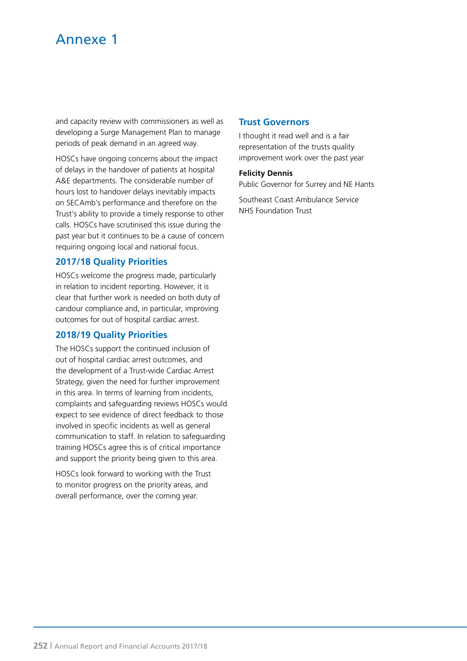# Annexe 1

and capacity review with commissioners as well as developing a Surge Management Plan to manage periods of peak demand in an agreed way.

HOSCs have ongoing concerns about the impact of delays in the handover of patients at hospital A&E departments. The considerable number of hours lost to handover delays inevitably impacts on SECAmb's performance and therefore on the Trust's ability to provide a timely response to other calls. HOSCs have scrutinised this issue during the past year but it continues to be a cause of concern requiring ongoing local and national focus.

### **2017/18 Quality Priorities**

HOSCs welcome the progress made, particularly in relation to incident reporting. However, it is clear that further work is needed on both duty of candour compliance and, in particular, improving outcomes for out of hospital cardiac arrest.

### **2018/19 Quality Priorities**

The HOSCs support the continued inclusion of out of hospital cardiac arrest outcomes, and the development of a Trust-wide Cardiac Arrest Strategy, given the need for further improvement in this area. In terms of learning from incidents, complaints and safeguarding reviews HOSCs would expect to see evidence of direct feedback to those involved in specific incidents as well as general communication to staff. In relation to safeguarding training HOSCs agree this is of critical importance and support the priority being given to this area.

HOSCs look forward to working with the Trust to monitor progress on the priority areas, and overall performance, over the coming year.

### **Trust Governors**

I thought it read well and is a fair representation of the trusts quality improvement work over the past year

#### **Felicity Dennis**

Public Governor for Surrey and NE Hants

Southeast Coast Ambulance Service NHS Foundation Trust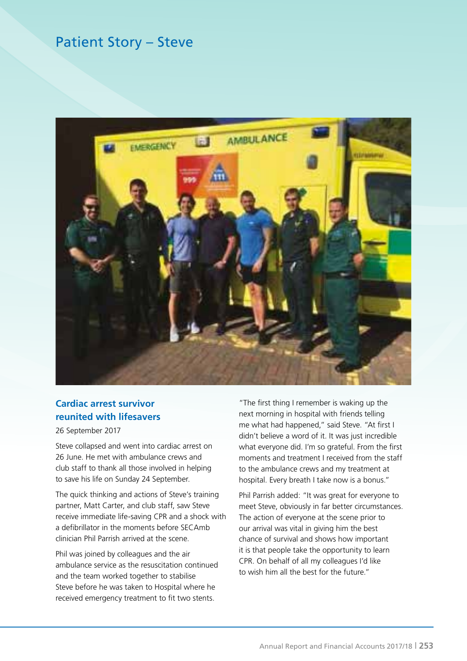## Patient Story – Steve



### **Cardiac arrest survivor reunited with lifesavers**

26 September 2017

Steve collapsed and went into cardiac arrest on 26 June. He met with ambulance crews and club staff to thank all those involved in helping to save his life on Sunday 24 September.

The quick thinking and actions of Steve's training partner, Matt Carter, and club staff, saw Steve receive immediate life-saving CPR and a shock with a defibrillator in the moments before SECAmb clinician Phil Parrish arrived at the scene.

Phil was joined by colleagues and the air ambulance service as the resuscitation continued and the team worked together to stabilise Steve before he was taken to Hospital where he received emergency treatment to fit two stents.

"The first thing I remember is waking up the next morning in hospital with friends telling me what had happened," said Steve. "At first I didn't believe a word of it. It was just incredible what everyone did. I'm so grateful. From the first moments and treatment I received from the staff to the ambulance crews and my treatment at hospital. Every breath I take now is a bonus."

Phil Parrish added: "It was great for everyone to meet Steve, obviously in far better circumstances. The action of everyone at the scene prior to our arrival was vital in giving him the best chance of survival and shows how important it is that people take the opportunity to learn CPR. On behalf of all my colleagues I'd like to wish him all the best for the future."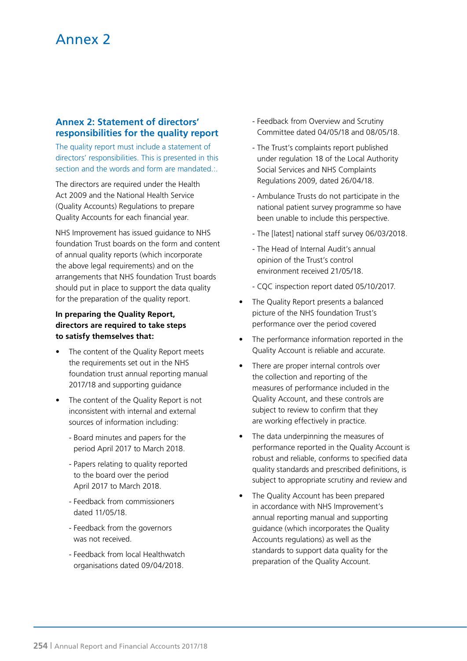# Annex 2

### **Annex 2: Statement of directors' responsibilities for the quality report**

The quality report must include a statement of directors' responsibilities. This is presented in this section and the words and form are mandated.:.

The directors are required under the Health Act 2009 and the National Health Service (Quality Accounts) Regulations to prepare Quality Accounts for each financial year.

NHS Improvement has issued guidance to NHS foundation Trust boards on the form and content of annual quality reports (which incorporate the above legal requirements) and on the arrangements that NHS foundation Trust boards should put in place to support the data quality for the preparation of the quality report.

### **In preparing the Quality Report, directors are required to take steps to satisfy themselves that:**

- The content of the Quality Report meets the requirements set out in the NHS foundation trust annual reporting manual 2017/18 and supporting guidance
- The content of the Quality Report is not inconsistent with internal and external sources of information including:
	- Board minutes and papers for the period April 2017 to March 2018.
	- Papers relating to quality reported to the board over the period April 2017 to March 2018.
	- Feedback from commissioners dated 11/05/18.
	- Feedback from the governors was not received.
	- Feedback from local Healthwatch organisations dated 09/04/2018.
- Feedback from Overview and Scrutiny Committee dated 04/05/18 and 08/05/18.
- The Trust's complaints report published under regulation 18 of the Local Authority Social Services and NHS Complaints Regulations 2009, dated 26/04/18.
- Ambulance Trusts do not participate in the national patient survey programme so have been unable to include this perspective.
- The [latest] national staff survey 06/03/2018.
- The Head of Internal Audit's annual opinion of the Trust's control environment received 21/05/18.
- CQC inspection report dated 05/10/2017.
- The Quality Report presents a balanced picture of the NHS foundation Trust's performance over the period covered
- The performance information reported in the Quality Account is reliable and accurate.
- There are proper internal controls over the collection and reporting of the measures of performance included in the Quality Account, and these controls are subject to review to confirm that they are working effectively in practice.
- The data underpinning the measures of performance reported in the Quality Account is robust and reliable, conforms to specified data quality standards and prescribed definitions, is subject to appropriate scrutiny and review and
- The Quality Account has been prepared in accordance with NHS Improvement's annual reporting manual and supporting guidance (which incorporates the Quality Accounts regulations) as well as the standards to support data quality for the preparation of the Quality Account.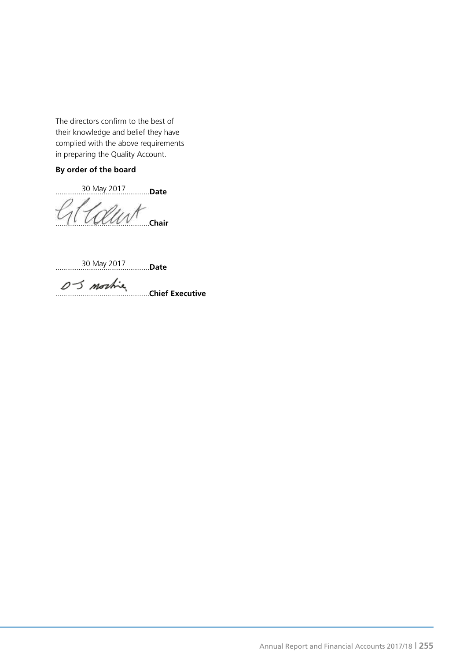The directors confirm to the best of their knowledge and belief they have complied with the above requirements in preparing the Quality Account.

#### **By order of the board**

.................................................**Date** 30 May 2017

.................................................**Chair**

.................................................**Date** 30 May 2017

.................................................**Chief Executive**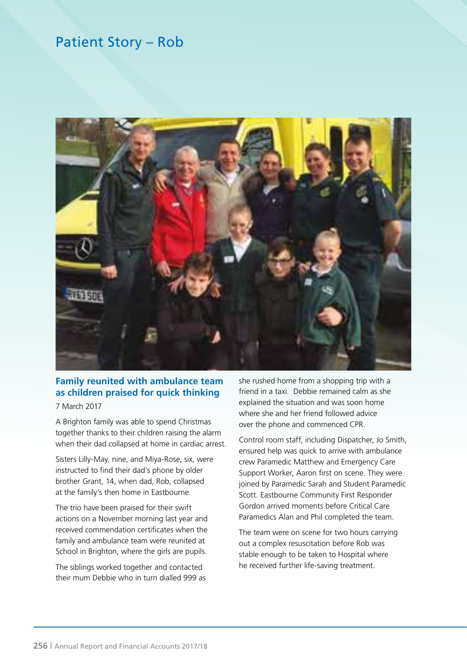# Patient Story – Rob



## **Family reunited with ambulance team as children praised for quick thinking**

7 March 2017

A Brighton family was able to spend Christmas together thanks to their children raising the alarm when their dad collapsed at home in cardiac arrest.

Sisters Lilly-May, nine, and Miya-Rose, six, were instructed to find their dad's phone by older brother Grant, 14, when dad, Rob, collapsed at the family's then home in Eastbourne.

The trio have been praised for their swift actions on a November morning last year and received commendation certificates when the family and ambulance team were reunited at School in Brighton, where the girls are pupils.

The siblings worked together and contacted their mum Debbie who in turn dialled 999 as she rushed home from a shopping trip with a friend in a taxi. Debbie remained calm as she explained the situation and was soon home where she and her friend followed advice over the phone and commenced CPR.

Control room staff, including Dispatcher, Jo Smith, ensured help was quick to arrive with ambulance crew Paramedic Matthew and Emergency Care Support Worker, Aaron first on scene. They were joined by Paramedic Sarah and Student Paramedic Scott. Eastbourne Community First Responder Gordon arrived moments before Critical Care Paramedics Alan and Phil completed the team.

The team were on scene for two hours carrying out a complex resuscitation before Rob was stable enough to be taken to Hospital where he received further life-saving treatment.